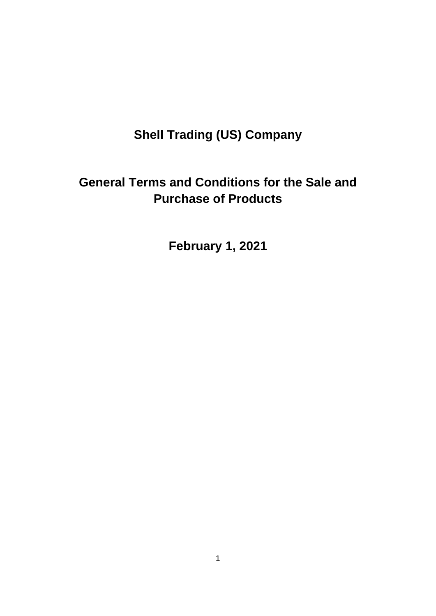# **Shell Trading (US) Company**

## **General Terms and Conditions for the Sale and Purchase of Products**

**February 1, 2021**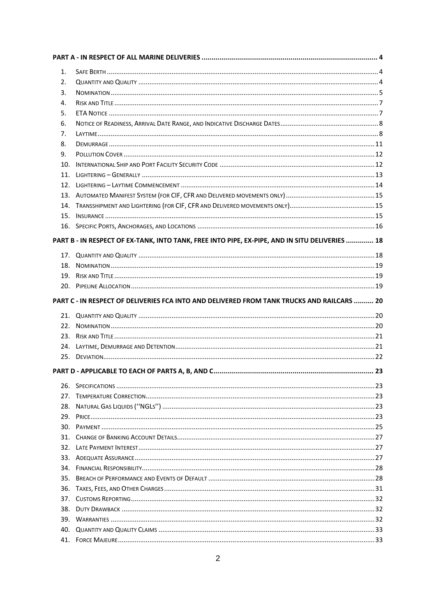| 1.         |                                                                                                |  |
|------------|------------------------------------------------------------------------------------------------|--|
| 2.         |                                                                                                |  |
| 3.         |                                                                                                |  |
| 4.         |                                                                                                |  |
| 5.         |                                                                                                |  |
| 6.         |                                                                                                |  |
| 7.         |                                                                                                |  |
| 8.         |                                                                                                |  |
| 9.         |                                                                                                |  |
| 10.        |                                                                                                |  |
| 11.        |                                                                                                |  |
| 12.        |                                                                                                |  |
|            |                                                                                                |  |
|            |                                                                                                |  |
| 15.        |                                                                                                |  |
|            |                                                                                                |  |
|            | PART B - IN RESPECT OF EX-TANK, INTO TANK, FREE INTO PIPE, EX-PIPE, AND IN SITU DELIVERIES  18 |  |
|            |                                                                                                |  |
|            |                                                                                                |  |
| 19.        |                                                                                                |  |
|            |                                                                                                |  |
|            |                                                                                                |  |
|            | PART C - IN RESPECT OF DELIVERIES FCA INTO AND DELIVERED FROM TANK TRUCKS AND RAILCARS  20     |  |
|            |                                                                                                |  |
|            |                                                                                                |  |
| 22.        |                                                                                                |  |
| 24.        |                                                                                                |  |
|            |                                                                                                |  |
|            |                                                                                                |  |
|            |                                                                                                |  |
|            |                                                                                                |  |
| 27.        |                                                                                                |  |
| 28.        |                                                                                                |  |
| 29.        |                                                                                                |  |
| 30.        |                                                                                                |  |
| 31.        |                                                                                                |  |
| 32.        |                                                                                                |  |
| 33.        |                                                                                                |  |
| 34.        |                                                                                                |  |
| 35.        |                                                                                                |  |
| 36.        |                                                                                                |  |
| 37.<br>38. |                                                                                                |  |
| 39.        |                                                                                                |  |
| 40.        |                                                                                                |  |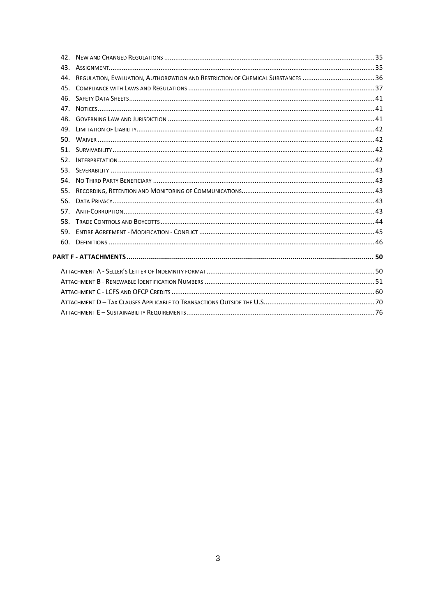|     | 44. REGULATION, EVALUATION, AUTHORIZATION AND RESTRICTION OF CHEMICAL SUBSTANCES 36 |  |
|-----|-------------------------------------------------------------------------------------|--|
| 45. |                                                                                     |  |
|     |                                                                                     |  |
| 47. |                                                                                     |  |
|     |                                                                                     |  |
| 49. |                                                                                     |  |
|     |                                                                                     |  |
|     |                                                                                     |  |
| 52. |                                                                                     |  |
|     |                                                                                     |  |
| 54. |                                                                                     |  |
| 55. |                                                                                     |  |
| 56. |                                                                                     |  |
| 57. |                                                                                     |  |
| 58. |                                                                                     |  |
| 59. |                                                                                     |  |
| 60. |                                                                                     |  |
|     |                                                                                     |  |
|     |                                                                                     |  |
|     |                                                                                     |  |
|     |                                                                                     |  |
|     |                                                                                     |  |
|     |                                                                                     |  |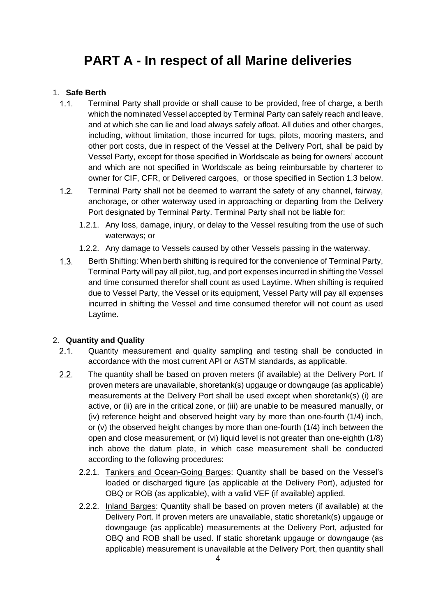## <span id="page-3-0"></span>**PART A - In respect of all Marine deliveries**

## <span id="page-3-1"></span>1. **Safe Berth**

- $1.1<sub>1</sub>$ Terminal Party shall provide or shall cause to be provided, free of charge, a berth which the nominated Vessel accepted by Terminal Party can safely reach and leave, and at which she can lie and load always safely afloat. All duties and other charges, including, without limitation, those incurred for tugs, pilots, mooring masters, and other port costs, due in respect of the Vessel at the Delivery Port, shall be paid by Vessel Party, except for those specified in Worldscale as being for owners' account and which are not specified in Worldscale as being reimbursable by charterer to owner for CIF, CFR, or Delivered cargoes, or those specified in Section 1.3 below.
- $1.2.$ Terminal Party shall not be deemed to warrant the safety of any channel, fairway, anchorage, or other waterway used in approaching or departing from the Delivery Port designated by Terminal Party. Terminal Party shall not be liable for:
	- 1.2.1. Any loss, damage, injury, or delay to the Vessel resulting from the use of such waterways; or
	- 1.2.2. Any damage to Vessels caused by other Vessels passing in the waterway.
- $1.3.$ Berth Shifting: When berth shifting is required for the convenience of Terminal Party, Terminal Party will pay all pilot, tug, and port expenses incurred in shifting the Vessel and time consumed therefor shall count as used Laytime. When shifting is required due to Vessel Party, the Vessel or its equipment, Vessel Party will pay all expenses incurred in shifting the Vessel and time consumed therefor will not count as used Laytime.

#### <span id="page-3-2"></span>2. **Quantity and Quality**

- $2.1.$ Quantity measurement and quality sampling and testing shall be conducted in accordance with the most current API or ASTM standards, as applicable.
- $2.2^{\circ}$ The quantity shall be based on proven meters (if available) at the Delivery Port. If proven meters are unavailable, shoretank(s) upgauge or downgauge (as applicable) measurements at the Delivery Port shall be used except when shoretank(s) (i) are active, or (ii) are in the critical zone, or (iii) are unable to be measured manually, or (iv) reference height and observed height vary by more than one-fourth (1/4) inch, or (v) the observed height changes by more than one-fourth (1/4) inch between the open and close measurement, or (vi) liquid level is not greater than one-eighth (1/8) inch above the datum plate, in which case measurement shall be conducted according to the following procedures:
	- 2.2.1. Tankers and Ocean-Going Barges: Quantity shall be based on the Vessel's loaded or discharged figure (as applicable at the Delivery Port), adjusted for OBQ or ROB (as applicable), with a valid VEF (if available) applied.
	- 2.2.2. Inland Barges: Quantity shall be based on proven meters (if available) at the Delivery Port. If proven meters are unavailable, static shoretank(s) upgauge or downgauge (as applicable) measurements at the Delivery Port, adjusted for OBQ and ROB shall be used. If static shoretank upgauge or downgauge (as applicable) measurement is unavailable at the Delivery Port, then quantity shall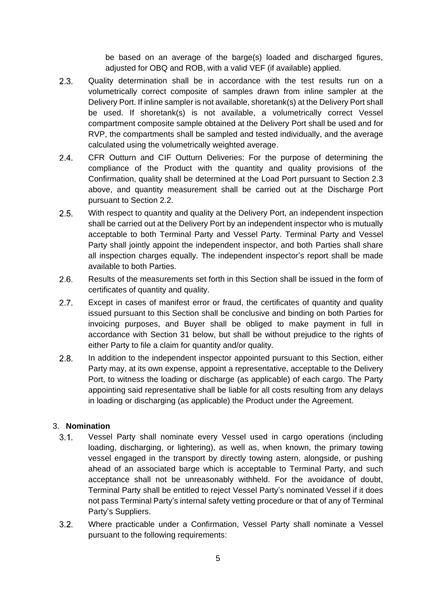be based on an average of the barge(s) loaded and discharged figures, adjusted for OBQ and ROB, with a valid VEF (if available) applied.

- $2.3.$ Quality determination shall be in accordance with the test results run on a volumetrically correct composite of samples drawn from inline sampler at the Delivery Port. If inline sampler is not available, shoretank(s) at the Delivery Port shall be used. If shoretank(s) is not available, a volumetrically correct Vessel compartment composite sample obtained at the Delivery Port shall be used and for RVP, the compartments shall be sampled and tested individually, and the average calculated using the volumetrically weighted average.
- $2.4$ CFR Outturn and CIF Outturn Deliveries: For the purpose of determining the compliance of the Product with the quantity and quality provisions of the Confirmation, quality shall be determined at the Load Port pursuant to Section 2.3 above, and quantity measurement shall be carried out at the Discharge Port pursuant to Section 2.2.
- $2.5.$ With respect to quantity and quality at the Delivery Port, an independent inspection shall be carried out at the Delivery Port by an independent inspector who is mutually acceptable to both Terminal Party and Vessel Party. Terminal Party and Vessel Party shall jointly appoint the independent inspector, and both Parties shall share all inspection charges equally. The independent inspector's report shall be made available to both Parties.
- $2.6$ Results of the measurements set forth in this Section shall be issued in the form of certificates of quantity and quality.
- $2.7<sub>2</sub>$ Except in cases of manifest error or fraud, the certificates of quantity and quality issued pursuant to this Section shall be conclusive and binding on both Parties for invoicing purposes, and Buyer shall be obliged to make payment in full in accordance with Section 31 below, but shall be without prejudice to the rights of either Party to file a claim for quantity and/or quality.
- $2.8<sub>1</sub>$ In addition to the independent inspector appointed pursuant to this Section, either Party may, at its own expense, appoint a representative, acceptable to the Delivery Port, to witness the loading or discharge (as applicable) of each cargo. The Party appointing said representative shall be liable for all costs resulting from any delays in loading or discharging (as applicable) the Product under the Agreement.

### <span id="page-4-0"></span>3. **Nomination**

- $3.1.$ Vessel Party shall nominate every Vessel used in cargo operations (including loading, discharging, or lightering), as well as, when known, the primary towing vessel engaged in the transport by directly towing astern, alongside, or pushing ahead of an associated barge which is acceptable to Terminal Party, and such acceptance shall not be unreasonably withheld. For the avoidance of doubt, Terminal Party shall be entitled to reject Vessel Party's nominated Vessel if it does not pass Terminal Party's internal safety vetting procedure or that of any of Terminal Party's Suppliers.
- $3.2.$ Where practicable under a Confirmation, Vessel Party shall nominate a Vessel pursuant to the following requirements: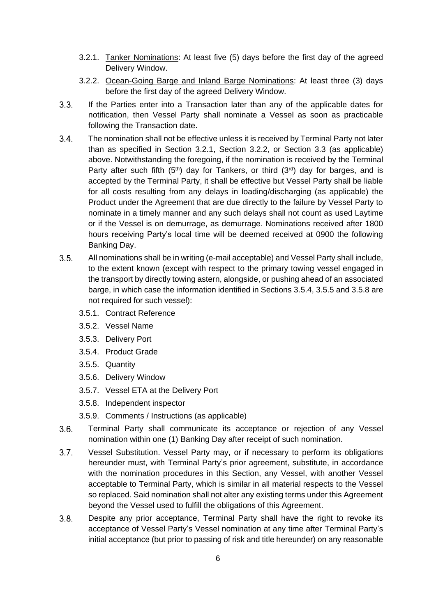- 3.2.1. Tanker Nominations: At least five (5) days before the first day of the agreed Delivery Window.
- 3.2.2. Ocean-Going Barge and Inland Barge Nominations: At least three (3) days before the first day of the agreed Delivery Window.
- $3.3.$ If the Parties enter into a Transaction later than any of the applicable dates for notification, then Vessel Party shall nominate a Vessel as soon as practicable following the Transaction date.
- $3.4.$ The nomination shall not be effective unless it is received by Terminal Party not later than as specified in Section 3.2.1, Section 3.2.2, or Section 3.3 (as applicable) above. Notwithstanding the foregoing, if the nomination is received by the Terminal Party after such fifth  $(5<sup>th</sup>)$  day for Tankers, or third  $(3<sup>rd</sup>)$  day for barges, and is accepted by the Terminal Party, it shall be effective but Vessel Party shall be liable for all costs resulting from any delays in loading/discharging (as applicable) the Product under the Agreement that are due directly to the failure by Vessel Party to nominate in a timely manner and any such delays shall not count as used Laytime or if the Vessel is on demurrage, as demurrage. Nominations received after 1800 hours receiving Party's local time will be deemed received at 0900 the following Banking Day.
- $3.5.$ All nominations shall be in writing (e-mail acceptable) and Vessel Party shall include, to the extent known (except with respect to the primary towing vessel engaged in the transport by directly towing astern, alongside, or pushing ahead of an associated barge, in which case the information identified in Sections 3.5.4, 3.5.5 and 3.5.8 are not required for such vessel):
	- 3.5.1. Contract Reference
	- 3.5.2. Vessel Name
	- 3.5.3. Delivery Port
	- 3.5.4. Product Grade
	- 3.5.5. Quantity
	- 3.5.6. Delivery Window
	- 3.5.7. Vessel ETA at the Delivery Port
	- 3.5.8. Independent inspector
	- 3.5.9. Comments / Instructions (as applicable)
- $3.6.$ Terminal Party shall communicate its acceptance or rejection of any Vessel nomination within one (1) Banking Day after receipt of such nomination.
- $3.7.$ Vessel Substitution. Vessel Party may, or if necessary to perform its obligations hereunder must, with Terminal Party's prior agreement, substitute, in accordance with the nomination procedures in this Section, any Vessel, with another Vessel acceptable to Terminal Party, which is similar in all material respects to the Vessel so replaced. Said nomination shall not alter any existing terms under this Agreement beyond the Vessel used to fulfill the obligations of this Agreement.
- $3.8.$ Despite any prior acceptance, Terminal Party shall have the right to revoke its acceptance of Vessel Party's Vessel nomination at any time after Terminal Party's initial acceptance (but prior to passing of risk and title hereunder) on any reasonable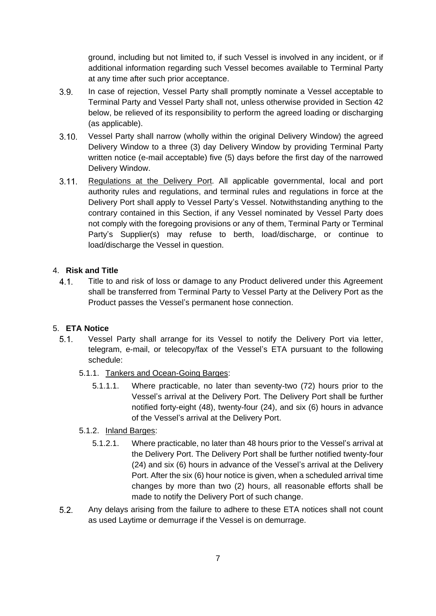ground, including but not limited to, if such Vessel is involved in any incident, or if additional information regarding such Vessel becomes available to Terminal Party at any time after such prior acceptance.

- $3.9.$ In case of rejection, Vessel Party shall promptly nominate a Vessel acceptable to Terminal Party and Vessel Party shall not, unless otherwise provided in Section 42 below, be relieved of its responsibility to perform the agreed loading or discharging (as applicable).
- $3.10.$ Vessel Party shall narrow (wholly within the original Delivery Window) the agreed Delivery Window to a three (3) day Delivery Window by providing Terminal Party written notice (e-mail acceptable) five (5) days before the first day of the narrowed Delivery Window.
- $3.11.$ Regulations at the Delivery Port. All applicable governmental, local and port authority rules and regulations, and terminal rules and regulations in force at the Delivery Port shall apply to Vessel Party's Vessel. Notwithstanding anything to the contrary contained in this Section, if any Vessel nominated by Vessel Party does not comply with the foregoing provisions or any of them, Terminal Party or Terminal Party's Supplier(s) may refuse to berth, load/discharge, or continue to load/discharge the Vessel in question.

## <span id="page-6-0"></span>4. **Risk and Title**

 $4.1.$ Title to and risk of loss or damage to any Product delivered under this Agreement shall be transferred from Terminal Party to Vessel Party at the Delivery Port as the Product passes the Vessel's permanent hose connection.

## <span id="page-6-1"></span>5. **ETA Notice**

- $5.1.$ Vessel Party shall arrange for its Vessel to notify the Delivery Port via letter, telegram, e-mail, or telecopy/fax of the Vessel's ETA pursuant to the following schedule:
	- 5.1.1. Tankers and Ocean-Going Barges:
		- 5.1.1.1. Where practicable, no later than seventy-two (72) hours prior to the Vessel's arrival at the Delivery Port. The Delivery Port shall be further notified forty-eight (48), twenty-four (24), and six (6) hours in advance of the Vessel's arrival at the Delivery Port.

## 5.1.2. Inland Barges:

- 5.1.2.1. Where practicable, no later than 48 hours prior to the Vessel's arrival at the Delivery Port. The Delivery Port shall be further notified twenty-four (24) and six (6) hours in advance of the Vessel's arrival at the Delivery Port. After the six (6) hour notice is given, when a scheduled arrival time changes by more than two (2) hours, all reasonable efforts shall be made to notify the Delivery Port of such change.
- $5.2.$ Any delays arising from the failure to adhere to these ETA notices shall not count as used Laytime or demurrage if the Vessel is on demurrage.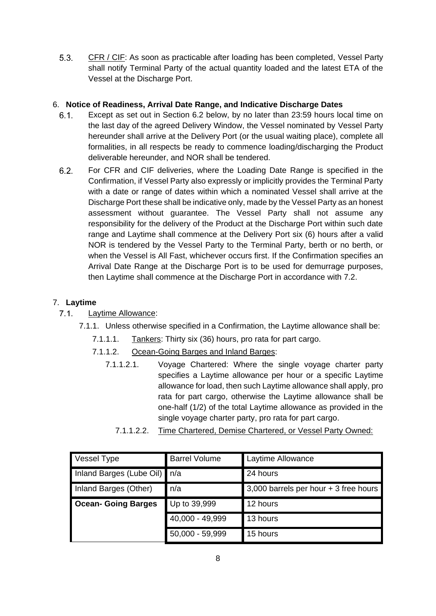$5.3.$ CFR / CIF: As soon as practicable after loading has been completed, Vessel Party shall notify Terminal Party of the actual quantity loaded and the latest ETA of the Vessel at the Discharge Port.

## <span id="page-7-0"></span>6. **Notice of Readiness, Arrival Date Range, and Indicative Discharge Dates**

- Except as set out in Section 6.2 below, by no later than 23:59 hours local time on  $6.1$ the last day of the agreed Delivery Window, the Vessel nominated by Vessel Party hereunder shall arrive at the Delivery Port (or the usual waiting place), complete all formalities, in all respects be ready to commence loading/discharging the Product deliverable hereunder, and NOR shall be tendered.
- $6.2.$ For CFR and CIF deliveries, where the Loading Date Range is specified in the Confirmation, if Vessel Party also expressly or implicitly provides the Terminal Party with a date or range of dates within which a nominated Vessel shall arrive at the Discharge Port these shall be indicative only, made by the Vessel Party as an honest assessment without guarantee. The Vessel Party shall not assume any responsibility for the delivery of the Product at the Discharge Port within such date range and Laytime shall commence at the Delivery Port six (6) hours after a valid NOR is tendered by the Vessel Party to the Terminal Party, berth or no berth, or when the Vessel is All Fast, whichever occurs first. If the Confirmation specifies an Arrival Date Range at the Discharge Port is to be used for demurrage purposes, then Laytime shall commence at the Discharge Port in accordance with 7.2.

## <span id="page-7-1"></span>7. **Laytime**

- $7.1$ Laytime Allowance:
	- 7.1.1. Unless otherwise specified in a Confirmation, the Laytime allowance shall be:
		- 7.1.1.1. Tankers: Thirty six (36) hours, pro rata for part cargo.
		- 7.1.1.2. Ocean-Going Barges and Inland Barges:
			- 7.1.1.2.1. Voyage Chartered: Where the single voyage charter party specifies a Laytime allowance per hour or a specific Laytime allowance for load, then such Laytime allowance shall apply, pro rata for part cargo, otherwise the Laytime allowance shall be one-half (1/2) of the total Laytime allowance as provided in the single voyage charter party, pro rata for part cargo.

| Vessel Type                  | <b>Barrel Volume</b> | Laytime Allowance                     |
|------------------------------|----------------------|---------------------------------------|
| Inland Barges (Lube Oil) n/a |                      | 24 hours                              |
| Inland Barges (Other)        | n/a                  | 3,000 barrels per hour + 3 free hours |
| <b>Ocean- Going Barges</b>   | Up to 39,999         | 12 hours                              |
|                              | 40,000 - 49,999      | 13 hours                              |
|                              | $50,000 - 59,999$    | 15 hours                              |

7.1.1.2.2. Time Chartered, Demise Chartered, or Vessel Party Owned: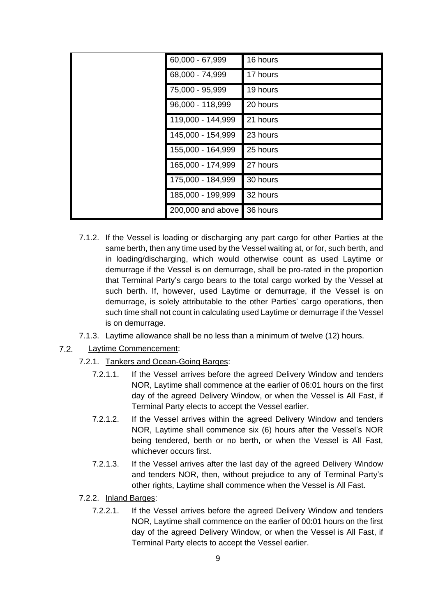| 60,000 - 67,999   | 16 hours |
|-------------------|----------|
| 68,000 - 74,999   | 17 hours |
| 75,000 - 95,999   | 19 hours |
| 96,000 - 118,999  | 20 hours |
| 119,000 - 144,999 | 21 hours |
| 145,000 - 154,999 | 23 hours |
| 155,000 - 164,999 | 25 hours |
| 165,000 - 174,999 | 27 hours |
| 175,000 - 184,999 | 30 hours |
| 185,000 - 199,999 | 32 hours |
| 200,000 and above | 36 hours |

- 7.1.2. If the Vessel is loading or discharging any part cargo for other Parties at the same berth, then any time used by the Vessel waiting at, or for, such berth, and in loading/discharging, which would otherwise count as used Laytime or demurrage if the Vessel is on demurrage, shall be pro-rated in the proportion that Terminal Party's cargo bears to the total cargo worked by the Vessel at such berth. If, however, used Laytime or demurrage, if the Vessel is on demurrage, is solely attributable to the other Parties' cargo operations, then such time shall not count in calculating used Laytime or demurrage if the Vessel is on demurrage.
- 7.1.3. Laytime allowance shall be no less than a minimum of twelve (12) hours.
- $7.2.$ Laytime Commencement:
	- 7.2.1. Tankers and Ocean-Going Barges:
		- 7.2.1.1. If the Vessel arrives before the agreed Delivery Window and tenders NOR, Laytime shall commence at the earlier of 06:01 hours on the first day of the agreed Delivery Window, or when the Vessel is All Fast, if Terminal Party elects to accept the Vessel earlier.
		- 7.2.1.2. If the Vessel arrives within the agreed Delivery Window and tenders NOR, Laytime shall commence six (6) hours after the Vessel's NOR being tendered, berth or no berth, or when the Vessel is All Fast, whichever occurs first.
		- 7.2.1.3. If the Vessel arrives after the last day of the agreed Delivery Window and tenders NOR, then, without prejudice to any of Terminal Party's other rights, Laytime shall commence when the Vessel is All Fast.
	- 7.2.2. Inland Barges:
		- 7.2.2.1. If the Vessel arrives before the agreed Delivery Window and tenders NOR, Laytime shall commence on the earlier of 00:01 hours on the first day of the agreed Delivery Window, or when the Vessel is All Fast, if Terminal Party elects to accept the Vessel earlier.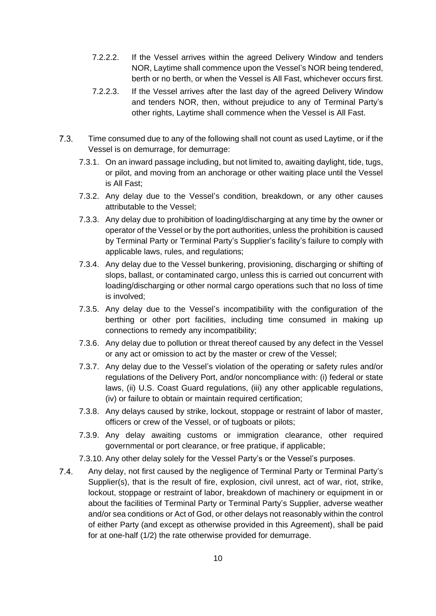- 7.2.2.2. If the Vessel arrives within the agreed Delivery Window and tenders NOR, Laytime shall commence upon the Vessel's NOR being tendered, berth or no berth, or when the Vessel is All Fast, whichever occurs first.
- 7.2.2.3. If the Vessel arrives after the last day of the agreed Delivery Window and tenders NOR, then, without prejudice to any of Terminal Party's other rights, Laytime shall commence when the Vessel is All Fast.
- $7.3$ Time consumed due to any of the following shall not count as used Laytime, or if the Vessel is on demurrage, for demurrage:
	- 7.3.1. On an inward passage including, but not limited to, awaiting daylight, tide, tugs, or pilot, and moving from an anchorage or other waiting place until the Vessel is All Fast;
	- 7.3.2. Any delay due to the Vessel's condition, breakdown, or any other causes attributable to the Vessel;
	- 7.3.3. Any delay due to prohibition of loading/discharging at any time by the owner or operator of the Vessel or by the port authorities, unless the prohibition is caused by Terminal Party or Terminal Party's Supplier's facility's failure to comply with applicable laws, rules, and regulations;
	- 7.3.4. Any delay due to the Vessel bunkering, provisioning, discharging or shifting of slops, ballast, or contaminated cargo, unless this is carried out concurrent with loading/discharging or other normal cargo operations such that no loss of time is involved;
	- 7.3.5. Any delay due to the Vessel's incompatibility with the configuration of the berthing or other port facilities, including time consumed in making up connections to remedy any incompatibility;
	- 7.3.6. Any delay due to pollution or threat thereof caused by any defect in the Vessel or any act or omission to act by the master or crew of the Vessel;
	- 7.3.7. Any delay due to the Vessel's violation of the operating or safety rules and/or regulations of the Delivery Port, and/or noncompliance with: (i) federal or state laws, (ii) U.S. Coast Guard regulations, (iii) any other applicable regulations, (iv) or failure to obtain or maintain required certification;
	- 7.3.8. Any delays caused by strike, lockout, stoppage or restraint of labor of master, officers or crew of the Vessel, or of tugboats or pilots;
	- 7.3.9. Any delay awaiting customs or immigration clearance, other required governmental or port clearance, or free pratique, if applicable;
	- 7.3.10. Any other delay solely for the Vessel Party's or the Vessel's purposes.
- $7.4$ Any delay, not first caused by the negligence of Terminal Party or Terminal Party's Supplier(s), that is the result of fire, explosion, civil unrest, act of war, riot, strike, lockout, stoppage or restraint of labor, breakdown of machinery or equipment in or about the facilities of Terminal Party or Terminal Party's Supplier, adverse weather and/or sea conditions or Act of God, or other delays not reasonably within the control of either Party (and except as otherwise provided in this Agreement), shall be paid for at one-half (1/2) the rate otherwise provided for demurrage.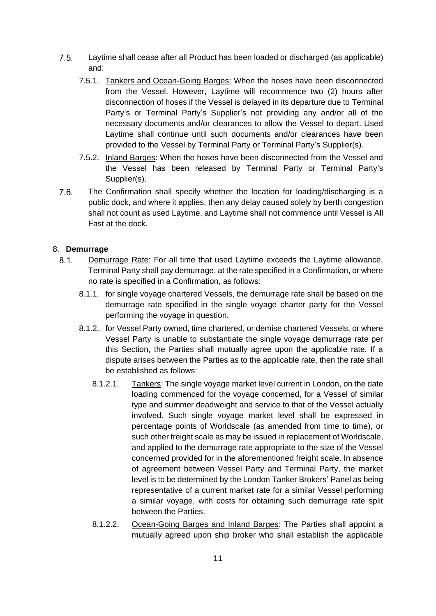- $7.5$ Laytime shall cease after all Product has been loaded or discharged (as applicable) and:
	- 7.5.1. Tankers and Ocean-Going Barges: When the hoses have been disconnected from the Vessel. However, Laytime will recommence two (2) hours after disconnection of hoses if the Vessel is delayed in its departure due to Terminal Party's or Terminal Party's Supplier's not providing any and/or all of the necessary documents and/or clearances to allow the Vessel to depart. Used Laytime shall continue until such documents and/or clearances have been provided to the Vessel by Terminal Party or Terminal Party's Supplier(s).
	- 7.5.2. Inland Barges: When the hoses have been disconnected from the Vessel and the Vessel has been released by Terminal Party or Terminal Party's Supplier(s).
- $7.6$ The Confirmation shall specify whether the location for loading/discharging is a public dock, and where it applies, then any delay caused solely by berth congestion shall not count as used Laytime, and Laytime shall not commence until Vessel is All Fast at the dock.

## <span id="page-10-0"></span>8. **Demurrage**

- $8.1.$ Demurrage Rate: For all time that used Laytime exceeds the Laytime allowance, Terminal Party shall pay demurrage, at the rate specified in a Confirmation, or where no rate is specified in a Confirmation, as follows:
	- 8.1.1. for single voyage chartered Vessels, the demurrage rate shall be based on the demurrage rate specified in the single voyage charter party for the Vessel performing the voyage in question.
	- 8.1.2. for Vessel Party owned, time chartered, or demise chartered Vessels, or where Vessel Party is unable to substantiate the single voyage demurrage rate per this Section, the Parties shall mutually agree upon the applicable rate. If a dispute arises between the Parties as to the applicable rate, then the rate shall be established as follows:
		- 8.1.2.1. Tankers: The single voyage market level current in London, on the date loading commenced for the voyage concerned, for a Vessel of similar type and summer deadweight and service to that of the Vessel actually involved. Such single voyage market level shall be expressed in percentage points of Worldscale (as amended from time to time), or such other freight scale as may be issued in replacement of Worldscale, and applied to the demurrage rate appropriate to the size of the Vessel concerned provided for in the aforementioned freight scale. In absence of agreement between Vessel Party and Terminal Party, the market level is to be determined by the London Tanker Brokers' Panel as being representative of a current market rate for a similar Vessel performing a similar voyage, with costs for obtaining such demurrage rate split between the Parties.
		- 8.1.2.2. Ocean-Going Barges and Inland Barges: The Parties shall appoint a mutually agreed upon ship broker who shall establish the applicable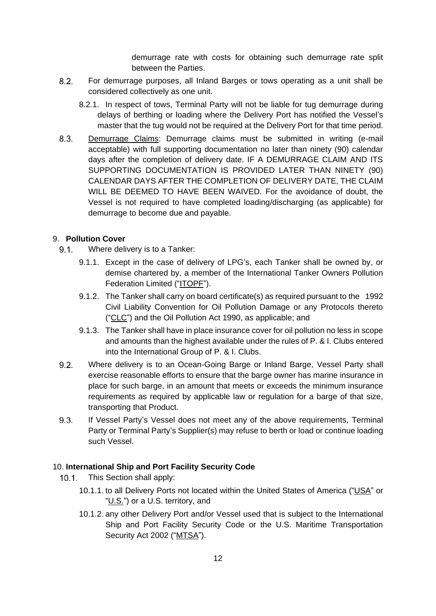demurrage rate with costs for obtaining such demurrage rate split between the Parties.

- $8.2.$ For demurrage purposes, all Inland Barges or tows operating as a unit shall be considered collectively as one unit.
	- 8.2.1. In respect of tows, Terminal Party will not be liable for tug demurrage during delays of berthing or loading where the Delivery Port has notified the Vessel's master that the tug would not be required at the Delivery Port for that time period.
- 8.3. Demurrage Claims: Demurrage claims must be submitted in writing (e-mail acceptable) with full supporting documentation no later than ninety (90) calendar days after the completion of delivery date. IF A DEMURRAGE CLAIM AND ITS SUPPORTING DOCUMENTATION IS PROVIDED LATER THAN NINETY (90) CALENDAR DAYS AFTER THE COMPLETION OF DELIVERY DATE, THE CLAIM WILL BE DEEMED TO HAVE BEEN WAIVED. For the avoidance of doubt, the Vessel is not required to have completed loading/discharging (as applicable) for demurrage to become due and payable.

## <span id="page-11-0"></span>9. **Pollution Cover**

- $9.1$ Where delivery is to a Tanker:
	- 9.1.1. Except in the case of delivery of LPG's, each Tanker shall be owned by, or demise chartered by, a member of the International Tanker Owners Pollution Federation Limited ("ITOPF").
	- 9.1.2. The Tanker shall carry on board certificate(s) as required pursuant to the 1992 Civil Liability Convention for Oil Pollution Damage or any Protocols thereto ("CLC") and the Oil Pollution Act 1990, as applicable; and
	- 9.1.3. The Tanker shall have in place insurance cover for oil pollution no less in scope and amounts than the highest available under the rules of P. & I. Clubs entered into the International Group of P. & I. Clubs.
- $9.2.$ Where delivery is to an Ocean-Going Barge or Inland Barge, Vessel Party shall exercise reasonable efforts to ensure that the barge owner has marine insurance in place for such barge, in an amount that meets or exceeds the minimum insurance requirements as required by applicable law or regulation for a barge of that size, transporting that Product.
- 9.3. If Vessel Party's Vessel does not meet any of the above requirements, Terminal Party or Terminal Party's Supplier(s) may refuse to berth or load or continue loading such Vessel.

### <span id="page-11-1"></span>10. **International Ship and Port Facility Security Code**

- $10.1.$ This Section shall apply:
	- 10.1.1. to all Delivery Ports not located within the United States of America ("USA" or "U.S.") or a U.S. territory, and
	- 10.1.2. any other Delivery Port and/or Vessel used that is subject to the International Ship and Port Facility Security Code or the U.S. Maritime Transportation Security Act 2002 ("MTSA").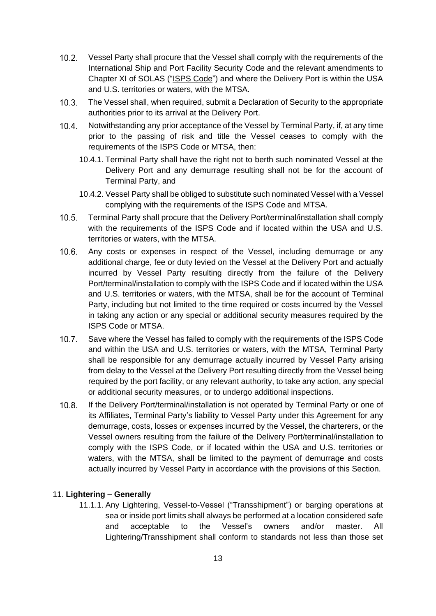- $10.2.$ Vessel Party shall procure that the Vessel shall comply with the requirements of the International Ship and Port Facility Security Code and the relevant amendments to Chapter XI of SOLAS ("ISPS Code") and where the Delivery Port is within the USA and U.S. territories or waters, with the MTSA.
- $10.3<sub>1</sub>$ The Vessel shall, when required, submit a Declaration of Security to the appropriate authorities prior to its arrival at the Delivery Port.
- $10.4.$ Notwithstanding any prior acceptance of the Vessel by Terminal Party, if, at any time prior to the passing of risk and title the Vessel ceases to comply with the requirements of the ISPS Code or MTSA, then:
	- 10.4.1. Terminal Party shall have the right not to berth such nominated Vessel at the Delivery Port and any demurrage resulting shall not be for the account of Terminal Party, and
	- 10.4.2. Vessel Party shall be obliged to substitute such nominated Vessel with a Vessel complying with the requirements of the ISPS Code and MTSA.
- $10.5.$ Terminal Party shall procure that the Delivery Port/terminal/installation shall comply with the requirements of the ISPS Code and if located within the USA and U.S. territories or waters, with the MTSA.
- $10.6.$ Any costs or expenses in respect of the Vessel, including demurrage or any additional charge, fee or duty levied on the Vessel at the Delivery Port and actually incurred by Vessel Party resulting directly from the failure of the Delivery Port/terminal/installation to comply with the ISPS Code and if located within the USA and U.S. territories or waters, with the MTSA, shall be for the account of Terminal Party, including but not limited to the time required or costs incurred by the Vessel in taking any action or any special or additional security measures required by the ISPS Code or MTSA.
- $10.7.$ Save where the Vessel has failed to comply with the requirements of the ISPS Code and within the USA and U.S. territories or waters, with the MTSA, Terminal Party shall be responsible for any demurrage actually incurred by Vessel Party arising from delay to the Vessel at the Delivery Port resulting directly from the Vessel being required by the port facility, or any relevant authority, to take any action, any special or additional security measures, or to undergo additional inspections.
- If the Delivery Port/terminal/installation is not operated by Terminal Party or one of  $10.8.$ its Affiliates, Terminal Party's liability to Vessel Party under this Agreement for any demurrage, costs, losses or expenses incurred by the Vessel, the charterers, or the Vessel owners resulting from the failure of the Delivery Port/terminal/installation to comply with the ISPS Code, or if located within the USA and U.S. territories or waters, with the MTSA, shall be limited to the payment of demurrage and costs actually incurred by Vessel Party in accordance with the provisions of this Section.

## <span id="page-12-0"></span>11. **Lightering – Generally**

11.1.1. Any Lightering, Vessel-to-Vessel ("Transshipment") or barging operations at sea or inside port limits shall always be performed at a location considered safe and acceptable to the Vessel's owners and/or master. All Lightering/Transshipment shall conform to standards not less than those set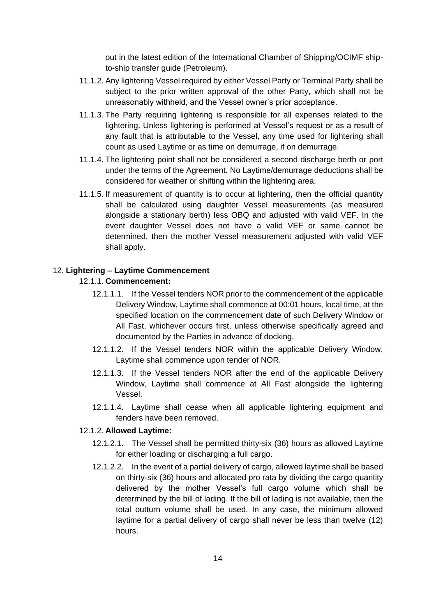out in the latest edition of the International Chamber of Shipping/OCIMF shipto-ship transfer guide (Petroleum).

- 11.1.2. Any lightering Vessel required by either Vessel Party or Terminal Party shall be subject to the prior written approval of the other Party, which shall not be unreasonably withheld, and the Vessel owner's prior acceptance.
- 11.1.3. The Party requiring lightering is responsible for all expenses related to the lightering. Unless lightering is performed at Vessel's request or as a result of any fault that is attributable to the Vessel, any time used for lightering shall count as used Laytime or as time on demurrage, if on demurrage.
- 11.1.4. The lightering point shall not be considered a second discharge berth or port under the terms of the Agreement. No Laytime/demurrage deductions shall be considered for weather or shifting within the lightering area.
- 11.1.5. If measurement of quantity is to occur at lightering, then the official quantity shall be calculated using daughter Vessel measurements (as measured alongside a stationary berth) less OBQ and adjusted with valid VEF. In the event daughter Vessel does not have a valid VEF or same cannot be determined, then the mother Vessel measurement adjusted with valid VEF shall apply.

### <span id="page-13-0"></span>12. **Lightering – Laytime Commencement**

### 12.1.1. **Commencement:**

- 12.1.1.1. If the Vessel tenders NOR prior to the commencement of the applicable Delivery Window, Laytime shall commence at 00:01 hours, local time, at the specified location on the commencement date of such Delivery Window or All Fast, whichever occurs first, unless otherwise specifically agreed and documented by the Parties in advance of docking.
- 12.1.1.2. If the Vessel tenders NOR within the applicable Delivery Window, Laytime shall commence upon tender of NOR.
- 12.1.1.3. If the Vessel tenders NOR after the end of the applicable Delivery Window, Laytime shall commence at All Fast alongside the lightering Vessel.
- 12.1.1.4. Laytime shall cease when all applicable lightering equipment and fenders have been removed.

## 12.1.2. **Allowed Laytime:**

- 12.1.2.1. The Vessel shall be permitted thirty-six (36) hours as allowed Laytime for either loading or discharging a full cargo.
- 12.1.2.2. In the event of a partial delivery of cargo, allowed laytime shall be based on thirty-six (36) hours and allocated pro rata by dividing the cargo quantity delivered by the mother Vessel's full cargo volume which shall be determined by the bill of lading. If the bill of lading is not available, then the total outturn volume shall be used. In any case, the minimum allowed laytime for a partial delivery of cargo shall never be less than twelve (12) hours.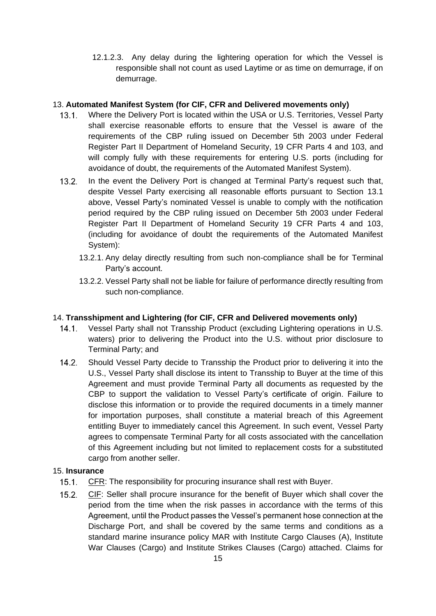12.1.2.3. Any delay during the lightering operation for which the Vessel is responsible shall not count as used Laytime or as time on demurrage, if on demurrage.

## <span id="page-14-0"></span>13. **Automated Manifest System (for CIF, CFR and Delivered movements only)**

- Where the Delivery Port is located within the USA or U.S. Territories, Vessel Party  $13.1$ shall exercise reasonable efforts to ensure that the Vessel is aware of the requirements of the CBP ruling issued on December 5th 2003 under Federal Register Part II Department of Homeland Security, 19 CFR Parts 4 and 103, and will comply fully with these requirements for entering U.S. ports (including for avoidance of doubt, the requirements of the Automated Manifest System).
- $13.2.$ In the event the Delivery Port is changed at Terminal Party's request such that, despite Vessel Party exercising all reasonable efforts pursuant to Section 13.1 above, Vessel Party's nominated Vessel is unable to comply with the notification period required by the CBP ruling issued on December 5th 2003 under Federal Register Part II Department of Homeland Security 19 CFR Parts 4 and 103, (including for avoidance of doubt the requirements of the Automated Manifest System):
	- 13.2.1. Any delay directly resulting from such non-compliance shall be for Terminal Party's account.
	- 13.2.2. Vessel Party shall not be liable for failure of performance directly resulting from such non-compliance.

## <span id="page-14-1"></span>14. **Transshipment and Lightering (for CIF, CFR and Delivered movements only)**

- Vessel Party shall not Transship Product (excluding Lightering operations in U.S.  $14.1.$ waters) prior to delivering the Product into the U.S. without prior disclosure to Terminal Party; and
- $14.2.$ Should Vessel Party decide to Transship the Product prior to delivering it into the U.S., Vessel Party shall disclose its intent to Transship to Buyer at the time of this Agreement and must provide Terminal Party all documents as requested by the CBP to support the validation to Vessel Party's certificate of origin. Failure to disclose this information or to provide the required documents in a timely manner for importation purposes, shall constitute a material breach of this Agreement entitling Buyer to immediately cancel this Agreement. In such event, Vessel Party agrees to compensate Terminal Party for all costs associated with the cancellation of this Agreement including but not limited to replacement costs for a substituted cargo from another seller.

## <span id="page-14-2"></span>15. **Insurance**

- $15.1.$ CFR: The responsibility for procuring insurance shall rest with Buyer.
- $15.2<sub>1</sub>$ CIF: Seller shall procure insurance for the benefit of Buyer which shall cover the period from the time when the risk passes in accordance with the terms of this Agreement, until the Product passes the Vessel's permanent hose connection at the Discharge Port, and shall be covered by the same terms and conditions as a standard marine insurance policy MAR with Institute Cargo Clauses (A), Institute War Clauses (Cargo) and Institute Strikes Clauses (Cargo) attached. Claims for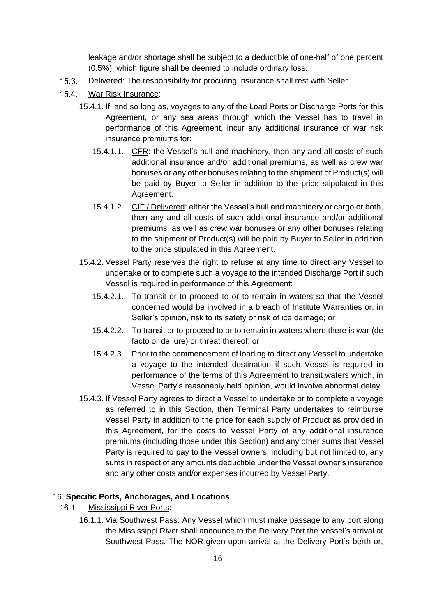leakage and/or shortage shall be subject to a deductible of one-half of one percent (0.5%), which figure shall be deemed to include ordinary loss.

- $15.3.$ Delivered: The responsibility for procuring insurance shall rest with Seller.
- $15.4.$ War Risk Insurance:
	- 15.4.1. If, and so long as, voyages to any of the Load Ports or Discharge Ports for this Agreement, or any sea areas through which the Vessel has to travel in performance of this Agreement, incur any additional insurance or war risk insurance premiums for:
		- 15.4.1.1. CFR: the Vessel's hull and machinery, then any and all costs of such additional insurance and/or additional premiums, as well as crew war bonuses or any other bonuses relating to the shipment of Product(s) will be paid by Buyer to Seller in addition to the price stipulated in this Agreement.
		- 15.4.1.2. CIF / Delivered: either the Vessel's hull and machinery or cargo or both, then any and all costs of such additional insurance and/or additional premiums, as well as crew war bonuses or any other bonuses relating to the shipment of Product(s) will be paid by Buyer to Seller in addition to the price stipulated in this Agreement.
	- 15.4.2. Vessel Party reserves the right to refuse at any time to direct any Vessel to undertake or to complete such a voyage to the intended Discharge Port if such Vessel is required in performance of this Agreement:
		- 15.4.2.1. To transit or to proceed to or to remain in waters so that the Vessel concerned would be involved in a breach of Institute Warranties or, in Seller's opinion, risk to its safety or risk of ice damage; or
		- 15.4.2.2. To transit or to proceed to or to remain in waters where there is war (de facto or de jure) or threat thereof; or
		- 15.4.2.3. Prior to the commencement of loading to direct any Vessel to undertake a voyage to the intended destination if such Vessel is required in performance of the terms of this Agreement to transit waters which, in Vessel Party's reasonably held opinion, would involve abnormal delay.
	- 15.4.3. If Vessel Party agrees to direct a Vessel to undertake or to complete a voyage as referred to in this Section, then Terminal Party undertakes to reimburse Vessel Party in addition to the price for each supply of Product as provided in this Agreement, for the costs to Vessel Party of any additional insurance premiums (including those under this Section) and any other sums that Vessel Party is required to pay to the Vessel owners, including but not limited to, any sums in respect of any amounts deductible under the Vessel owner's insurance and any other costs and/or expenses incurred by Vessel Party.

## <span id="page-15-0"></span>16. **Specific Ports, Anchorages, and Locations**

- $16.1.$ Mississippi River Ports:
	- 16.1.1. Via Southwest Pass: Any Vessel which must make passage to any port along the Mississippi River shall announce to the Delivery Port the Vessel's arrival at Southwest Pass. The NOR given upon arrival at the Delivery Port's berth or,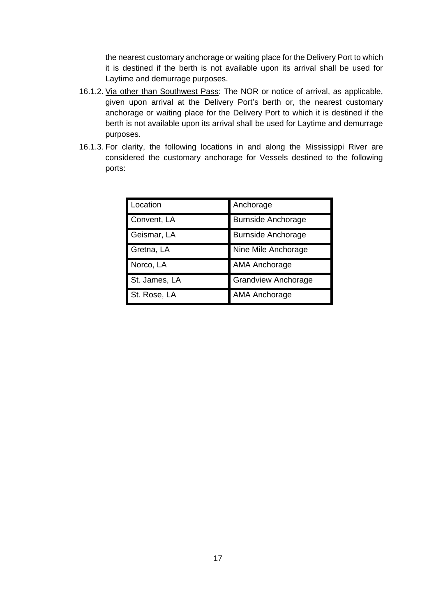the nearest customary anchorage or waiting place for the Delivery Port to which it is destined if the berth is not available upon its arrival shall be used for Laytime and demurrage purposes.

- 16.1.2. Via other than Southwest Pass: The NOR or notice of arrival, as applicable, given upon arrival at the Delivery Port's berth or, the nearest customary anchorage or waiting place for the Delivery Port to which it is destined if the berth is not available upon its arrival shall be used for Laytime and demurrage purposes.
- 16.1.3. For clarity, the following locations in and along the Mississippi River are considered the customary anchorage for Vessels destined to the following ports:

| Location      | Anchorage                  |
|---------------|----------------------------|
| Convent, LA   | <b>Burnside Anchorage</b>  |
| Geismar, LA   | <b>Burnside Anchorage</b>  |
| Gretna, LA    | Nine Mile Anchorage        |
| Norco, LA     | <b>AMA Anchorage</b>       |
| St. James, LA | <b>Grandview Anchorage</b> |
| St. Rose, LA  | <b>AMA Anchorage</b>       |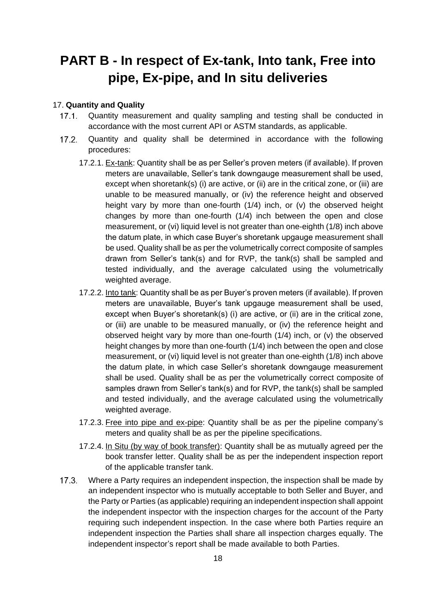## <span id="page-17-0"></span>**PART B - In respect of Ex-tank, Into tank, Free into pipe, Ex-pipe, and In situ deliveries**

### <span id="page-17-1"></span>17. **Quantity and Quality**

- $17.1.$ Quantity measurement and quality sampling and testing shall be conducted in accordance with the most current API or ASTM standards, as applicable.
- Quantity and quality shall be determined in accordance with the following  $17.2$ procedures:
	- 17.2.1. Ex-tank: Quantity shall be as per Seller's proven meters (if available). If proven meters are unavailable, Seller's tank downgauge measurement shall be used, except when shoretank(s) (i) are active, or (ii) are in the critical zone, or (iii) are unable to be measured manually, or (iv) the reference height and observed height vary by more than one-fourth (1/4) inch, or (v) the observed height changes by more than one-fourth (1/4) inch between the open and close measurement, or (vi) liquid level is not greater than one-eighth (1/8) inch above the datum plate, in which case Buyer's shoretank upgauge measurement shall be used. Quality shall be as per the volumetrically correct composite of samples drawn from Seller's tank(s) and for RVP, the tank(s) shall be sampled and tested individually, and the average calculated using the volumetrically weighted average.
	- 17.2.2. Into tank: Quantity shall be as per Buyer's proven meters (if available). If proven meters are unavailable, Buyer's tank upgauge measurement shall be used, except when Buyer's shoretank(s) (i) are active, or (ii) are in the critical zone, or (iii) are unable to be measured manually, or (iv) the reference height and observed height vary by more than one-fourth (1/4) inch, or (v) the observed height changes by more than one-fourth (1/4) inch between the open and close measurement, or (vi) liquid level is not greater than one-eighth (1/8) inch above the datum plate, in which case Seller's shoretank downgauge measurement shall be used. Quality shall be as per the volumetrically correct composite of samples drawn from Seller's tank(s) and for RVP, the tank(s) shall be sampled and tested individually, and the average calculated using the volumetrically weighted average.
	- 17.2.3. Free into pipe and ex-pipe: Quantity shall be as per the pipeline company's meters and quality shall be as per the pipeline specifications.
	- 17.2.4. In Situ (by way of book transfer): Quantity shall be as mutually agreed per the book transfer letter. Quality shall be as per the independent inspection report of the applicable transfer tank.
- Where a Party requires an independent inspection, the inspection shall be made by  $17.3$ an independent inspector who is mutually acceptable to both Seller and Buyer, and the Party or Parties (as applicable) requiring an independent inspection shall appoint the independent inspector with the inspection charges for the account of the Party requiring such independent inspection. In the case where both Parties require an independent inspection the Parties shall share all inspection charges equally. The independent inspector's report shall be made available to both Parties.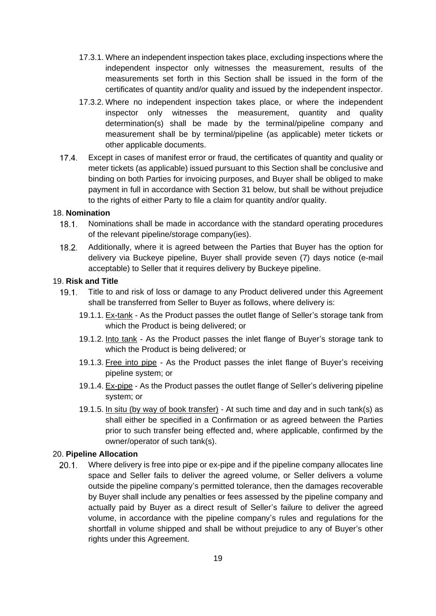- 17.3.1. Where an independent inspection takes place, excluding inspections where the independent inspector only witnesses the measurement, results of the measurements set forth in this Section shall be issued in the form of the certificates of quantity and/or quality and issued by the independent inspector.
- 17.3.2. Where no independent inspection takes place, or where the independent inspector only witnesses the measurement, quantity and quality determination(s) shall be made by the terminal/pipeline company and measurement shall be by terminal/pipeline (as applicable) meter tickets or other applicable documents.
- $17.4$ Except in cases of manifest error or fraud, the certificates of quantity and quality or meter tickets (as applicable) issued pursuant to this Section shall be conclusive and binding on both Parties for invoicing purposes, and Buyer shall be obliged to make payment in full in accordance with Section 31 below, but shall be without prejudice to the rights of either Party to file a claim for quantity and/or quality.

#### <span id="page-18-0"></span>18. **Nomination**

- $18.1.$ Nominations shall be made in accordance with the standard operating procedures of the relevant pipeline/storage company(ies).
- $18.2.$ Additionally, where it is agreed between the Parties that Buyer has the option for delivery via Buckeye pipeline, Buyer shall provide seven (7) days notice (e-mail acceptable) to Seller that it requires delivery by Buckeye pipeline.

#### <span id="page-18-1"></span>19. **Risk and Title**

- Title to and risk of loss or damage to any Product delivered under this Agreement  $19.1.$ shall be transferred from Seller to Buyer as follows, where delivery is:
	- 19.1.1. Ex-tank As the Product passes the outlet flange of Seller's storage tank from which the Product is being delivered; or
	- 19.1.2. Into tank As the Product passes the inlet flange of Buyer's storage tank to which the Product is being delivered; or
	- 19.1.3. Free into pipe As the Product passes the inlet flange of Buyer's receiving pipeline system; or
	- 19.1.4. Ex-pipe As the Product passes the outlet flange of Seller's delivering pipeline system; or
	- 19.1.5. In situ (by way of book transfer) At such time and day and in such tank(s) as shall either be specified in a Confirmation or as agreed between the Parties prior to such transfer being effected and, where applicable, confirmed by the owner/operator of such tank(s).

#### <span id="page-18-2"></span>20. **Pipeline Allocation**

Where delivery is free into pipe or ex-pipe and if the pipeline company allocates line  $20.1$ space and Seller fails to deliver the agreed volume, or Seller delivers a volume outside the pipeline company's permitted tolerance, then the damages recoverable by Buyer shall include any penalties or fees assessed by the pipeline company and actually paid by Buyer as a direct result of Seller's failure to deliver the agreed volume, in accordance with the pipeline company's rules and regulations for the shortfall in volume shipped and shall be without prejudice to any of Buyer's other rights under this Agreement.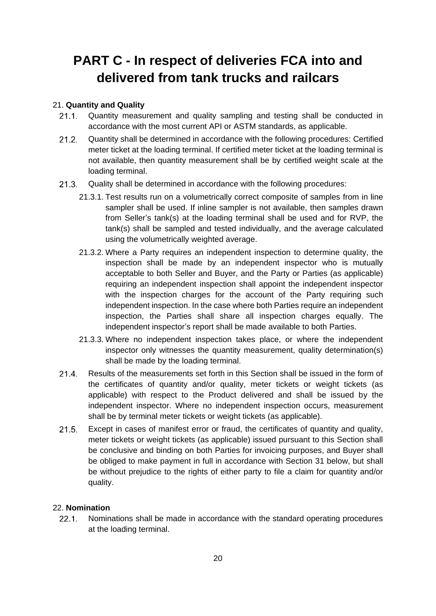## <span id="page-19-0"></span>**PART C - In respect of deliveries FCA into and delivered from tank trucks and railcars**

## <span id="page-19-1"></span>21. **Quantity and Quality**

- $21.1.$ Quantity measurement and quality sampling and testing shall be conducted in accordance with the most current API or ASTM standards, as applicable.
- $21.2$ Quantity shall be determined in accordance with the following procedures: Certified meter ticket at the loading terminal. If certified meter ticket at the loading terminal is not available, then quantity measurement shall be by certified weight scale at the loading terminal.
- $21.3.$ Quality shall be determined in accordance with the following procedures:
	- 21.3.1. Test results run on a volumetrically correct composite of samples from in line sampler shall be used. If inline sampler is not available, then samples drawn from Seller's tank(s) at the loading terminal shall be used and for RVP, the tank(s) shall be sampled and tested individually, and the average calculated using the volumetrically weighted average.
	- 21.3.2. Where a Party requires an independent inspection to determine quality, the inspection shall be made by an independent inspector who is mutually acceptable to both Seller and Buyer, and the Party or Parties (as applicable) requiring an independent inspection shall appoint the independent inspector with the inspection charges for the account of the Party requiring such independent inspection. In the case where both Parties require an independent inspection, the Parties shall share all inspection charges equally. The independent inspector's report shall be made available to both Parties.
	- 21.3.3. Where no independent inspection takes place, or where the independent inspector only witnesses the quantity measurement, quality determination(s) shall be made by the loading terminal.
- $21.4$ Results of the measurements set forth in this Section shall be issued in the form of the certificates of quantity and/or quality, meter tickets or weight tickets (as applicable) with respect to the Product delivered and shall be issued by the independent inspector. Where no independent inspection occurs, measurement shall be by terminal meter tickets or weight tickets (as applicable).
- $21.5$ Except in cases of manifest error or fraud, the certificates of quantity and quality, meter tickets or weight tickets (as applicable) issued pursuant to this Section shall be conclusive and binding on both Parties for invoicing purposes, and Buyer shall be obliged to make payment in full in accordance with Section 31 below, but shall be without prejudice to the rights of either party to file a claim for quantity and/or quality.

## <span id="page-19-2"></span>22. **Nomination**

 $22.1$ Nominations shall be made in accordance with the standard operating procedures at the loading terminal.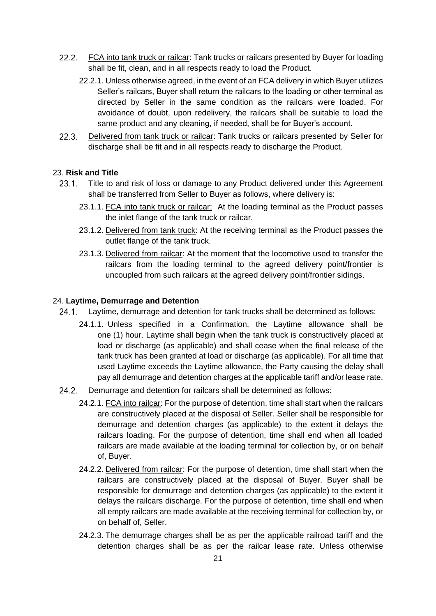- 22.2. FCA into tank truck or railcar: Tank trucks or railcars presented by Buyer for loading shall be fit, clean, and in all respects ready to load the Product.
	- 22.2.1. Unless otherwise agreed, in the event of an FCA delivery in which Buyer utilizes Seller's railcars, Buyer shall return the railcars to the loading or other terminal as directed by Seller in the same condition as the railcars were loaded. For avoidance of doubt, upon redelivery, the railcars shall be suitable to load the same product and any cleaning, if needed, shall be for Buyer's account.
- $22.3.$ Delivered from tank truck or railcar: Tank trucks or railcars presented by Seller for discharge shall be fit and in all respects ready to discharge the Product.

## <span id="page-20-0"></span>23. **Risk and Title**

- $23.1$ Title to and risk of loss or damage to any Product delivered under this Agreement shall be transferred from Seller to Buyer as follows, where delivery is:
	- 23.1.1. FCA into tank truck or railcar: At the loading terminal as the Product passes the inlet flange of the tank truck or railcar.
	- 23.1.2. Delivered from tank truck: At the receiving terminal as the Product passes the outlet flange of the tank truck.
	- 23.1.3. Delivered from railcar: At the moment that the locomotive used to transfer the railcars from the loading terminal to the agreed delivery point/frontier is uncoupled from such railcars at the agreed delivery point/frontier sidings.

#### <span id="page-20-1"></span>24. **Laytime, Demurrage and Detention**

- $24.1$ Laytime, demurrage and detention for tank trucks shall be determined as follows:
	- 24.1.1. Unless specified in a Confirmation, the Laytime allowance shall be one (1) hour. Laytime shall begin when the tank truck is constructively placed at load or discharge (as applicable) and shall cease when the final release of the tank truck has been granted at load or discharge (as applicable). For all time that used Laytime exceeds the Laytime allowance, the Party causing the delay shall pay all demurrage and detention charges at the applicable tariff and/or lease rate.
- 24.2. Demurrage and detention for railcars shall be determined as follows:
	- 24.2.1. FCA into railcar: For the purpose of detention, time shall start when the railcars are constructively placed at the disposal of Seller. Seller shall be responsible for demurrage and detention charges (as applicable) to the extent it delays the railcars loading. For the purpose of detention, time shall end when all loaded railcars are made available at the loading terminal for collection by, or on behalf of, Buyer.
	- 24.2.2. Delivered from railcar: For the purpose of detention, time shall start when the railcars are constructively placed at the disposal of Buyer. Buyer shall be responsible for demurrage and detention charges (as applicable) to the extent it delays the railcars discharge. For the purpose of detention, time shall end when all empty railcars are made available at the receiving terminal for collection by, or on behalf of, Seller.
	- 24.2.3. The demurrage charges shall be as per the applicable railroad tariff and the detention charges shall be as per the railcar lease rate. Unless otherwise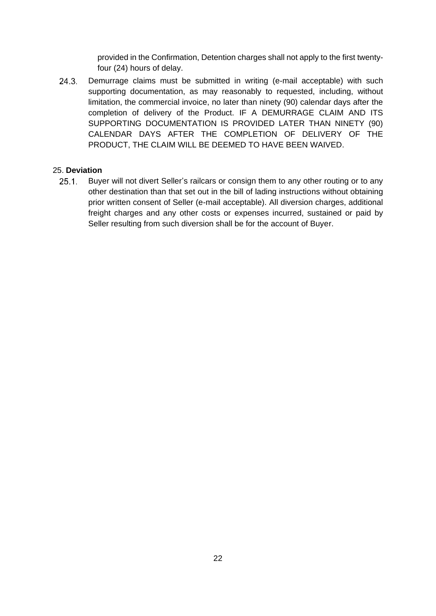provided in the Confirmation, Detention charges shall not apply to the first twentyfour (24) hours of delay.

 $24.3.$ Demurrage claims must be submitted in writing (e-mail acceptable) with such supporting documentation, as may reasonably to requested, including, without limitation, the commercial invoice, no later than ninety (90) calendar days after the completion of delivery of the Product. IF A DEMURRAGE CLAIM AND ITS SUPPORTING DOCUMENTATION IS PROVIDED LATER THAN NINETY (90) CALENDAR DAYS AFTER THE COMPLETION OF DELIVERY OF THE PRODUCT, THE CLAIM WILL BE DEEMED TO HAVE BEEN WAIVED.

## <span id="page-21-0"></span>25. **Deviation**

 $25.1$ Buyer will not divert Seller's railcars or consign them to any other routing or to any other destination than that set out in the bill of lading instructions without obtaining prior written consent of Seller (e-mail acceptable). All diversion charges, additional freight charges and any other costs or expenses incurred, sustained or paid by Seller resulting from such diversion shall be for the account of Buyer.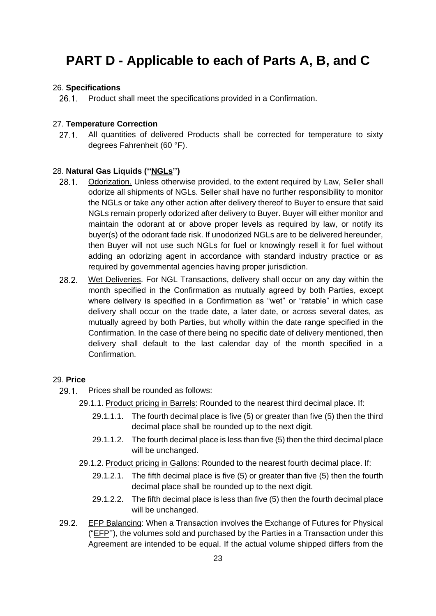## <span id="page-22-0"></span>**PART D - Applicable to each of Parts A, B, and C**

### <span id="page-22-1"></span>26. **Specifications**

 $26.1$ Product shall meet the specifications provided in a Confirmation.

## <span id="page-22-2"></span>27. **Temperature Correction**

 $27.1.$ All quantities of delivered Products shall be corrected for temperature to sixty degrees Fahrenheit (60 °F).

#### <span id="page-22-3"></span>28. **Natural Gas Liquids (''NGLs'')**

- $28.1.$ Odorization. Unless otherwise provided, to the extent required by Law, Seller shall odorize all shipments of NGLs. Seller shall have no further responsibility to monitor the NGLs or take any other action after delivery thereof to Buyer to ensure that said NGLs remain properly odorized after delivery to Buyer. Buyer will either monitor and maintain the odorant at or above proper levels as required by law, or notify its buyer(s) of the odorant fade risk. If unodorized NGLs are to be delivered hereunder, then Buyer will not use such NGLs for fuel or knowingly resell it for fuel without adding an odorizing agent in accordance with standard industry practice or as required by governmental agencies having proper jurisdiction.
- $28.2.$ Wet Deliveries. For NGL Transactions, delivery shall occur on any day within the month specified in the Confirmation as mutually agreed by both Parties, except where delivery is specified in a Confirmation as "wet" or "ratable" in which case delivery shall occur on the trade date, a later date, or across several dates, as mutually agreed by both Parties, but wholly within the date range specified in the Confirmation. In the case of there being no specific date of delivery mentioned, then delivery shall default to the last calendar day of the month specified in a Confirmation.

#### <span id="page-22-4"></span>29. **Price**

- $29.1$ Prices shall be rounded as follows:
	- 29.1.1. Product pricing in Barrels: Rounded to the nearest third decimal place. If:
		- 29.1.1.1. The fourth decimal place is five (5) or greater than five (5) then the third decimal place shall be rounded up to the next digit.
		- 29.1.1.2. The fourth decimal place is less than five (5) then the third decimal place will be unchanged.
	- 29.1.2. Product pricing in Gallons: Rounded to the nearest fourth decimal place. If:
		- 29.1.2.1. The fifth decimal place is five (5) or greater than five (5) then the fourth decimal place shall be rounded up to the next digit.
		- 29.1.2.2. The fifth decimal place is less than five (5) then the fourth decimal place will be unchanged.
- $29.2.$ EFP Balancing: When a Transaction involves the Exchange of Futures for Physical ("EFP''), the volumes sold and purchased by the Parties in a Transaction under this Agreement are intended to be equal. If the actual volume shipped differs from the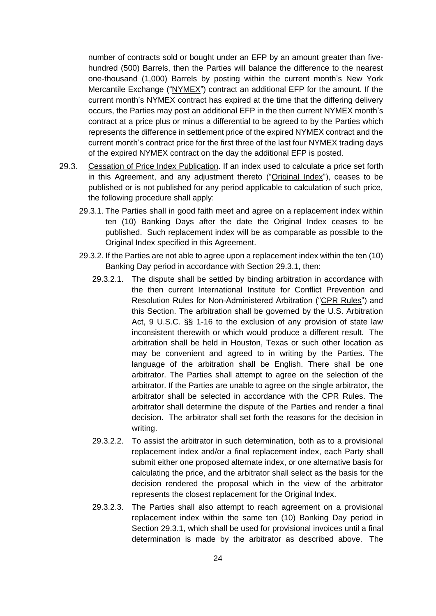number of contracts sold or bought under an EFP by an amount greater than fivehundred (500) Barrels, then the Parties will balance the difference to the nearest one-thousand (1,000) Barrels by posting within the current month's New York Mercantile Exchange ("NYMEX") contract an additional EFP for the amount. If the current month's NYMEX contract has expired at the time that the differing delivery occurs, the Parties may post an additional EFP in the then current NYMEX month's contract at a price plus or minus a differential to be agreed to by the Parties which represents the difference in settlement price of the expired NYMEX contract and the current month's contract price for the first three of the last four NYMEX trading days of the expired NYMEX contract on the day the additional EFP is posted.

- $29.3$ Cessation of Price Index Publication. If an index used to calculate a price set forth in this Agreement, and any adjustment thereto ("Original Index"), ceases to be published or is not published for any period applicable to calculation of such price, the following procedure shall apply:
	- 29.3.1. The Parties shall in good faith meet and agree on a replacement index within ten (10) Banking Days after the date the Original Index ceases to be published. Such replacement index will be as comparable as possible to the Original Index specified in this Agreement.
	- 29.3.2. If the Parties are not able to agree upon a replacement index within the ten (10) Banking Day period in accordance with Section 29.3.1, then:
		- 29.3.2.1. The dispute shall be settled by binding arbitration in accordance with the then current International Institute for Conflict Prevention and Resolution Rules for Non-Administered Arbitration ("CPR Rules") and this Section. The arbitration shall be governed by the U.S. Arbitration Act, 9 U.S.C. §§ 1-16 to the exclusion of any provision of state law inconsistent therewith or which would produce a different result. The arbitration shall be held in Houston, Texas or such other location as may be convenient and agreed to in writing by the Parties. The language of the arbitration shall be English. There shall be one arbitrator. The Parties shall attempt to agree on the selection of the arbitrator. If the Parties are unable to agree on the single arbitrator, the arbitrator shall be selected in accordance with the CPR Rules. The arbitrator shall determine the dispute of the Parties and render a final decision. The arbitrator shall set forth the reasons for the decision in writing.
		- 29.3.2.2. To assist the arbitrator in such determination, both as to a provisional replacement index and/or a final replacement index, each Party shall submit either one proposed alternate index, or one alternative basis for calculating the price, and the arbitrator shall select as the basis for the decision rendered the proposal which in the view of the arbitrator represents the closest replacement for the Original Index.
		- 29.3.2.3. The Parties shall also attempt to reach agreement on a provisional replacement index within the same ten (10) Banking Day period in Section 29.3.1, which shall be used for provisional invoices until a final determination is made by the arbitrator as described above. The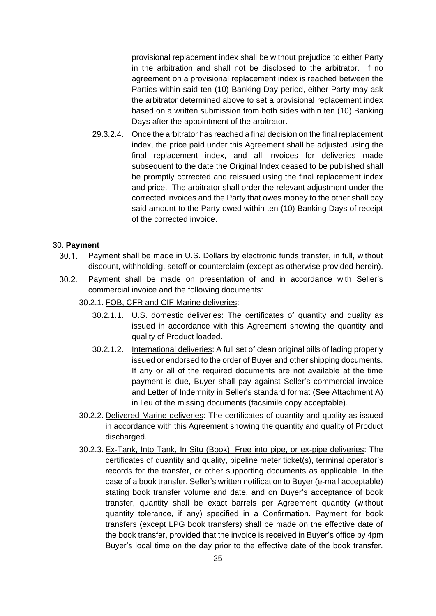provisional replacement index shall be without prejudice to either Party in the arbitration and shall not be disclosed to the arbitrator. If no agreement on a provisional replacement index is reached between the Parties within said ten (10) Banking Day period, either Party may ask the arbitrator determined above to set a provisional replacement index based on a written submission from both sides within ten (10) Banking Days after the appointment of the arbitrator.

29.3.2.4. Once the arbitrator has reached a final decision on the final replacement index, the price paid under this Agreement shall be adjusted using the final replacement index, and all invoices for deliveries made subsequent to the date the Original Index ceased to be published shall be promptly corrected and reissued using the final replacement index and price. The arbitrator shall order the relevant adjustment under the corrected invoices and the Party that owes money to the other shall pay said amount to the Party owed within ten (10) Banking Days of receipt of the corrected invoice.

## <span id="page-24-0"></span>30. **Payment**

- $30.1.$ Payment shall be made in U.S. Dollars by electronic funds transfer, in full, without discount, withholding, setoff or counterclaim (except as otherwise provided herein).
- $30.2.$ Payment shall be made on presentation of and in accordance with Seller's commercial invoice and the following documents:
	- 30.2.1. FOB, CFR and CIF Marine deliveries:
		- 30.2.1.1. U.S. domestic deliveries: The certificates of quantity and quality as issued in accordance with this Agreement showing the quantity and quality of Product loaded.
		- 30.2.1.2. International deliveries: A full set of clean original bills of lading properly issued or endorsed to the order of Buyer and other shipping documents. If any or all of the required documents are not available at the time payment is due, Buyer shall pay against Seller's commercial invoice and Letter of Indemnity in Seller's standard format (See Attachment A) in lieu of the missing documents (facsimile copy acceptable).
	- 30.2.2. Delivered Marine deliveries: The certificates of quantity and quality as issued in accordance with this Agreement showing the quantity and quality of Product discharged.
	- 30.2.3. Ex-Tank, Into Tank, In Situ (Book), Free into pipe, or ex-pipe deliveries: The certificates of quantity and quality, pipeline meter ticket(s), terminal operator's records for the transfer, or other supporting documents as applicable. In the case of a book transfer, Seller's written notification to Buyer (e-mail acceptable) stating book transfer volume and date, and on Buyer's acceptance of book transfer, quantity shall be exact barrels per Agreement quantity (without quantity tolerance, if any) specified in a Confirmation. Payment for book transfers (except LPG book transfers) shall be made on the effective date of the book transfer, provided that the invoice is received in Buyer's office by 4pm Buyer's local time on the day prior to the effective date of the book transfer.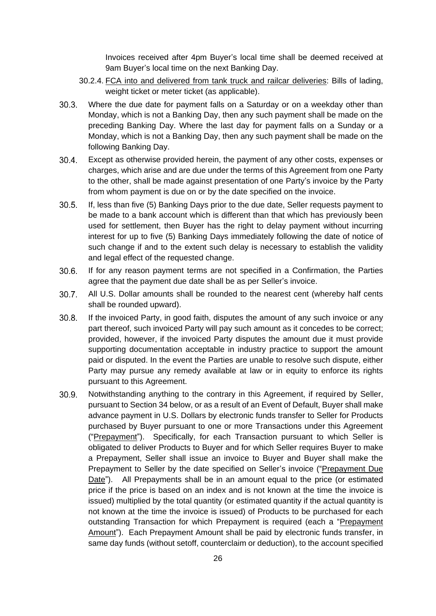Invoices received after 4pm Buyer's local time shall be deemed received at 9am Buyer's local time on the next Banking Day.

- 30.2.4. FCA into and delivered from tank truck and railcar deliveries: Bills of lading, weight ticket or meter ticket (as applicable).
- $30.3.$ Where the due date for payment falls on a Saturday or on a weekday other than Monday, which is not a Banking Day, then any such payment shall be made on the preceding Banking Day. Where the last day for payment falls on a Sunday or a Monday, which is not a Banking Day, then any such payment shall be made on the following Banking Day.
- $30.4.$ Except as otherwise provided herein, the payment of any other costs, expenses or charges, which arise and are due under the terms of this Agreement from one Party to the other, shall be made against presentation of one Party's invoice by the Party from whom payment is due on or by the date specified on the invoice.
- $30.5.$ If, less than five (5) Banking Days prior to the due date, Seller requests payment to be made to a bank account which is different than that which has previously been used for settlement, then Buyer has the right to delay payment without incurring interest for up to five (5) Banking Days immediately following the date of notice of such change if and to the extent such delay is necessary to establish the validity and legal effect of the requested change.
- $30.6.$ If for any reason payment terms are not specified in a Confirmation, the Parties agree that the payment due date shall be as per Seller's invoice.
- $30.7<sub>•</sub>$ All U.S. Dollar amounts shall be rounded to the nearest cent (whereby half cents shall be rounded upward).
- $30.8.$ If the invoiced Party, in good faith, disputes the amount of any such invoice or any part thereof, such invoiced Party will pay such amount as it concedes to be correct; provided, however, if the invoiced Party disputes the amount due it must provide supporting documentation acceptable in industry practice to support the amount paid or disputed. In the event the Parties are unable to resolve such dispute, either Party may pursue any remedy available at law or in equity to enforce its rights pursuant to this Agreement.
- $30.9.$ Notwithstanding anything to the contrary in this Agreement, if required by Seller, pursuant to Section 34 below, or as a result of an Event of Default, Buyer shall make advance payment in U.S. Dollars by electronic funds transfer to Seller for Products purchased by Buyer pursuant to one or more Transactions under this Agreement ("Prepayment"). Specifically, for each Transaction pursuant to which Seller is obligated to deliver Products to Buyer and for which Seller requires Buyer to make a Prepayment, Seller shall issue an invoice to Buyer and Buyer shall make the Prepayment to Seller by the date specified on Seller's invoice ("Prepayment Due Date"). All Prepayments shall be in an amount equal to the price (or estimated price if the price is based on an index and is not known at the time the invoice is issued) multiplied by the total quantity (or estimated quantity if the actual quantity is not known at the time the invoice is issued) of Products to be purchased for each outstanding Transaction for which Prepayment is required (each a "Prepayment Amount"). Each Prepayment Amount shall be paid by electronic funds transfer, in same day funds (without setoff, counterclaim or deduction), to the account specified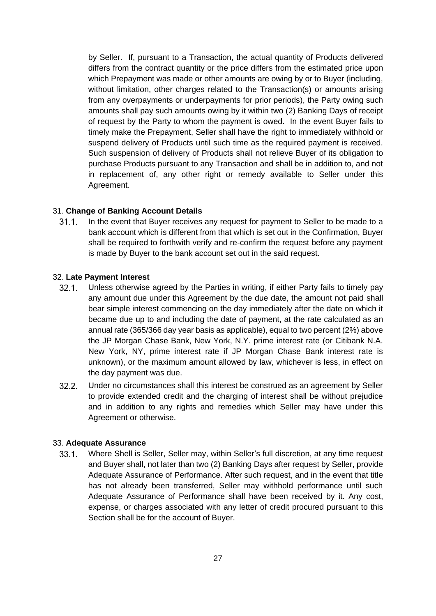by Seller. If, pursuant to a Transaction, the actual quantity of Products delivered differs from the contract quantity or the price differs from the estimated price upon which Prepayment was made or other amounts are owing by or to Buyer (including, without limitation, other charges related to the Transaction(s) or amounts arising from any overpayments or underpayments for prior periods), the Party owing such amounts shall pay such amounts owing by it within two (2) Banking Days of receipt of request by the Party to whom the payment is owed. In the event Buyer fails to timely make the Prepayment, Seller shall have the right to immediately withhold or suspend delivery of Products until such time as the required payment is received. Such suspension of delivery of Products shall not relieve Buyer of its obligation to purchase Products pursuant to any Transaction and shall be in addition to, and not in replacement of, any other right or remedy available to Seller under this Agreement.

## <span id="page-26-0"></span>31. **Change of Banking Account Details**

 $31.1$ In the event that Buyer receives any request for payment to Seller to be made to a bank account which is different from that which is set out in the Confirmation, Buyer shall be required to forthwith verify and re-confirm the request before any payment is made by Buyer to the bank account set out in the said request.

#### <span id="page-26-1"></span>32. **Late Payment Interest**

- $32.1.$ Unless otherwise agreed by the Parties in writing, if either Party fails to timely pay any amount due under this Agreement by the due date, the amount not paid shall bear simple interest commencing on the day immediately after the date on which it became due up to and including the date of payment, at the rate calculated as an annual rate (365/366 day year basis as applicable), equal to two percent (2%) above the JP Morgan Chase Bank, New York, N.Y. prime interest rate (or Citibank N.A. New York, NY, prime interest rate if JP Morgan Chase Bank interest rate is unknown), or the maximum amount allowed by law, whichever is less, in effect on the day payment was due.
- $32.2$ Under no circumstances shall this interest be construed as an agreement by Seller to provide extended credit and the charging of interest shall be without prejudice and in addition to any rights and remedies which Seller may have under this Agreement or otherwise.

#### <span id="page-26-2"></span>33. **Adequate Assurance**

Where Shell is Seller, Seller may, within Seller's full discretion, at any time request  $33.1$ and Buyer shall, not later than two (2) Banking Days after request by Seller, provide Adequate Assurance of Performance. After such request, and in the event that title has not already been transferred, Seller may withhold performance until such Adequate Assurance of Performance shall have been received by it. Any cost, expense, or charges associated with any letter of credit procured pursuant to this Section shall be for the account of Buyer.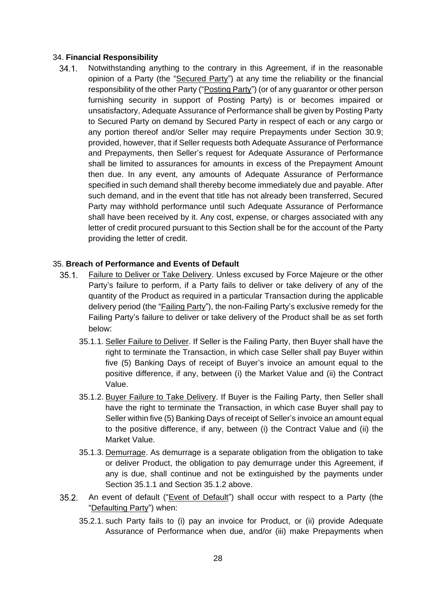### <span id="page-27-0"></span>34. **Financial Responsibility**

 $34.1.$ Notwithstanding anything to the contrary in this Agreement, if in the reasonable opinion of a Party (the "Secured Party") at any time the reliability or the financial responsibility of the other Party ("Posting Party") (or of any guarantor or other person furnishing security in support of Posting Party) is or becomes impaired or unsatisfactory, Adequate Assurance of Performance shall be given by Posting Party to Secured Party on demand by Secured Party in respect of each or any cargo or any portion thereof and/or Seller may require Prepayments under Section 30.9; provided, however, that if Seller requests both Adequate Assurance of Performance and Prepayments, then Seller's request for Adequate Assurance of Performance shall be limited to assurances for amounts in excess of the Prepayment Amount then due. In any event, any amounts of Adequate Assurance of Performance specified in such demand shall thereby become immediately due and payable. After such demand, and in the event that title has not already been transferred, Secured Party may withhold performance until such Adequate Assurance of Performance shall have been received by it. Any cost, expense, or charges associated with any letter of credit procured pursuant to this Section shall be for the account of the Party providing the letter of credit.

## <span id="page-27-1"></span>35. **Breach of Performance and Events of Default**

- Failure to Deliver or **Take Delivery**. Unless excused by Force Majeure or the other  $35.1.$ Party's failure to perform, if a Party fails to deliver or take delivery of any of the quantity of the Product as required in a particular Transaction during the applicable delivery period (the "Failing Party"), the non-Failing Party's exclusive remedy for the Failing Party's failure to deliver or take delivery of the Product shall be as set forth below:
	- 35.1.1. Seller Failure to Deliver. If Seller is the Failing Party, then Buyer shall have the right to terminate the Transaction, in which case Seller shall pay Buyer within five (5) Banking Days of receipt of Buyer's invoice an amount equal to the positive difference, if any, between (i) the Market Value and (ii) the Contract Value.
	- 35.1.2. Buyer Failure to Take Delivery. If Buyer is the Failing Party, then Seller shall have the right to terminate the Transaction, in which case Buyer shall pay to Seller within five (5) Banking Days of receipt of Seller's invoice an amount equal to the positive difference, if any, between (i) the Contract Value and (ii) the Market Value.
	- 35.1.3. Demurrage. As demurrage is a separate obligation from the obligation to take or deliver Product, the obligation to pay demurrage under this Agreement, if any is due, shall continue and not be extinguished by the payments under Section 35.1.1 and Section 35.1.2 above.
- $35.2.$ An event of default ("Event of Default") shall occur with respect to a Party (the "Defaulting Party") when:
	- 35.2.1. such Party fails to (i) pay an invoice for Product, or (ii) provide Adequate Assurance of Performance when due, and/or (iii) make Prepayments when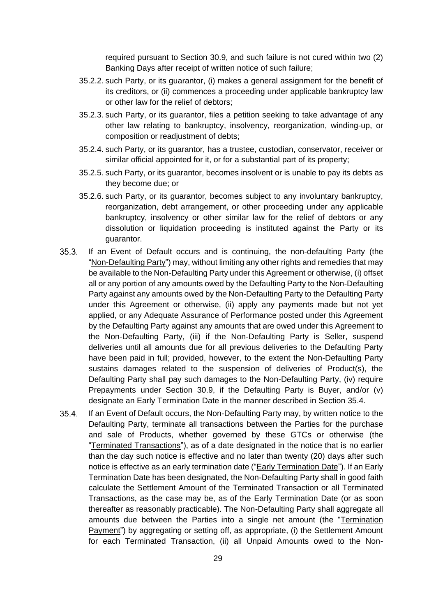required pursuant to Section 30.9, and such failure is not cured within two (2) Banking Days after receipt of written notice of such failure;

- 35.2.2. such Party, or its guarantor, (i) makes a general assignment for the benefit of its creditors, or (ii) commences a proceeding under applicable bankruptcy law or other law for the relief of debtors;
- 35.2.3. such Party, or its guarantor, files a petition seeking to take advantage of any other law relating to bankruptcy, insolvency, reorganization, winding-up, or composition or readjustment of debts;
- 35.2.4. such Party, or its guarantor, has a trustee, custodian, conservator, receiver or similar official appointed for it, or for a substantial part of its property;
- 35.2.5. such Party, or its guarantor, becomes insolvent or is unable to pay its debts as they become due; or
- 35.2.6. such Party, or its guarantor, becomes subject to any involuntary bankruptcy, reorganization, debt arrangement, or other proceeding under any applicable bankruptcy, insolvency or other similar law for the relief of debtors or any dissolution or liquidation proceeding is instituted against the Party or its guarantor.
- $35.3.$ If an Event of Default occurs and is continuing, the non-defaulting Party (the "Non-Defaulting Party") may, without limiting any other rights and remedies that may be available to the Non-Defaulting Party under this Agreement or otherwise, (i) offset all or any portion of any amounts owed by the Defaulting Party to the Non-Defaulting Party against any amounts owed by the Non-Defaulting Party to the Defaulting Party under this Agreement or otherwise, (ii) apply any payments made but not yet applied, or any Adequate Assurance of Performance posted under this Agreement by the Defaulting Party against any amounts that are owed under this Agreement to the Non-Defaulting Party, (iii) if the Non-Defaulting Party is Seller, suspend deliveries until all amounts due for all previous deliveries to the Defaulting Party have been paid in full; provided, however, to the extent the Non-Defaulting Party sustains damages related to the suspension of deliveries of Product(s), the Defaulting Party shall pay such damages to the Non-Defaulting Party, (iv) require Prepayments under Section 30.9, if the Defaulting Party is Buyer, and/or (v) designate an Early Termination Date in the manner described in Section 35.4.
- $35.4.$ If an Event of Default occurs, the Non-Defaulting Party may, by written notice to the Defaulting Party, terminate all transactions between the Parties for the purchase and sale of Products, whether governed by these GTCs or otherwise (the "Terminated Transactions"), as of a date designated in the notice that is no earlier than the day such notice is effective and no later than twenty (20) days after such notice is effective as an early termination date ("Early Termination Date"). If an Early Termination Date has been designated, the Non-Defaulting Party shall in good faith calculate the Settlement Amount of the Terminated Transaction or all Terminated Transactions, as the case may be, as of the Early Termination Date (or as soon thereafter as reasonably practicable). The Non-Defaulting Party shall aggregate all amounts due between the Parties into a single net amount (the "Termination Payment") by aggregating or setting off, as appropriate, (i) the Settlement Amount for each Terminated Transaction, (ii) all Unpaid Amounts owed to the Non-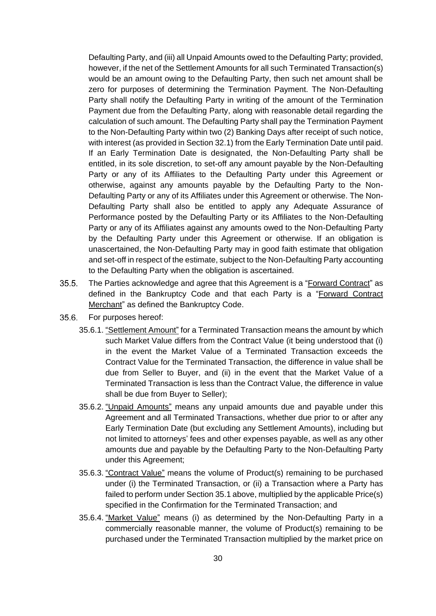Defaulting Party, and (iii) all Unpaid Amounts owed to the Defaulting Party; provided, however, if the net of the Settlement Amounts for all such Terminated Transaction(s) would be an amount owing to the Defaulting Party, then such net amount shall be zero for purposes of determining the Termination Payment. The Non-Defaulting Party shall notify the Defaulting Party in writing of the amount of the Termination Payment due from the Defaulting Party, along with reasonable detail regarding the calculation of such amount. The Defaulting Party shall pay the Termination Payment to the Non-Defaulting Party within two (2) Banking Days after receipt of such notice, with interest (as provided in Section 32.1) from the Early Termination Date until paid. If an Early Termination Date is designated, the Non-Defaulting Party shall be entitled, in its sole discretion, to set-off any amount payable by the Non-Defaulting Party or any of its Affiliates to the Defaulting Party under this Agreement or otherwise, against any amounts payable by the Defaulting Party to the Non-Defaulting Party or any of its Affiliates under this Agreement or otherwise. The Non-Defaulting Party shall also be entitled to apply any Adequate Assurance of Performance posted by the Defaulting Party or its Affiliates to the Non-Defaulting Party or any of its Affiliates against any amounts owed to the Non-Defaulting Party by the Defaulting Party under this Agreement or otherwise. If an obligation is unascertained, the Non-Defaulting Party may in good faith estimate that obligation and set-off in respect of the estimate, subject to the Non-Defaulting Party accounting to the Defaulting Party when the obligation is ascertained.

- $35.5.$ The Parties acknowledge and agree that this Agreement is a "Forward Contract" as defined in the Bankruptcy Code and that each Party is a "Forward Contract Merchant" as defined the Bankruptcy Code.
- $35.6.$ For purposes hereof:
	- 35.6.1. "Settlement Amount" for a Terminated Transaction means the amount by which such Market Value differs from the Contract Value (it being understood that (i) in the event the Market Value of a Terminated Transaction exceeds the Contract Value for the Terminated Transaction, the difference in value shall be due from Seller to Buyer, and (ii) in the event that the Market Value of a Terminated Transaction is less than the Contract Value, the difference in value shall be due from Buyer to Seller);
	- 35.6.2. "Unpaid Amounts" means any unpaid amounts due and payable under this Agreement and all Terminated Transactions, whether due prior to or after any Early Termination Date (but excluding any Settlement Amounts), including but not limited to attorneys' fees and other expenses payable, as well as any other amounts due and payable by the Defaulting Party to the Non-Defaulting Party under this Agreement;
	- 35.6.3. "Contract Value" means the volume of Product(s) remaining to be purchased under (i) the Terminated Transaction, or (ii) a Transaction where a Party has failed to perform under Section 35.1 above, multiplied by the applicable Price(s) specified in the Confirmation for the Terminated Transaction; and
	- 35.6.4. "Market Value" means (i) as determined by the Non-Defaulting Party in a commercially reasonable manner, the volume of Product(s) remaining to be purchased under the Terminated Transaction multiplied by the market price on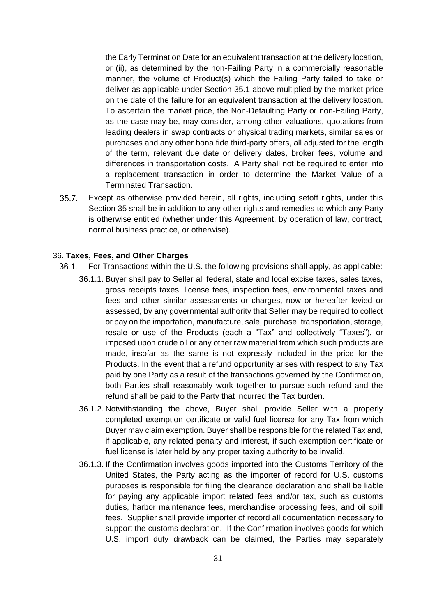the Early Termination Date for an equivalent transaction at the delivery location, or (ii), as determined by the non-Failing Party in a commercially reasonable manner, the volume of Product(s) which the Failing Party failed to take or deliver as applicable under Section 35.1 above multiplied by the market price on the date of the failure for an equivalent transaction at the delivery location. To ascertain the market price, the Non-Defaulting Party or non-Failing Party, as the case may be, may consider, among other valuations, quotations from leading dealers in swap contracts or physical trading markets, similar sales or purchases and any other bona fide third-party offers, all adjusted for the length of the term, relevant due date or delivery dates, broker fees, volume and differences in transportation costs. A Party shall not be required to enter into a replacement transaction in order to determine the Market Value of a Terminated Transaction.

 $35.7$ Except as otherwise provided herein, all rights, including setoff rights, under this Section 35 shall be in addition to any other rights and remedies to which any Party is otherwise entitled (whether under this Agreement, by operation of law, contract, normal business practice, or otherwise).

#### <span id="page-30-0"></span>36. **Taxes, Fees, and Other Charges**

- $36.1.$ For Transactions within the U.S. the following provisions shall apply, as applicable:
	- 36.1.1. Buyer shall pay to Seller all federal, state and local excise taxes, sales taxes, gross receipts taxes, license fees, inspection fees, environmental taxes and fees and other similar assessments or charges, now or hereafter levied or assessed, by any governmental authority that Seller may be required to collect or pay on the importation, manufacture, sale, purchase, transportation, storage, resale or use of the Products (each a "Tax" and collectively "Taxes"), or imposed upon crude oil or any other raw material from which such products are made, insofar as the same is not expressly included in the price for the Products. In the event that a refund opportunity arises with respect to any Tax paid by one Party as a result of the transactions governed by the Confirmation, both Parties shall reasonably work together to pursue such refund and the refund shall be paid to the Party that incurred the Tax burden.
	- 36.1.2. Notwithstanding the above, Buyer shall provide Seller with a properly completed exemption certificate or valid fuel license for any Tax from which Buyer may claim exemption. Buyer shall be responsible for the related Tax and, if applicable, any related penalty and interest, if such exemption certificate or fuel license is later held by any proper taxing authority to be invalid.
	- 36.1.3. If the Confirmation involves goods imported into the Customs Territory of the United States, the Party acting as the importer of record for U.S. customs purposes is responsible for filing the clearance declaration and shall be liable for paying any applicable import related fees and/or tax, such as customs duties, harbor maintenance fees, merchandise processing fees, and oil spill fees. Supplier shall provide importer of record all documentation necessary to support the customs declaration. If the Confirmation involves goods for which U.S. import duty drawback can be claimed, the Parties may separately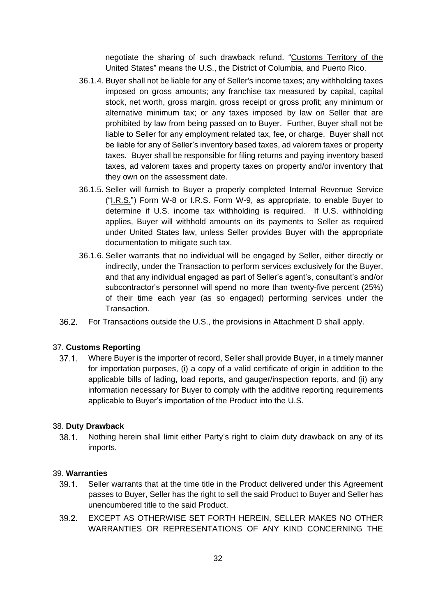negotiate the sharing of such drawback refund. "Customs Territory of the United States" means the U.S., the District of Columbia, and Puerto Rico.

- 36.1.4. Buyer shall not be liable for any of Seller's income taxes; any withholding taxes imposed on gross amounts; any franchise tax measured by capital, capital stock, net worth, gross margin, gross receipt or gross profit; any minimum or alternative minimum tax; or any taxes imposed by law on Seller that are prohibited by law from being passed on to Buyer. Further, Buyer shall not be liable to Seller for any employment related tax, fee, or charge. Buyer shall not be liable for any of Seller's inventory based taxes, ad valorem taxes or property taxes. Buyer shall be responsible for filing returns and paying inventory based taxes, ad valorem taxes and property taxes on property and/or inventory that they own on the assessment date.
- 36.1.5. Seller will furnish to Buyer a properly completed Internal Revenue Service ("I.R.S.") Form W-8 or I.R.S. Form W-9, as appropriate, to enable Buyer to determine if U.S. income tax withholding is required. If U.S. withholding applies, Buyer will withhold amounts on its payments to Seller as required under United States law, unless Seller provides Buyer with the appropriate documentation to mitigate such tax.
- 36.1.6. Seller warrants that no individual will be engaged by Seller, either directly or indirectly, under the Transaction to perform services exclusively for the Buyer, and that any individual engaged as part of Seller's agent's, consultant's and/or subcontractor's personnel will spend no more than twenty-five percent (25%) of their time each year (as so engaged) performing services under the Transaction.
- $36.2.$ For Transactions outside the U.S., the provisions in Attachment D shall apply.

#### <span id="page-31-0"></span>37. **Customs Reporting**

 $37.1.$ Where Buyer is the importer of record, Seller shall provide Buyer, in a timely manner for importation purposes, (i) a copy of a valid certificate of origin in addition to the applicable bills of lading, load reports, and gauger/inspection reports, and (ii) any information necessary for Buyer to comply with the additive reporting requirements applicable to Buyer's importation of the Product into the U.S.

#### <span id="page-31-1"></span>38. **Duty Drawback**

 $38.1.$ Nothing herein shall limit either Party's right to claim duty drawback on any of its imports.

#### <span id="page-31-2"></span>39. **Warranties**

- $39.1.$ Seller warrants that at the time title in the Product delivered under this Agreement passes to Buyer, Seller has the right to sell the said Product to Buyer and Seller has unencumbered title to the said Product.
- $39.2<sub>1</sub>$ EXCEPT AS OTHERWISE SET FORTH HEREIN, SELLER MAKES NO OTHER WARRANTIES OR REPRESENTATIONS OF ANY KIND CONCERNING THE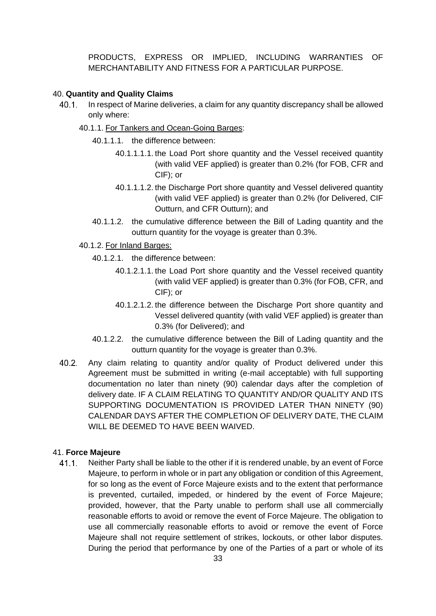PRODUCTS, EXPRESS OR IMPLIED, INCLUDING WARRANTIES OF MERCHANTABILITY AND FITNESS FOR A PARTICULAR PURPOSE.

## <span id="page-32-0"></span>40. **Quantity and Quality Claims**

- In respect of Marine deliveries, a claim for any quantity discrepancy shall be allowed  $40.1$ only where:
	- 40.1.1. For Tankers and Ocean-Going Barges:
		- 40.1.1.1. the difference between:
			- 40.1.1.1.1. the Load Port shore quantity and the Vessel received quantity (with valid VEF applied) is greater than 0.2% (for FOB, CFR and CIF); or
			- 40.1.1.1.2. the Discharge Port shore quantity and Vessel delivered quantity (with valid VEF applied) is greater than 0.2% (for Delivered, CIF Outturn, and CFR Outturn); and
		- 40.1.1.2. the cumulative difference between the Bill of Lading quantity and the outturn quantity for the voyage is greater than 0.3%.
	- 40.1.2. For Inland Barges:
		- 40.1.2.1. the difference between:
			- 40.1.2.1.1. the Load Port shore quantity and the Vessel received quantity (with valid VEF applied) is greater than 0.3% (for FOB, CFR, and CIF); or
			- 40.1.2.1.2. the difference between the Discharge Port shore quantity and Vessel delivered quantity (with valid VEF applied) is greater than 0.3% (for Delivered); and
		- 40.1.2.2. the cumulative difference between the Bill of Lading quantity and the outturn quantity for the voyage is greater than 0.3%.
- $40.2.$ Any claim relating to quantity and/or quality of Product delivered under this Agreement must be submitted in writing (e-mail acceptable) with full supporting documentation no later than ninety (90) calendar days after the completion of delivery date. IF A CLAIM RELATING TO QUANTITY AND/OR QUALITY AND ITS SUPPORTING DOCUMENTATION IS PROVIDED LATER THAN NINETY (90) CALENDAR DAYS AFTER THE COMPLETION OF DELIVERY DATE, THE CLAIM WILL BE DEEMED TO HAVE BEEN WAIVED.

## <span id="page-32-1"></span>41. **Force Majeure**

Neither Party shall be liable to the other if it is rendered unable, by an event of Force  $41.1.$ Majeure, to perform in whole or in part any obligation or condition of this Agreement, for so long as the event of Force Majeure exists and to the extent that performance is prevented, curtailed, impeded, or hindered by the event of Force Majeure; provided, however, that the Party unable to perform shall use all commercially reasonable efforts to avoid or remove the event of Force Majeure. The obligation to use all commercially reasonable efforts to avoid or remove the event of Force Majeure shall not require settlement of strikes, lockouts, or other labor disputes. During the period that performance by one of the Parties of a part or whole of its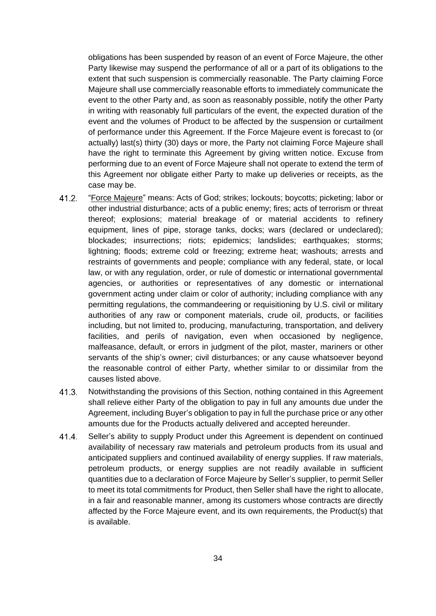obligations has been suspended by reason of an event of Force Majeure, the other Party likewise may suspend the performance of all or a part of its obligations to the extent that such suspension is commercially reasonable. The Party claiming Force Majeure shall use commercially reasonable efforts to immediately communicate the event to the other Party and, as soon as reasonably possible, notify the other Party in writing with reasonably full particulars of the event, the expected duration of the event and the volumes of Product to be affected by the suspension or curtailment of performance under this Agreement. If the Force Majeure event is forecast to (or actually) last(s) thirty (30) days or more, the Party not claiming Force Majeure shall have the right to terminate this Agreement by giving written notice. Excuse from performing due to an event of Force Majeure shall not operate to extend the term of this Agreement nor obligate either Party to make up deliveries or receipts, as the case may be.

- $41.2.$ "Force Majeure" means: Acts of God; strikes; lockouts; boycotts; picketing; labor or other industrial disturbance; acts of a public enemy; fires; acts of terrorism or threat thereof; explosions; material breakage of or material accidents to refinery equipment, lines of pipe, storage tanks, docks; wars (declared or undeclared); blockades; insurrections; riots; epidemics; landslides; earthquakes; storms; lightning; floods; extreme cold or freezing; extreme heat; washouts; arrests and restraints of governments and people; compliance with any federal, state, or local law, or with any regulation, order, or rule of domestic or international governmental agencies, or authorities or representatives of any domestic or international government acting under claim or color of authority; including compliance with any permitting regulations, the commandeering or requisitioning by U.S. civil or military authorities of any raw or component materials, crude oil, products, or facilities including, but not limited to, producing, manufacturing, transportation, and delivery facilities, and perils of navigation, even when occasioned by negligence, malfeasance, default, or errors in judgment of the pilot, master, mariners or other servants of the ship's owner; civil disturbances; or any cause whatsoever beyond the reasonable control of either Party, whether similar to or dissimilar from the causes listed above.
- $41.3.$ Notwithstanding the provisions of this Section, nothing contained in this Agreement shall relieve either Party of the obligation to pay in full any amounts due under the Agreement, including Buyer's obligation to pay in full the purchase price or any other amounts due for the Products actually delivered and accepted hereunder.
- $41.4$ Seller's ability to supply Product under this Agreement is dependent on continued availability of necessary raw materials and petroleum products from its usual and anticipated suppliers and continued availability of energy supplies. If raw materials, petroleum products, or energy supplies are not readily available in sufficient quantities due to a declaration of Force Majeure by Seller's supplier, to permit Seller to meet its total commitments for Product, then Seller shall have the right to allocate, in a fair and reasonable manner, among its customers whose contracts are directly affected by the Force Majeure event, and its own requirements, the Product(s) that is available.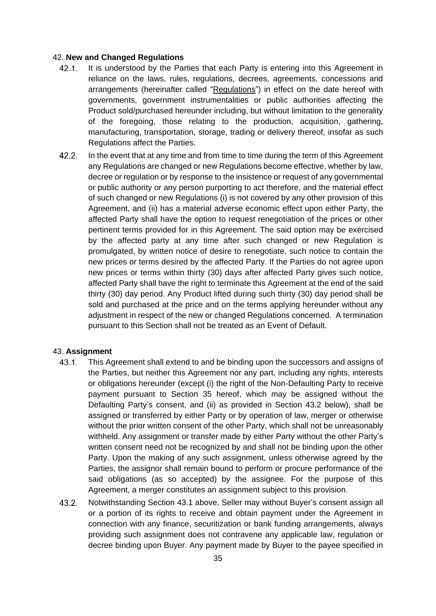### <span id="page-34-0"></span>42. **New and Changed Regulations**

- $42.1.$ It is understood by the Parties that each Party is entering into this Agreement in reliance on the laws, rules, regulations, decrees, agreements, concessions and arrangements (hereinafter called "Regulations") in effect on the date hereof with governments, government instrumentalities or public authorities affecting the Product sold/purchased hereunder including, but without limitation to the generality of the foregoing, those relating to the production, acquisition, gathering, manufacturing, transportation, storage, trading or delivery thereof, insofar as such Regulations affect the Parties.
- $42.2.$ In the event that at any time and from time to time during the term of this Agreement any Regulations are changed or new Regulations become effective, whether by law, decree or regulation or by response to the insistence or request of any governmental or public authority or any person purporting to act therefore, and the material effect of such changed or new Regulations (i) is not covered by any other provision of this Agreement, and (ii) has a material adverse economic effect upon either Party, the affected Party shall have the option to request renegotiation of the prices or other pertinent terms provided for in this Agreement. The said option may be exercised by the affected party at any time after such changed or new Regulation is promulgated, by written notice of desire to renegotiate, such notice to contain the new prices or terms desired by the affected Party. If the Parties do not agree upon new prices or terms within thirty (30) days after affected Party gives such notice, affected Party shall have the right to terminate this Agreement at the end of the said thirty (30) day period. Any Product lifted during such thirty (30) day period shall be sold and purchased at the price and on the terms applying hereunder without any adjustment in respect of the new or changed Regulations concerned. A termination pursuant to this Section shall not be treated as an Event of Default.

## <span id="page-34-1"></span>43. **Assignment**

- This Agreement shall extend to and be binding upon the successors and assigns of  $43.1.$ the Parties, but neither this Agreement nor any part, including any rights, interests or obligations hereunder (except (i) the right of the Non-Defaulting Party to receive payment pursuant to Section 35 hereof, which may be assigned without the Defaulting Party's consent, and (ii) as provided in Section 43.2 below), shall be assigned or transferred by either Party or by operation of law, merger or otherwise without the prior written consent of the other Party, which shall not be unreasonably withheld. Any assignment or transfer made by either Party without the other Party's written consent need not be recognized by and shall not be binding upon the other Party. Upon the making of any such assignment, unless otherwise agreed by the Parties, the assignor shall remain bound to perform or procure performance of the said obligations (as so accepted) by the assignee. For the purpose of this Agreement, a merger constitutes an assignment subject to this provision.
- $43.2.$ Notwithstanding Section 43.1 above, Seller may without Buyer's consent assign all or a portion of its rights to receive and obtain payment under the Agreement in connection with any finance, securitization or bank funding arrangements, always providing such assignment does not contravene any applicable law, regulation or decree binding upon Buyer. Any payment made by Buyer to the payee specified in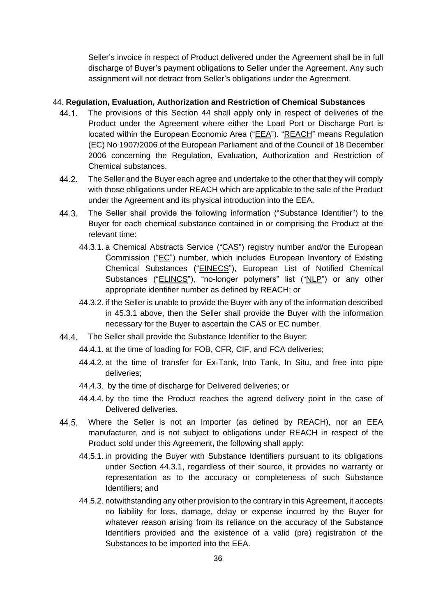Seller's invoice in respect of Product delivered under the Agreement shall be in full discharge of Buyer's payment obligations to Seller under the Agreement. Any such assignment will not detract from Seller's obligations under the Agreement.

## <span id="page-35-0"></span>44. **Regulation, Evaluation, Authorization and Restriction of Chemical Substances**

- $44.1.$ The provisions of this Section 44 shall apply only in respect of deliveries of the Product under the Agreement where either the Load Port or Discharge Port is located within the European Economic Area ("EEA"). "REACH" means Regulation (EC) No 1907/2006 of the European Parliament and of the Council of 18 December 2006 concerning the Regulation, Evaluation, Authorization and Restriction of Chemical substances.
- $44.2.$ The Seller and the Buyer each agree and undertake to the other that they will comply with those obligations under REACH which are applicable to the sale of the Product under the Agreement and its physical introduction into the EEA.
- 44.3. The Seller shall provide the following information ("Substance Identifier") to the Buyer for each chemical substance contained in or comprising the Product at the relevant time:
	- 44.3.1. a Chemical Abstracts Service ("CAS") registry number and/or the European Commission ("EC") number, which includes European Inventory of Existing Chemical Substances ("EINECS"), European List of Notified Chemical Substances ("ELINCS"), "no-longer polymers" list ("NLP") or any other appropriate identifier number as defined by REACH; or
	- 44.3.2. if the Seller is unable to provide the Buyer with any of the information described in 45.3.1 above, then the Seller shall provide the Buyer with the information necessary for the Buyer to ascertain the CAS or EC number.
- The Seller shall provide the Substance Identifier to the Buyer: 44.4.
	- 44.4.1. at the time of loading for FOB, CFR, CIF, and FCA deliveries;
	- 44.4.2. at the time of transfer for Ex-Tank, Into Tank, In Situ, and free into pipe deliveries;
	- 44.4.3. by the time of discharge for Delivered deliveries; or
	- 44.4.4. by the time the Product reaches the agreed delivery point in the case of Delivered deliveries.
- Where the Seller is not an Importer (as defined by REACH), nor an EEA 44.5. manufacturer, and is not subject to obligations under REACH in respect of the Product sold under this Agreement, the following shall apply:
	- 44.5.1. in providing the Buyer with Substance Identifiers pursuant to its obligations under Section 44.3.1, regardless of their source, it provides no warranty or representation as to the accuracy or completeness of such Substance Identifiers; and
	- 44.5.2. notwithstanding any other provision to the contrary in this Agreement, it accepts no liability for loss, damage, delay or expense incurred by the Buyer for whatever reason arising from its reliance on the accuracy of the Substance Identifiers provided and the existence of a valid (pre) registration of the Substances to be imported into the EEA.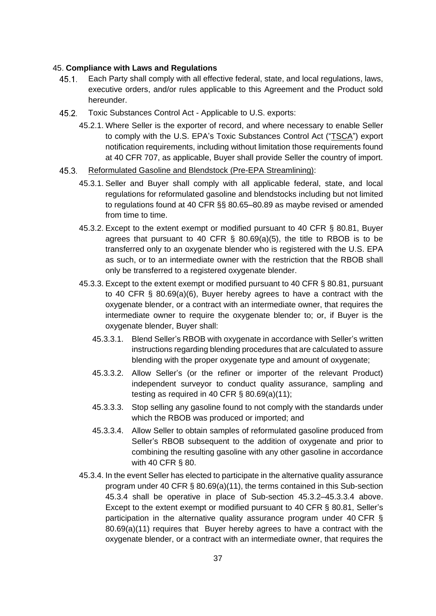#### 45. **Compliance with Laws and Regulations**

- $45.1.$ Each Party shall comply with all effective federal, state, and local regulations, laws, executive orders, and/or rules applicable to this Agreement and the Product sold hereunder.
- $45.2.$ Toxic Substances Control Act - Applicable to U.S. exports:
	- 45.2.1. Where Seller is the exporter of record, and where necessary to enable Seller to comply with the U.S. EPA's Toxic Substances Control Act ("TSCA") export notification requirements, including without limitation those requirements found at 40 CFR 707, as applicable, Buyer shall provide Seller the country of import.
- $45.3.$ Reformulated Gasoline and Blendstock (Pre-EPA Streamlining):
	- 45.3.1. Seller and Buyer shall comply with all applicable federal, state, and local regulations for reformulated gasoline and blendstocks including but not limited to regulations found at 40 CFR §§ 80.65–80.89 as maybe revised or amended from time to time.
	- 45.3.2. Except to the extent exempt or modified pursuant to 40 CFR § 80.81, Buyer agrees that pursuant to 40 CFR  $\S$  80.69(a)(5), the title to RBOB is to be transferred only to an oxygenate blender who is registered with the U.S. EPA as such, or to an intermediate owner with the restriction that the RBOB shall only be transferred to a registered oxygenate blender.
	- 45.3.3. Except to the extent exempt or modified pursuant to 40 CFR § 80.81, pursuant to 40 CFR § 80.69(a)(6), Buyer hereby agrees to have a contract with the oxygenate blender, or a contract with an intermediate owner, that requires the intermediate owner to require the oxygenate blender to; or, if Buyer is the oxygenate blender, Buyer shall:
		- 45.3.3.1. Blend Seller's RBOB with oxygenate in accordance with Seller's written instructions regarding blending procedures that are calculated to assure blending with the proper oxygenate type and amount of oxygenate;
		- 45.3.3.2. Allow Seller's (or the refiner or importer of the relevant Product) independent surveyor to conduct quality assurance, sampling and testing as required in 40 CFR § 80.69(a)(11);
		- 45.3.3.3. Stop selling any gasoline found to not comply with the standards under which the RBOB was produced or imported; and
		- 45.3.3.4. Allow Seller to obtain samples of reformulated gasoline produced from Seller's RBOB subsequent to the addition of oxygenate and prior to combining the resulting gasoline with any other gasoline in accordance with 40 CFR § 80.
	- 45.3.4. In the event Seller has elected to participate in the alternative quality assurance program under 40 CFR § 80.69(a)(11), the terms contained in this Sub-section 45.3.4 shall be operative in place of Sub-section 45.3.2–45.3.3.4 above. Except to the extent exempt or modified pursuant to 40 CFR § 80.81, Seller's participation in the alternative quality assurance program under 40 CFR § 80.69(a)(11) requires that Buyer hereby agrees to have a contract with the oxygenate blender, or a contract with an intermediate owner, that requires the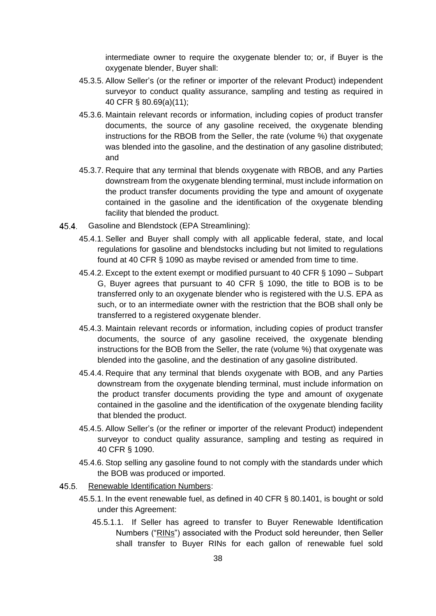intermediate owner to require the oxygenate blender to; or, if Buyer is the oxygenate blender, Buyer shall:

- 45.3.5. Allow Seller's (or the refiner or importer of the relevant Product) independent surveyor to conduct quality assurance, sampling and testing as required in 40 CFR § 80.69(a)(11);
- 45.3.6. Maintain relevant records or information, including copies of product transfer documents, the source of any gasoline received, the oxygenate blending instructions for the RBOB from the Seller, the rate (volume %) that oxygenate was blended into the gasoline, and the destination of any gasoline distributed; and
- 45.3.7. Require that any terminal that blends oxygenate with RBOB, and any Parties downstream from the oxygenate blending terminal, must include information on the product transfer documents providing the type and amount of oxygenate contained in the gasoline and the identification of the oxygenate blending facility that blended the product.
- 45.4. Gasoline and Blendstock (EPA Streamlining):
	- 45.4.1. Seller and Buyer shall comply with all applicable federal, state, and local regulations for gasoline and blendstocks including but not limited to regulations found at 40 CFR § 1090 as maybe revised or amended from time to time.
	- 45.4.2. Except to the extent exempt or modified pursuant to 40 CFR § 1090 Subpart G, Buyer agrees that pursuant to 40 CFR § 1090, the title to BOB is to be transferred only to an oxygenate blender who is registered with the U.S. EPA as such, or to an intermediate owner with the restriction that the BOB shall only be transferred to a registered oxygenate blender.
	- 45.4.3. Maintain relevant records or information, including copies of product transfer documents, the source of any gasoline received, the oxygenate blending instructions for the BOB from the Seller, the rate (volume %) that oxygenate was blended into the gasoline, and the destination of any gasoline distributed.
	- 45.4.4. Require that any terminal that blends oxygenate with BOB, and any Parties downstream from the oxygenate blending terminal, must include information on the product transfer documents providing the type and amount of oxygenate contained in the gasoline and the identification of the oxygenate blending facility that blended the product.
	- 45.4.5. Allow Seller's (or the refiner or importer of the relevant Product) independent surveyor to conduct quality assurance, sampling and testing as required in 40 CFR § 1090.
	- 45.4.6. Stop selling any gasoline found to not comply with the standards under which the BOB was produced or imported.
- $45.5$ Renewable Identification Numbers:
	- 45.5.1. In the event renewable fuel, as defined in 40 CFR § 80.1401, is bought or sold under this Agreement:
		- 45.5.1.1. If Seller has agreed to transfer to Buyer Renewable Identification Numbers ("RINs") associated with the Product sold hereunder, then Seller shall transfer to Buyer RINs for each gallon of renewable fuel sold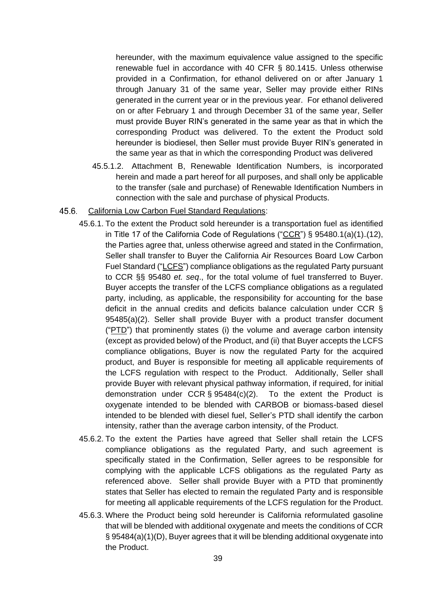hereunder, with the maximum equivalence value assigned to the specific renewable fuel in accordance with 40 CFR § 80.1415. Unless otherwise provided in a Confirmation, for ethanol delivered on or after January 1 through January 31 of the same year, Seller may provide either RINs generated in the current year or in the previous year. For ethanol delivered on or after February 1 and through December 31 of the same year, Seller must provide Buyer RIN's generated in the same year as that in which the corresponding Product was delivered. To the extent the Product sold hereunder is biodiesel, then Seller must provide Buyer RIN's generated in the same year as that in which the corresponding Product was delivered

45.5.1.2. Attachment B, Renewable Identification Numbers, is incorporated herein and made a part hereof for all purposes, and shall only be applicable to the transfer (sale and purchase) of Renewable Identification Numbers in connection with the sale and purchase of physical Products.

#### $45.6.$ California Low Carbon Fuel Standard Regulations:

- 45.6.1. To the extent the Product sold hereunder is a transportation fuel as identified in Title 17 of the California Code of Regulations ("CCR") § 95480.1(a)(1)–(12), the Parties agree that, unless otherwise agreed and stated in the Confirmation, Seller shall transfer to Buyer the California Air Resources Board Low Carbon Fuel Standard ("LCFS") compliance obligations as the regulated Party pursuant to CCR §§ 95480 *et. seq*., for the total volume of fuel transferred to Buyer. Buyer accepts the transfer of the LCFS compliance obligations as a regulated party, including, as applicable, the responsibility for accounting for the base deficit in the annual credits and deficits balance calculation under CCR § 95485(a)(2). Seller shall provide Buyer with a product transfer document ("PTD") that prominently states (i) the volume and average carbon intensity (except as provided below) of the Product, and (ii) that Buyer accepts the LCFS compliance obligations, Buyer is now the regulated Party for the acquired product, and Buyer is responsible for meeting all applicable requirements of the LCFS regulation with respect to the Product. Additionally, Seller shall provide Buyer with relevant physical pathway information, if required, for initial demonstration under CCR  $\S$  95484(c)(2). To the extent the Product is oxygenate intended to be blended with CARBOB or biomass-based diesel intended to be blended with diesel fuel, Seller's PTD shall identify the carbon intensity, rather than the average carbon intensity, of the Product.
- 45.6.2. To the extent the Parties have agreed that Seller shall retain the LCFS compliance obligations as the regulated Party, and such agreement is specifically stated in the Confirmation, Seller agrees to be responsible for complying with the applicable LCFS obligations as the regulated Party as referenced above. Seller shall provide Buyer with a PTD that prominently states that Seller has elected to remain the regulated Party and is responsible for meeting all applicable requirements of the LCFS regulation for the Product.
- 45.6.3. Where the Product being sold hereunder is California reformulated gasoline that will be blended with additional oxygenate and meets the conditions of CCR § 95484(a)(1)(D), Buyer agrees that it will be blending additional oxygenate into the Product.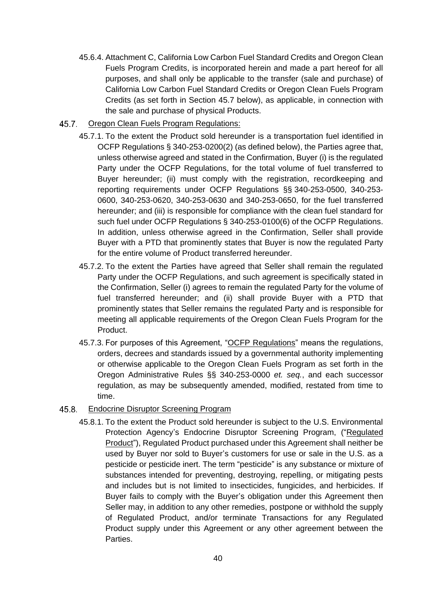- 45.6.4. Attachment C, California Low Carbon Fuel Standard Credits and Oregon Clean Fuels Program Credits, is incorporated herein and made a part hereof for all purposes, and shall only be applicable to the transfer (sale and purchase) of California Low Carbon Fuel Standard Credits or Oregon Clean Fuels Program Credits (as set forth in Section 45.7 below), as applicable, in connection with the sale and purchase of physical Products.
- $45.7.$ Oregon Clean Fuels Program Regulations:
	- 45.7.1. To the extent the Product sold hereunder is a transportation fuel identified in OCFP Regulations § 340-253-0200(2) (as defined below), the Parties agree that, unless otherwise agreed and stated in the Confirmation, Buyer (i) is the regulated Party under the OCFP Regulations, for the total volume of fuel transferred to Buyer hereunder; (ii) must comply with the registration, recordkeeping and reporting requirements under OCFP Regulations §§ 340-253-0500, 340-253- 0600, 340-253-0620, 340-253-0630 and 340-253-0650, for the fuel transferred hereunder; and (iii) is responsible for compliance with the clean fuel standard for such fuel under OCFP Regulations § 340-253-0100(6) of the OCFP Regulations. In addition, unless otherwise agreed in the Confirmation, Seller shall provide Buyer with a PTD that prominently states that Buyer is now the regulated Party for the entire volume of Product transferred hereunder.
	- 45.7.2. To the extent the Parties have agreed that Seller shall remain the regulated Party under the OCFP Regulations, and such agreement is specifically stated in the Confirmation, Seller (i) agrees to remain the regulated Party for the volume of fuel transferred hereunder; and (ii) shall provide Buyer with a PTD that prominently states that Seller remains the regulated Party and is responsible for meeting all applicable requirements of the Oregon Clean Fuels Program for the Product.
	- 45.7.3. For purposes of this Agreement, "OCFP Regulations" means the regulations, orders, decrees and standards issued by a governmental authority implementing or otherwise applicable to the Oregon Clean Fuels Program as set forth in the Oregon Administrative Rules §§ 340-253-0000 *et. seq.*, and each successor regulation, as may be subsequently amended, modified, restated from time to time.

#### $45.8.$ Endocrine Disruptor Screening Program

45.8.1. To the extent the Product sold hereunder is subject to the U.S. Environmental Protection Agency's Endocrine Disruptor Screening Program, ("Regulated Product"), Regulated Product purchased under this Agreement shall neither be used by Buyer nor sold to Buyer's customers for use or sale in the U.S. as a pesticide or pesticide inert. The term "pesticide" is any substance or mixture of substances intended for preventing, destroying, repelling, or mitigating pests and includes but is not limited to insecticides, fungicides, and herbicides. If Buyer fails to comply with the Buyer's obligation under this Agreement then Seller may, in addition to any other remedies, postpone or withhold the supply of Regulated Product, and/or terminate Transactions for any Regulated Product supply under this Agreement or any other agreement between the Parties.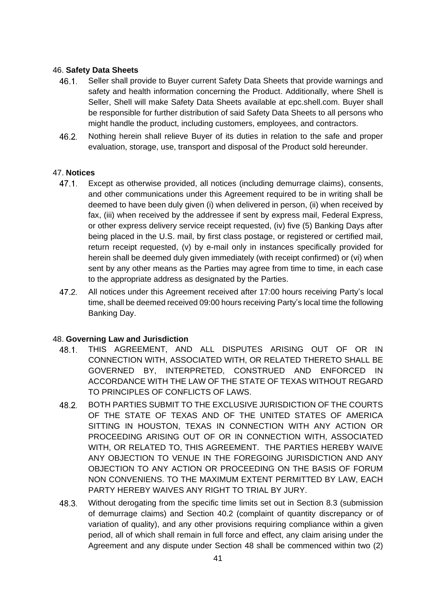# 46. **Safety Data Sheets**

- Seller shall provide to Buyer current Safety Data Sheets that provide warnings and  $46.1.$ safety and health information concerning the Product. Additionally, where Shell is Seller, Shell will make Safety Data Sheets available at epc.shell.com. Buyer shall be responsible for further distribution of said Safety Data Sheets to all persons who might handle the product, including customers, employees, and contractors.
- $46.2.$ Nothing herein shall relieve Buyer of its duties in relation to the safe and proper evaluation, storage, use, transport and disposal of the Product sold hereunder.

# 47. **Notices**

- $47.1.$ Except as otherwise provided, all notices (including demurrage claims), consents, and other communications under this Agreement required to be in writing shall be deemed to have been duly given (i) when delivered in person, (ii) when received by fax, (iii) when received by the addressee if sent by express mail, Federal Express, or other express delivery service receipt requested, (iv) five (5) Banking Days after being placed in the U.S. mail, by first class postage, or registered or certified mail, return receipt requested, (v) by e-mail only in instances specifically provided for herein shall be deemed duly given immediately (with receipt confirmed) or (vi) when sent by any other means as the Parties may agree from time to time, in each case to the appropriate address as designated by the Parties.
- $47.2.$ All notices under this Agreement received after 17:00 hours receiving Party's local time, shall be deemed received 09:00 hours receiving Party's local time the following Banking Day.

# 48. **Governing Law and Jurisdiction**

- 48.1. THIS AGREEMENT, AND ALL DISPUTES ARISING OUT OF OR IN CONNECTION WITH, ASSOCIATED WITH, OR RELATED THERETO SHALL BE GOVERNED BY, INTERPRETED, CONSTRUED AND ENFORCED IN ACCORDANCE WITH THE LAW OF THE STATE OF TEXAS WITHOUT REGARD TO PRINCIPLES OF CONFLICTS OF LAWS.
- BOTH PARTIES SUBMIT TO THE EXCLUSIVE JURISDICTION OF THE COURTS 48.2 OF THE STATE OF TEXAS AND OF THE UNITED STATES OF AMERICA SITTING IN HOUSTON, TEXAS IN CONNECTION WITH ANY ACTION OR PROCEEDING ARISING OUT OF OR IN CONNECTION WITH, ASSOCIATED WITH, OR RELATED TO, THIS AGREEMENT. THE PARTIES HEREBY WAIVE ANY OBJECTION TO VENUE IN THE FOREGOING JURISDICTION AND ANY OBJECTION TO ANY ACTION OR PROCEEDING ON THE BASIS OF FORUM NON CONVENIENS. TO THE MAXIMUM EXTENT PERMITTED BY LAW, EACH PARTY HEREBY WAIVES ANY RIGHT TO TRIAL BY JURY.
- Without derogating from the specific time limits set out in Section 8.3 (submission  $48.3$ of demurrage claims) and Section 40.2 (complaint of quantity discrepancy or of variation of quality), and any other provisions requiring compliance within a given period, all of which shall remain in full force and effect, any claim arising under the Agreement and any dispute under Section 48 shall be commenced within two (2)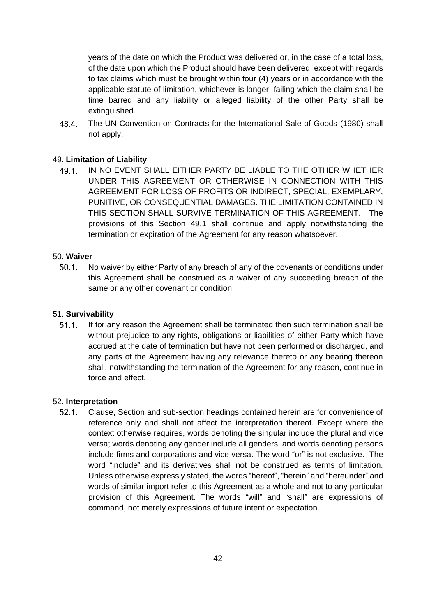years of the date on which the Product was delivered or, in the case of a total loss, of the date upon which the Product should have been delivered, except with regards to tax claims which must be brought within four (4) years or in accordance with the applicable statute of limitation, whichever is longer, failing which the claim shall be time barred and any liability or alleged liability of the other Party shall be extinguished.

48.4 The UN Convention on Contracts for the International Sale of Goods (1980) shall not apply.

# 49. **Limitation of Liability**

 $49.1$ IN NO EVENT SHALL EITHER PARTY BE LIABLE TO THE OTHER WHETHER UNDER THIS AGREEMENT OR OTHERWISE IN CONNECTION WITH THIS AGREEMENT FOR LOSS OF PROFITS OR INDIRECT, SPECIAL, EXEMPLARY, PUNITIVE, OR CONSEQUENTIAL DAMAGES. THE LIMITATION CONTAINED IN THIS SECTION SHALL SURVIVE TERMINATION OF THIS AGREEMENT. The provisions of this Section 49.1 shall continue and apply notwithstanding the termination or expiration of the Agreement for any reason whatsoever.

## 50. **Waiver**

 $50.1$ No waiver by either Party of any breach of any of the covenants or conditions under this Agreement shall be construed as a waiver of any succeeding breach of the same or any other covenant or condition.

# 51. **Survivability**

If for any reason the Agreement shall be terminated then such termination shall be  $51.1.$ without prejudice to any rights, obligations or liabilities of either Party which have accrued at the date of termination but have not been performed or discharged, and any parts of the Agreement having any relevance thereto or any bearing thereon shall, notwithstanding the termination of the Agreement for any reason, continue in force and effect.

#### 52. **Interpretation**

 $52.1.$ Clause, Section and sub-section headings contained herein are for convenience of reference only and shall not affect the interpretation thereof. Except where the context otherwise requires, words denoting the singular include the plural and vice versa; words denoting any gender include all genders; and words denoting persons include firms and corporations and vice versa. The word "or" is not exclusive. The word "include" and its derivatives shall not be construed as terms of limitation. Unless otherwise expressly stated, the words "hereof", "herein" and "hereunder" and words of similar import refer to this Agreement as a whole and not to any particular provision of this Agreement. The words "will" and "shall" are expressions of command, not merely expressions of future intent or expectation.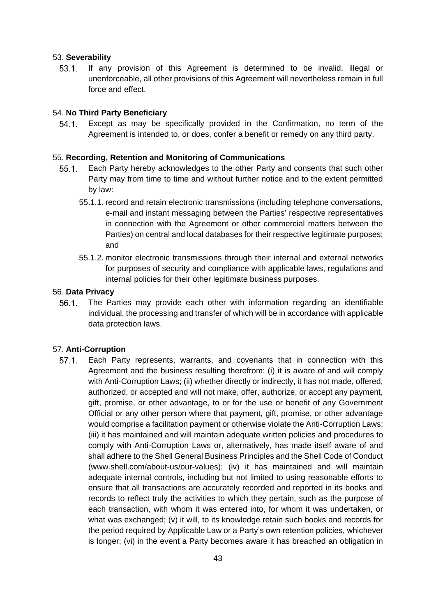### 53. **Severability**

 $53.1.$ If any provision of this Agreement is determined to be invalid, illegal or unenforceable, all other provisions of this Agreement will nevertheless remain in full force and effect.

# 54. **No Third Party Beneficiary**

Except as may be specifically provided in the Confirmation, no term of the  $54.1.$ Agreement is intended to, or does, confer a benefit or remedy on any third party.

## 55. **Recording, Retention and Monitoring of Communications**

- $55.1.$ Each Party hereby acknowledges to the other Party and consents that such other Party may from time to time and without further notice and to the extent permitted by law:
	- 55.1.1. record and retain electronic transmissions (including telephone conversations, e-mail and instant messaging between the Parties' respective representatives in connection with the Agreement or other commercial matters between the Parties) on central and local databases for their respective legitimate purposes; and
	- 55.1.2. monitor electronic transmissions through their internal and external networks for purposes of security and compliance with applicable laws, regulations and internal policies for their other legitimate business purposes.

## 56. **Data Privacy**

 $56.1.$ The Parties may provide each other with information regarding an identifiable individual, the processing and transfer of which will be in accordance with applicable data protection laws.

#### 57. **Anti-Corruption**

Each Party represents, warrants, and covenants that in connection with this  $57.1.$ Agreement and the business resulting therefrom: (i) it is aware of and will comply with Anti-Corruption Laws; (ii) whether directly or indirectly, it has not made, offered, authorized, or accepted and will not make, offer, authorize, or accept any payment, gift, promise, or other advantage, to or for the use or benefit of any Government Official or any other person where that payment, gift, promise, or other advantage would comprise a facilitation payment or otherwise violate the Anti-Corruption Laws; (iii) it has maintained and will maintain adequate written policies and procedures to comply with Anti-Corruption Laws or, alternatively, has made itself aware of and shall adhere to the Shell General Business Principles and the Shell Code of Conduct (www.shell.com/about-us/our-values); (iv) it has maintained and will maintain adequate internal controls, including but not limited to using reasonable efforts to ensure that all transactions are accurately recorded and reported in its books and records to reflect truly the activities to which they pertain, such as the purpose of each transaction, with whom it was entered into, for whom it was undertaken, or what was exchanged; (v) it will, to its knowledge retain such books and records for the period required by Applicable Law or a Party's own retention policies, whichever is longer; (vi) in the event a Party becomes aware it has breached an obligation in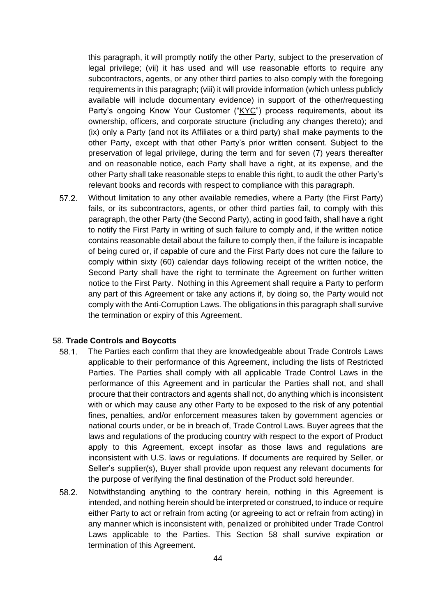this paragraph, it will promptly notify the other Party, subject to the preservation of legal privilege; (vii) it has used and will use reasonable efforts to require any subcontractors, agents, or any other third parties to also comply with the foregoing requirements in this paragraph; (viii) it will provide information (which unless publicly available will include documentary evidence) in support of the other/requesting Party's ongoing Know Your Customer ("KYC") process requirements, about its ownership, officers, and corporate structure (including any changes thereto); and (ix) only a Party (and not its Affiliates or a third party) shall make payments to the other Party, except with that other Party's prior written consent. Subject to the preservation of legal privilege, during the term and for seven (7) years thereafter and on reasonable notice, each Party shall have a right, at its expense, and the other Party shall take reasonable steps to enable this right, to audit the other Party's relevant books and records with respect to compliance with this paragraph.

Without limitation to any other available remedies, where a Party (the First Party)  $57.2.$ fails, or its subcontractors, agents, or other third parties fail, to comply with this paragraph, the other Party (the Second Party), acting in good faith, shall have a right to notify the First Party in writing of such failure to comply and, if the written notice contains reasonable detail about the failure to comply then, if the failure is incapable of being cured or, if capable of cure and the First Party does not cure the failure to comply within sixty (60) calendar days following receipt of the written notice, the Second Party shall have the right to terminate the Agreement on further written notice to the First Party. Nothing in this Agreement shall require a Party to perform any part of this Agreement or take any actions if, by doing so, the Party would not comply with the Anti-Corruption Laws. The obligations in this paragraph shall survive the termination or expiry of this Agreement.

#### 58. **Trade Controls and Boycotts**

- $58.1.$ The Parties each confirm that they are knowledgeable about Trade Controls Laws applicable to their performance of this Agreement, including the lists of Restricted Parties. The Parties shall comply with all applicable Trade Control Laws in the performance of this Agreement and in particular the Parties shall not, and shall procure that their contractors and agents shall not, do anything which is inconsistent with or which may cause any other Party to be exposed to the risk of any potential fines, penalties, and/or enforcement measures taken by government agencies or national courts under, or be in breach of, Trade Control Laws. Buyer agrees that the laws and regulations of the producing country with respect to the export of Product apply to this Agreement, except insofar as those laws and regulations are inconsistent with U.S. laws or regulations. If documents are required by Seller, or Seller's supplier(s), Buyer shall provide upon request any relevant documents for the purpose of verifying the final destination of the Product sold hereunder.
- 58.2. Notwithstanding anything to the contrary herein, nothing in this Agreement is intended, and nothing herein should be interpreted or construed, to induce or require either Party to act or refrain from acting (or agreeing to act or refrain from acting) in any manner which is inconsistent with, penalized or prohibited under Trade Control Laws applicable to the Parties. This Section 58 shall survive expiration or termination of this Agreement.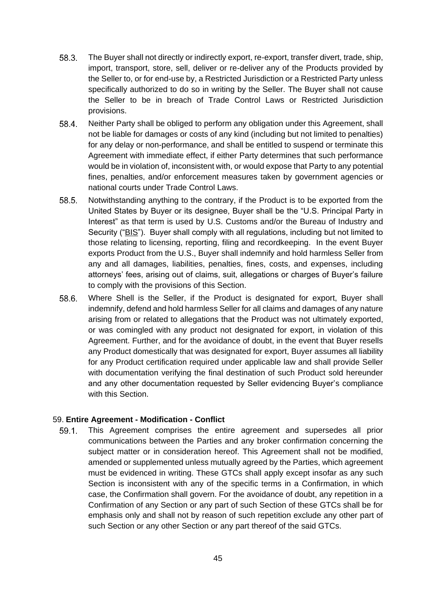- $58.3.$ The Buyer shall not directly or indirectly export, re-export, transfer divert, trade, ship, import, transport, store, sell, deliver or re-deliver any of the Products provided by the Seller to, or for end-use by, a Restricted Jurisdiction or a Restricted Party unless specifically authorized to do so in writing by the Seller. The Buyer shall not cause the Seller to be in breach of Trade Control Laws or Restricted Jurisdiction provisions.
- 58.4. Neither Party shall be obliged to perform any obligation under this Agreement, shall not be liable for damages or costs of any kind (including but not limited to penalties) for any delay or non-performance, and shall be entitled to suspend or terminate this Agreement with immediate effect, if either Party determines that such performance would be in violation of, inconsistent with, or would expose that Party to any potential fines, penalties, and/or enforcement measures taken by government agencies or national courts under Trade Control Laws.
- 58.5. Notwithstanding anything to the contrary, if the Product is to be exported from the United States by Buyer or its designee, Buyer shall be the "U.S. Principal Party in Interest" as that term is used by U.S. Customs and/or the Bureau of Industry and Security ("BIS"). Buyer shall comply with all regulations, including but not limited to those relating to licensing, reporting, filing and recordkeeping. In the event Buyer exports Product from the U.S., Buyer shall indemnify and hold harmless Seller from any and all damages, liabilities, penalties, fines, costs, and expenses, including attorneys' fees, arising out of claims, suit, allegations or charges of Buyer's failure to comply with the provisions of this Section.
- 58.6. Where Shell is the Seller, if the Product is designated for export, Buyer shall indemnify, defend and hold harmless Seller for all claims and damages of any nature arising from or related to allegations that the Product was not ultimately exported, or was comingled with any product not designated for export, in violation of this Agreement. Further, and for the avoidance of doubt, in the event that Buyer resells any Product domestically that was designated for export, Buyer assumes all liability for any Product certification required under applicable law and shall provide Seller with documentation verifying the final destination of such Product sold hereunder and any other documentation requested by Seller evidencing Buyer's compliance with this Section.

#### 59. **Entire Agreement - Modification - Conflict**

 $59.1.$ This Agreement comprises the entire agreement and supersedes all prior communications between the Parties and any broker confirmation concerning the subject matter or in consideration hereof. This Agreement shall not be modified, amended or supplemented unless mutually agreed by the Parties, which agreement must be evidenced in writing. These GTCs shall apply except insofar as any such Section is inconsistent with any of the specific terms in a Confirmation, in which case, the Confirmation shall govern. For the avoidance of doubt, any repetition in a Confirmation of any Section or any part of such Section of these GTCs shall be for emphasis only and shall not by reason of such repetition exclude any other part of such Section or any other Section or any part thereof of the said GTCs.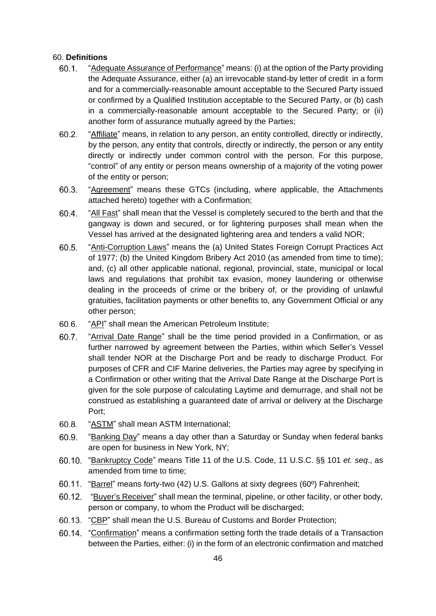### 60. **Definitions**

- $60.1$ "Adequate Assurance of Performance" means: (i) at the option of the Party providing the Adequate Assurance, either (a) an irrevocable stand-by letter of credit in a form and for a commercially-reasonable amount acceptable to the Secured Party issued or confirmed by a Qualified Institution acceptable to the Secured Party, or (b) cash in a commercially-reasonable amount acceptable to the Secured Party; or (ii) another form of assurance mutually agreed by the Parties;
- $60.2.$ "Affiliate" means, in relation to any person, an entity controlled, directly or indirectly, by the person, any entity that controls, directly or indirectly, the person or any entity directly or indirectly under common control with the person. For this purpose, "control" of any entity or person means ownership of a majority of the voting power of the entity or person;
- 60.3. "Agreement" means these GTCs (including, where applicable, the Attachments attached hereto) together with a Confirmation;
- 60.4 "All Fast" shall mean that the Vessel is completely secured to the berth and that the gangway is down and secured, or for lightering purposes shall mean when the Vessel has arrived at the designated lightering area and tenders a valid NOR;
- $60.5.$ "Anti-Corruption Laws" means the (a) United States Foreign Corrupt Practices Act of 1977; (b) the United Kingdom Bribery Act 2010 (as amended from time to time); and, (c) all other applicable national, regional, provincial, state, municipal or local laws and regulations that prohibit tax evasion, money laundering or otherwise dealing in the proceeds of crime or the bribery of, or the providing of unlawful gratuities, facilitation payments or other benefits to, any Government Official or any other person;
- 60.6. "API" shall mean the American Petroleum Institute;
- $60.7$ "Arrival Date Range" shall be the time period provided in a Confirmation, or as further narrowed by agreement between the Parties, within which Seller's Vessel shall tender NOR at the Discharge Port and be ready to discharge Product. For purposes of CFR and CIF Marine deliveries, the Parties may agree by specifying in a Confirmation or other writing that the Arrival Date Range at the Discharge Port is given for the sole purpose of calculating Laytime and demurrage, and shall not be construed as establishing a guaranteed date of arrival or delivery at the Discharge Port;
- $60.8.$ "ASTM" shall mean ASTM International;
- 60.9. "Banking Day" means a day other than a Saturday or Sunday when federal banks are open for business in New York, NY;
- "Bankruptcy Code" means Title 11 of the U.S. Code, 11 U.S.C. §§ 101 *et. seq*., as amended from time to time;
- 60.11. "Barrel" means forty-two (42) U.S. Gallons at sixty degrees (60°) Fahrenheit;
- 60.12. "Buyer's Receiver" shall mean the terminal, pipeline, or other facility, or other body, person or company, to whom the Product will be discharged;
- "CBP" shall mean the U.S. Bureau of Customs and Border Protection;
- "Confirmation" means a confirmation setting forth the trade details of a Transaction between the Parties, either: (i) in the form of an electronic confirmation and matched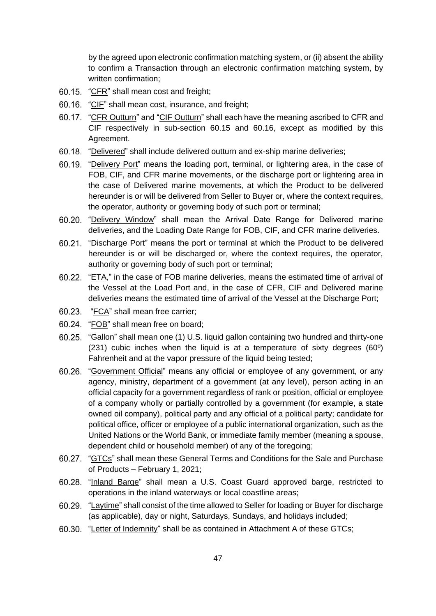by the agreed upon electronic confirmation matching system, or (ii) absent the ability to confirm a Transaction through an electronic confirmation matching system, by written confirmation;

- 60.15. "CFR" shall mean cost and freight;
- 60.16. "CIF" shall mean cost, insurance, and freight;
- 60.17. "CFR Outturn" and "CIF Outturn" shall each have the meaning ascribed to CFR and CIF respectively in sub-section 60.15 and 60.16, except as modified by this Agreement.
- 60.18. "Delivered" shall include delivered outturn and ex-ship marine deliveries;
- 60.19. "Delivery Port" means the loading port, terminal, or lightering area, in the case of FOB, CIF, and CFR marine movements, or the discharge port or lightering area in the case of Delivered marine movements, at which the Product to be delivered hereunder is or will be delivered from Seller to Buyer or, where the context requires, the operator, authority or governing body of such port or terminal;
- 60.20. "Delivery Window" shall mean the Arrival Date Range for Delivered marine deliveries, and the Loading Date Range for FOB, CIF, and CFR marine deliveries.
- 60.21. "Discharge Port" means the port or terminal at which the Product to be delivered hereunder is or will be discharged or, where the context requires, the operator, authority or governing body of such port or terminal;
- 60.22. "ETA," in the case of FOB marine deliveries, means the estimated time of arrival of the Vessel at the Load Port and, in the case of CFR, CIF and Delivered marine deliveries means the estimated time of arrival of the Vessel at the Discharge Port;
- 60.23. "FCA" shall mean free carrier;
- 60.24. "FOB" shall mean free on board;
- 60.25. "Gallon" shall mean one (1) U.S. liquid gallon containing two hundred and thirty-one (231) cubic inches when the liquid is at a temperature of sixty degrees (60º) Fahrenheit and at the vapor pressure of the liquid being tested;
- "Government Official" means any official or employee of any government, or any agency, ministry, department of a government (at any level), person acting in an official capacity for a government regardless of rank or position, official or employee of a company wholly or partially controlled by a government (for example, a state owned oil company), political party and any official of a political party; candidate for political office, officer or employee of a public international organization, such as the United Nations or the World Bank, or immediate family member (meaning a spouse, dependent child or household member) of any of the foregoing;
- 60.27. "GTCs" shall mean these General Terms and Conditions for the Sale and Purchase of Products – February 1, 2021;
- 60.28. "Inland Barge" shall mean a U.S. Coast Guard approved barge, restricted to operations in the inland waterways or local coastline areas;
- 60.29. "Laytime" shall consist of the time allowed to Seller for loading or Buyer for discharge (as applicable), day or night, Saturdays, Sundays, and holidays included;
- 60.30. "Letter of Indemnity" shall be as contained in Attachment A of these GTCs;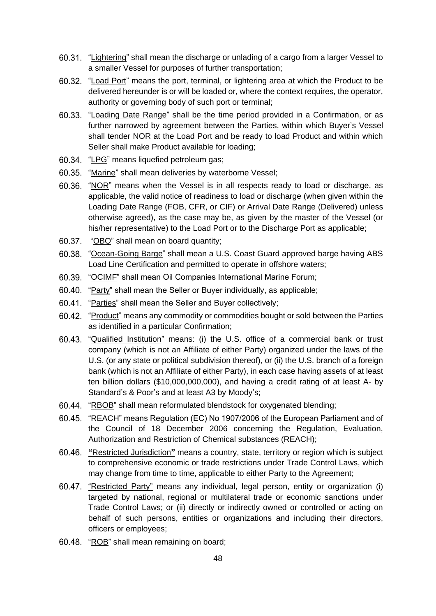- 60.31. "Lightering" shall mean the discharge or unlading of a cargo from a larger Vessel to a smaller Vessel for purposes of further transportation;
- 60.32. "Load Port" means the port, terminal, or lightering area at which the Product to be delivered hereunder is or will be loaded or, where the context requires, the operator, authority or governing body of such port or terminal;
- 60.33. "Loading Date Range" shall be the time period provided in a Confirmation, or as further narrowed by agreement between the Parties, within which Buyer's Vessel shall tender NOR at the Load Port and be ready to load Product and within which Seller shall make Product available for loading;
- 60.34. "LPG" means liquefied petroleum gas;
- 60.35. "Marine" shall mean deliveries by waterborne Vessel;
- 60.36. "NOR" means when the Vessel is in all respects ready to load or discharge, as applicable, the valid notice of readiness to load or discharge (when given within the Loading Date Range (FOB, CFR, or CIF) or Arrival Date Range (Delivered) unless otherwise agreed), as the case may be, as given by the master of the Vessel (or his/her representative) to the Load Port or to the Discharge Port as applicable;
- 60.37. "OBQ" shall mean on board quantity:
- "Ocean-Going Barge" shall mean a U.S. Coast Guard approved barge having ABS Load Line Certification and permitted to operate in offshore waters;
- 60.39. "OCIMF" shall mean Oil Companies International Marine Forum;
- 60.40. "Party" shall mean the Seller or Buyer individually, as applicable;
- 60.41. "Parties" shall mean the Seller and Buyer collectively:
- 60.42. "Product" means any commodity or commodities bought or sold between the Parties as identified in a particular Confirmation;
- 60.43. "Qualified Institution" means: (i) the U.S. office of a commercial bank or trust company (which is not an Affiliate of either Party) organized under the laws of the U.S. (or any state or political subdivision thereof), or (ii) the U.S. branch of a foreign bank (which is not an Affiliate of either Party), in each case having assets of at least ten billion dollars (\$10,000,000,000), and having a credit rating of at least A- by Standard's & Poor's and at least A3 by Moody's;
- 60.44. "RBOB" shall mean reformulated blendstock for oxygenated blending;
- 60.45. "REACH" means Regulation (EC) No 1907/2006 of the European Parliament and of the Council of 18 December 2006 concerning the Regulation, Evaluation, Authorization and Restriction of Chemical substances (REACH);
- **"**Restricted Jurisdiction**"** means a country, state, territory or region which is subject to comprehensive economic or trade restrictions under Trade Control Laws, which may change from time to time, applicable to either Party to the Agreement;
- 60.47. "Restricted Party" means any individual, legal person, entity or organization (i) targeted by national, regional or multilateral trade or economic sanctions under Trade Control Laws; or (ii) directly or indirectly owned or controlled or acting on behalf of such persons, entities or organizations and including their directors, officers or employees;
- 60.48. "ROB" shall mean remaining on board;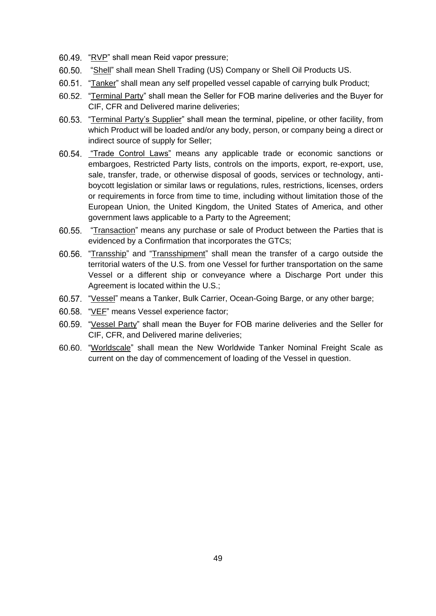- 60.49. "RVP" shall mean Reid vapor pressure;
- "Shell" shall mean Shell Trading (US) Company or Shell Oil Products US.
- 60.51. "Tanker" shall mean any self propelled vessel capable of carrying bulk Product;
- "Terminal Party" shall mean the Seller for FOB marine deliveries and the Buyer for CIF, CFR and Delivered marine deliveries;
- 60.53. "Terminal Party's Supplier" shall mean the terminal, pipeline, or other facility, from which Product will be loaded and/or any body, person, or company being a direct or indirect source of supply for Seller;
- 60.54. "Trade Control Laws" means any applicable trade or economic sanctions or embargoes, Restricted Party lists, controls on the imports, export, re-export, use, sale, transfer, trade, or otherwise disposal of goods, services or technology, antiboycott legislation or similar laws or regulations, rules, restrictions, licenses, orders or requirements in force from time to time, including without limitation those of the European Union, the United Kingdom, the United States of America, and other government laws applicable to a Party to the Agreement;
- 60.55. "Transaction" means any purchase or sale of Product between the Parties that is evidenced by a Confirmation that incorporates the GTCs;
- 60.56. "Transship" and "Transshipment" shall mean the transfer of a cargo outside the territorial waters of the U.S. from one Vessel for further transportation on the same Vessel or a different ship or conveyance where a Discharge Port under this Agreement is located within the U.S.;
- 60.57. "Vessel" means a Tanker, Bulk Carrier, Ocean-Going Barge, or any other barge;
- 60.58. "VEF" means Vessel experience factor;
- "Vessel Party" shall mean the Buyer for FOB marine deliveries and the Seller for CIF, CFR, and Delivered marine deliveries;
- 60.60. "Worldscale" shall mean the New Worldwide Tanker Nominal Freight Scale as current on the day of commencement of loading of the Vessel in question.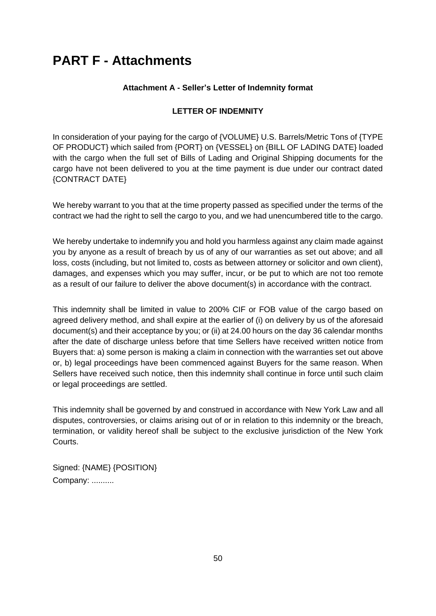# **PART F - Attachments**

# **Attachment A - Seller's Letter of Indemnity format**

# **LETTER OF INDEMNITY**

In consideration of your paying for the cargo of {VOLUME} U.S. Barrels/Metric Tons of {TYPE OF PRODUCT} which sailed from {PORT} on {VESSEL} on {BILL OF LADING DATE} loaded with the cargo when the full set of Bills of Lading and Original Shipping documents for the cargo have not been delivered to you at the time payment is due under our contract dated {CONTRACT DATE}

We hereby warrant to you that at the time property passed as specified under the terms of the contract we had the right to sell the cargo to you, and we had unencumbered title to the cargo.

We hereby undertake to indemnify you and hold you harmless against any claim made against you by anyone as a result of breach by us of any of our warranties as set out above; and all loss, costs (including, but not limited to, costs as between attorney or solicitor and own client), damages, and expenses which you may suffer, incur, or be put to which are not too remote as a result of our failure to deliver the above document(s) in accordance with the contract.

This indemnity shall be limited in value to 200% CIF or FOB value of the cargo based on agreed delivery method, and shall expire at the earlier of (i) on delivery by us of the aforesaid document(s) and their acceptance by you; or (ii) at 24.00 hours on the day 36 calendar months after the date of discharge unless before that time Sellers have received written notice from Buyers that: a) some person is making a claim in connection with the warranties set out above or, b) legal proceedings have been commenced against Buyers for the same reason. When Sellers have received such notice, then this indemnity shall continue in force until such claim or legal proceedings are settled.

This indemnity shall be governed by and construed in accordance with New York Law and all disputes, controversies, or claims arising out of or in relation to this indemnity or the breach, termination, or validity hereof shall be subject to the exclusive jurisdiction of the New York Courts.

Signed: {NAME} {POSITION} Company: ..........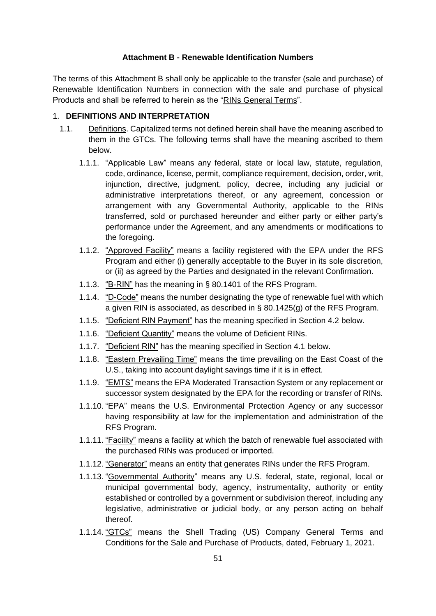### **Attachment B - Renewable Identification Numbers**

The terms of this Attachment B shall only be applicable to the transfer (sale and purchase) of Renewable Identification Numbers in connection with the sale and purchase of physical Products and shall be referred to herein as the "RINs General Terms".

# 1. **DEFINITIONS AND INTERPRETATION**

- 1.1. Definitions. Capitalized terms not defined herein shall have the meaning ascribed to them in the GTCs. The following terms shall have the meaning ascribed to them below.
	- 1.1.1. "Applicable Law" means any federal, state or local law, statute, regulation, code, ordinance, license, permit, compliance requirement, decision, order, writ, injunction, directive, judgment, policy, decree, including any judicial or administrative interpretations thereof, or any agreement, concession or arrangement with any Governmental Authority, applicable to the RINs transferred, sold or purchased hereunder and either party or either party's performance under the Agreement, and any amendments or modifications to the foregoing.
	- 1.1.2. "Approved Facility" means a facility registered with the EPA under the RFS Program and either (i) generally acceptable to the Buyer in its sole discretion, or (ii) as agreed by the Parties and designated in the relevant Confirmation.
	- 1.1.3. "B-RIN" has the meaning in § 80.1401 of the RFS Program.
	- 1.1.4. "D-Code" means the number designating the type of renewable fuel with which a given RIN is associated, as described in § 80.1425(g) of the RFS Program.
	- 1.1.5. "Deficient RIN Payment" has the meaning specified in Section 4.2 below.
	- 1.1.6. "Deficient Quantity" means the volume of Deficient RINs.
	- 1.1.7. "Deficient RIN" has the meaning specified in Section 4.1 below.
	- 1.1.8. "Eastern Prevailing Time" means the time prevailing on the East Coast of the U.S., taking into account daylight savings time if it is in effect.
	- 1.1.9. "EMTS" means the EPA Moderated Transaction System or any replacement or successor system designated by the EPA for the recording or transfer of RINs.
	- 1.1.10. "EPA" means the U.S. Environmental Protection Agency or any successor having responsibility at law for the implementation and administration of the RFS Program.
	- 1.1.11. "Facility" means a facility at which the batch of renewable fuel associated with the purchased RINs was produced or imported.
	- 1.1.12. "Generator" means an entity that generates RINs under the RFS Program.
	- 1.1.13. "Governmental Authority" means any U.S. federal, state, regional, local or municipal governmental body, agency, instrumentality, authority or entity established or controlled by a government or subdivision thereof, including any legislative, administrative or judicial body, or any person acting on behalf thereof.
	- 1.1.14. "GTCs" means the Shell Trading (US) Company General Terms and Conditions for the Sale and Purchase of Products, dated, February 1, 2021.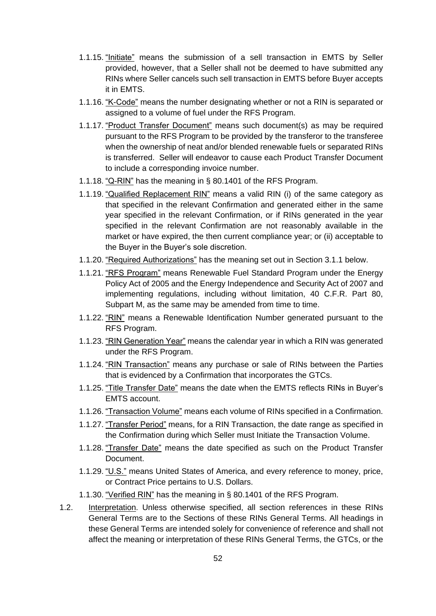- 1.1.15. "Initiate" means the submission of a sell transaction in EMTS by Seller provided, however, that a Seller shall not be deemed to have submitted any RINs where Seller cancels such sell transaction in EMTS before Buyer accepts it in EMTS.
- 1.1.16. "K-Code" means the number designating whether or not a RIN is separated or assigned to a volume of fuel under the RFS Program.
- 1.1.17. "Product Transfer Document" means such document(s) as may be required pursuant to the RFS Program to be provided by the transferor to the transferee when the ownership of neat and/or blended renewable fuels or separated RINs is transferred. Seller will endeavor to cause each Product Transfer Document to include a corresponding invoice number.
- 1.1.18. "Q-RIN" has the meaning in § 80.1401 of the RFS Program.
- 1.1.19. "Qualified Replacement RIN" means a valid RIN (i) of the same category as that specified in the relevant Confirmation and generated either in the same year specified in the relevant Confirmation, or if RINs generated in the year specified in the relevant Confirmation are not reasonably available in the market or have expired, the then current compliance year; or (ii) acceptable to the Buyer in the Buyer's sole discretion.
- 1.1.20. "Required Authorizations" has the meaning set out in Section 3.1.1 below.
- 1.1.21. "RFS Program" means Renewable Fuel Standard Program under the Energy Policy Act of 2005 and the Energy Independence and Security Act of 2007 and implementing regulations, including without limitation, 40 C.F.R. Part 80, Subpart M, as the same may be amended from time to time.
- 1.1.22. "RIN" means a Renewable Identification Number generated pursuant to the RFS Program.
- 1.1.23. "RIN Generation Year" means the calendar year in which a RIN was generated under the RFS Program.
- 1.1.24. "RIN Transaction" means any purchase or sale of RINs between the Parties that is evidenced by a Confirmation that incorporates the GTCs.
- 1.1.25. "Title Transfer Date" means the date when the EMTS reflects RINs in Buyer's EMTS account.
- 1.1.26. "Transaction Volume" means each volume of RINs specified in a Confirmation.
- 1.1.27. "Transfer Period" means, for a RIN Transaction, the date range as specified in the Confirmation during which Seller must Initiate the Transaction Volume.
- 1.1.28. "Transfer Date" means the date specified as such on the Product Transfer Document.
- 1.1.29. "U.S." means United States of America, and every reference to money, price, or Contract Price pertains to U.S. Dollars.
- 1.1.30. "Verified RIN" has the meaning in § 80.1401 of the RFS Program.
- 1.2. Interpretation. Unless otherwise specified, all section references in these RINs General Terms are to the Sections of these RINs General Terms. All headings in these General Terms are intended solely for convenience of reference and shall not affect the meaning or interpretation of these RINs General Terms, the GTCs, or the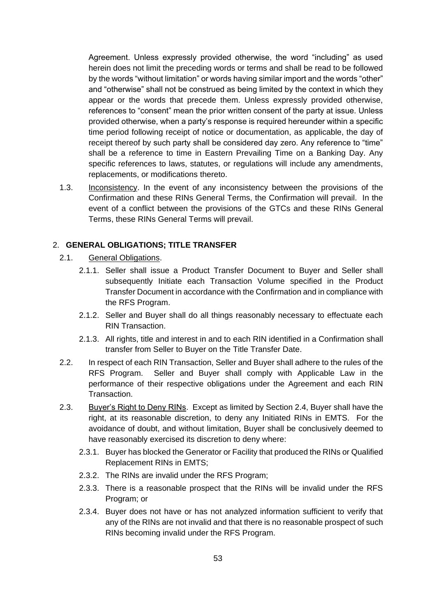Agreement. Unless expressly provided otherwise, the word "including" as used herein does not limit the preceding words or terms and shall be read to be followed by the words "without limitation" or words having similar import and the words "other" and "otherwise" shall not be construed as being limited by the context in which they appear or the words that precede them. Unless expressly provided otherwise, references to "consent" mean the prior written consent of the party at issue. Unless provided otherwise, when a party's response is required hereunder within a specific time period following receipt of notice or documentation, as applicable, the day of receipt thereof by such party shall be considered day zero. Any reference to "time" shall be a reference to time in Eastern Prevailing Time on a Banking Day. Any specific references to laws, statutes, or regulations will include any amendments, replacements, or modifications thereto.

1.3. Inconsistency. In the event of any inconsistency between the provisions of the Confirmation and these RINs General Terms, the Confirmation will prevail. In the event of a conflict between the provisions of the GTCs and these RINs General Terms, these RINs General Terms will prevail.

# 2. **GENERAL OBLIGATIONS; TITLE TRANSFER**

- 2.1. General Obligations.
	- 2.1.1. Seller shall issue a Product Transfer Document to Buyer and Seller shall subsequently Initiate each Transaction Volume specified in the Product Transfer Document in accordance with the Confirmation and in compliance with the RFS Program.
	- 2.1.2. Seller and Buyer shall do all things reasonably necessary to effectuate each RIN Transaction.
	- 2.1.3. All rights, title and interest in and to each RIN identified in a Confirmation shall transfer from Seller to Buyer on the Title Transfer Date.
- 2.2. In respect of each RIN Transaction, Seller and Buyer shall adhere to the rules of the RFS Program. Seller and Buyer shall comply with Applicable Law in the performance of their respective obligations under the Agreement and each RIN Transaction.
- 2.3. Buyer's Right to Deny RINs. Except as limited by Section 2.4, Buyer shall have the right, at its reasonable discretion, to deny any Initiated RINs in EMTS. For the avoidance of doubt, and without limitation, Buyer shall be conclusively deemed to have reasonably exercised its discretion to deny where:
	- 2.3.1. Buyer has blocked the Generator or Facility that produced the RINs or Qualified Replacement RINs in EMTS;
	- 2.3.2. The RINs are invalid under the RFS Program;
	- 2.3.3. There is a reasonable prospect that the RINs will be invalid under the RFS Program; or
	- 2.3.4. Buyer does not have or has not analyzed information sufficient to verify that any of the RINs are not invalid and that there is no reasonable prospect of such RINs becoming invalid under the RFS Program.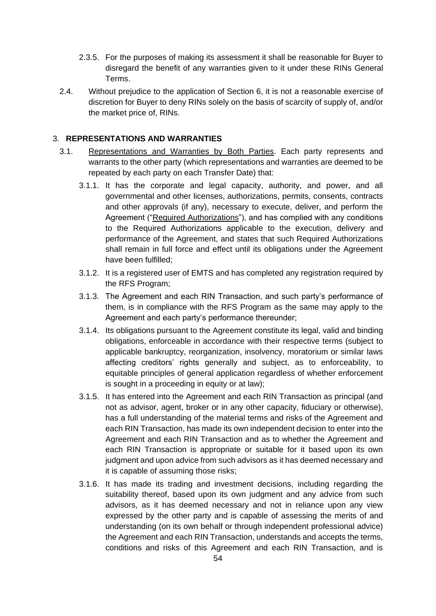- 2.3.5. For the purposes of making its assessment it shall be reasonable for Buyer to disregard the benefit of any warranties given to it under these RINs General Terms.
- 2.4. Without prejudice to the application of Section 6, it is not a reasonable exercise of discretion for Buyer to deny RINs solely on the basis of scarcity of supply of, and/or the market price of, RINs.

# 3. **REPRESENTATIONS AND WARRANTIES**

- 3.1. Representations and Warranties by Both Parties. Each party represents and warrants to the other party (which representations and warranties are deemed to be repeated by each party on each Transfer Date) that:
	- 3.1.1. It has the corporate and legal capacity, authority, and power, and all governmental and other licenses, authorizations, permits, consents, contracts and other approvals (if any), necessary to execute, deliver, and perform the Agreement ("Required Authorizations"), and has complied with any conditions to the Required Authorizations applicable to the execution, delivery and performance of the Agreement, and states that such Required Authorizations shall remain in full force and effect until its obligations under the Agreement have been fulfilled;
	- 3.1.2. It is a registered user of EMTS and has completed any registration required by the RFS Program;
	- 3.1.3. The Agreement and each RIN Transaction, and such party's performance of them, is in compliance with the RFS Program as the same may apply to the Agreement and each party's performance thereunder;
	- 3.1.4. Its obligations pursuant to the Agreement constitute its legal, valid and binding obligations, enforceable in accordance with their respective terms (subject to applicable bankruptcy, reorganization, insolvency, moratorium or similar laws affecting creditors' rights generally and subject, as to enforceability, to equitable principles of general application regardless of whether enforcement is sought in a proceeding in equity or at law);
	- 3.1.5. It has entered into the Agreement and each RIN Transaction as principal (and not as advisor, agent, broker or in any other capacity, fiduciary or otherwise), has a full understanding of the material terms and risks of the Agreement and each RIN Transaction, has made its own independent decision to enter into the Agreement and each RIN Transaction and as to whether the Agreement and each RIN Transaction is appropriate or suitable for it based upon its own judgment and upon advice from such advisors as it has deemed necessary and it is capable of assuming those risks;
	- 3.1.6. It has made its trading and investment decisions, including regarding the suitability thereof, based upon its own judgment and any advice from such advisors, as it has deemed necessary and not in reliance upon any view expressed by the other party and is capable of assessing the merits of and understanding (on its own behalf or through independent professional advice) the Agreement and each RIN Transaction, understands and accepts the terms, conditions and risks of this Agreement and each RIN Transaction, and is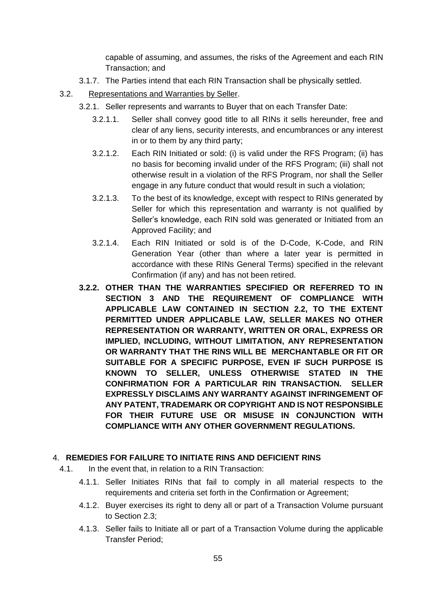capable of assuming, and assumes, the risks of the Agreement and each RIN Transaction; and

- 3.1.7. The Parties intend that each RIN Transaction shall be physically settled.
- 3.2. Representations and Warranties by Seller.
	- 3.2.1. Seller represents and warrants to Buyer that on each Transfer Date:
		- 3.2.1.1. Seller shall convey good title to all RINs it sells hereunder, free and clear of any liens, security interests, and encumbrances or any interest in or to them by any third party;
		- 3.2.1.2. Each RIN Initiated or sold: (i) is valid under the RFS Program; (ii) has no basis for becoming invalid under of the RFS Program; (iii) shall not otherwise result in a violation of the RFS Program, nor shall the Seller engage in any future conduct that would result in such a violation;
		- 3.2.1.3. To the best of its knowledge, except with respect to RINs generated by Seller for which this representation and warranty is not qualified by Seller's knowledge, each RIN sold was generated or Initiated from an Approved Facility; and
		- 3.2.1.4. Each RIN Initiated or sold is of the D-Code, K-Code, and RIN Generation Year (other than where a later year is permitted in accordance with these RINs General Terms) specified in the relevant Confirmation (if any) and has not been retired.
	- **3.2.2. OTHER THAN THE WARRANTIES SPECIFIED OR REFERRED TO IN SECTION 3 AND THE REQUIREMENT OF COMPLIANCE WITH APPLICABLE LAW CONTAINED IN SECTION 2.2, TO THE EXTENT PERMITTED UNDER APPLICABLE LAW, SELLER MAKES NO OTHER REPRESENTATION OR WARRANTY, WRITTEN OR ORAL, EXPRESS OR IMPLIED, INCLUDING, WITHOUT LIMITATION, ANY REPRESENTATION OR WARRANTY THAT THE RINS WILL BE MERCHANTABLE OR FIT OR SUITABLE FOR A SPECIFIC PURPOSE, EVEN IF SUCH PURPOSE IS KNOWN TO SELLER, UNLESS OTHERWISE STATED IN THE CONFIRMATION FOR A PARTICULAR RIN TRANSACTION. SELLER EXPRESSLY DISCLAIMS ANY WARRANTY AGAINST INFRINGEMENT OF ANY PATENT, TRADEMARK OR COPYRIGHT AND IS NOT RESPONSIBLE FOR THEIR FUTURE USE OR MISUSE IN CONJUNCTION WITH COMPLIANCE WITH ANY OTHER GOVERNMENT REGULATIONS.**

#### 4. **REMEDIES FOR FAILURE TO INITIATE RINS AND DEFICIENT RINS**

- 4.1. In the event that, in relation to a RIN Transaction:
	- 4.1.1. Seller Initiates RINs that fail to comply in all material respects to the requirements and criteria set forth in the Confirmation or Agreement;
	- 4.1.2. Buyer exercises its right to deny all or part of a Transaction Volume pursuant to Section 2.3;
	- 4.1.3. Seller fails to Initiate all or part of a Transaction Volume during the applicable Transfer Period;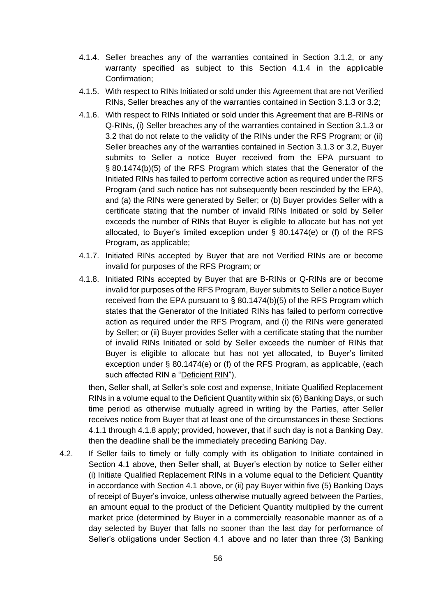- 4.1.4. Seller breaches any of the warranties contained in Section 3.1.2, or any warranty specified as subject to this Section 4.1.4 in the applicable Confirmation;
- 4.1.5. With respect to RINs Initiated or sold under this Agreement that are not Verified RINs, Seller breaches any of the warranties contained in Section 3.1.3 or 3.2;
- 4.1.6. With respect to RINs Initiated or sold under this Agreement that are B-RINs or Q-RINs, (i) Seller breaches any of the warranties contained in Section 3.1.3 or 3.2 that do not relate to the validity of the RINs under the RFS Program; or (ii) Seller breaches any of the warranties contained in Section 3.1.3 or 3.2, Buyer submits to Seller a notice Buyer received from the EPA pursuant to § 80.1474(b)(5) of the RFS Program which states that the Generator of the Initiated RINs has failed to perform corrective action as required under the RFS Program (and such notice has not subsequently been rescinded by the EPA), and (a) the RINs were generated by Seller; or (b) Buyer provides Seller with a certificate stating that the number of invalid RINs Initiated or sold by Seller exceeds the number of RINs that Buyer is eligible to allocate but has not yet allocated, to Buyer's limited exception under  $\S$  80.1474(e) or (f) of the RFS Program, as applicable;
- 4.1.7. Initiated RINs accepted by Buyer that are not Verified RINs are or become invalid for purposes of the RFS Program; or
- 4.1.8. Initiated RINs accepted by Buyer that are B-RINs or Q-RINs are or become invalid for purposes of the RFS Program, Buyer submits to Seller a notice Buyer received from the EPA pursuant to § 80.1474(b)(5) of the RFS Program which states that the Generator of the Initiated RINs has failed to perform corrective action as required under the RFS Program, and (i) the RINs were generated by Seller; or (ii) Buyer provides Seller with a certificate stating that the number of invalid RINs Initiated or sold by Seller exceeds the number of RINs that Buyer is eligible to allocate but has not yet allocated, to Buyer's limited exception under § 80.1474(e) or (f) of the RFS Program, as applicable, (each such affected RIN a "Deficient RIN"),

then, Seller shall, at Seller's sole cost and expense, Initiate Qualified Replacement RINs in a volume equal to the Deficient Quantity within six (6) Banking Days, or such time period as otherwise mutually agreed in writing by the Parties, after Seller receives notice from Buyer that at least one of the circumstances in these Sections 4.1.1 through 4.1.8 apply; provided, however, that if such day is not a Banking Day, then the deadline shall be the immediately preceding Banking Day.

4.2. If Seller fails to timely or fully comply with its obligation to Initiate contained in Section 4.1 above, then Seller shall, at Buyer's election by notice to Seller either (i) Initiate Qualified Replacement RINs in a volume equal to the Deficient Quantity in accordance with Section 4.1 above, or (ii) pay Buyer within five (5) Banking Days of receipt of Buyer's invoice, unless otherwise mutually agreed between the Parties, an amount equal to the product of the Deficient Quantity multiplied by the current market price (determined by Buyer in a commercially reasonable manner as of a day selected by Buyer that falls no sooner than the last day for performance of Seller's obligations under Section 4.1 above and no later than three (3) Banking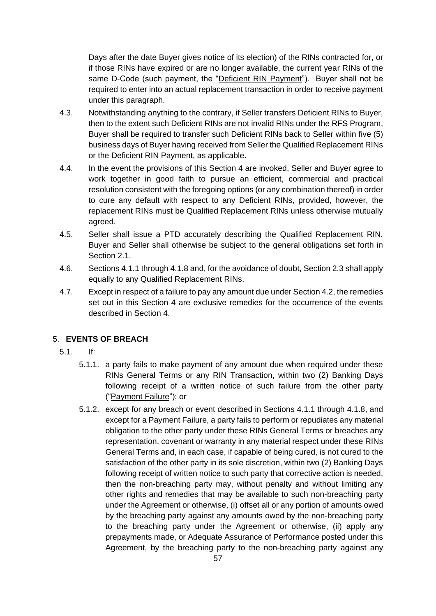Days after the date Buyer gives notice of its election) of the RINs contracted for, or if those RINs have expired or are no longer available, the current year RINs of the same D-Code (such payment, the "Deficient RIN Payment"). Buyer shall not be required to enter into an actual replacement transaction in order to receive payment under this paragraph.

- 4.3. Notwithstanding anything to the contrary, if Seller transfers Deficient RINs to Buyer, then to the extent such Deficient RINs are not invalid RINs under the RFS Program, Buyer shall be required to transfer such Deficient RINs back to Seller within five (5) business days of Buyer having received from Seller the Qualified Replacement RINs or the Deficient RIN Payment, as applicable.
- 4.4. In the event the provisions of this Section 4 are invoked, Seller and Buyer agree to work together in good faith to pursue an efficient, commercial and practical resolution consistent with the foregoing options (or any combination thereof) in order to cure any default with respect to any Deficient RINs, provided, however, the replacement RINs must be Qualified Replacement RINs unless otherwise mutually agreed.
- 4.5. Seller shall issue a PTD accurately describing the Qualified Replacement RIN. Buyer and Seller shall otherwise be subject to the general obligations set forth in Section 2.1.
- 4.6. Sections 4.1.1 through 4.1.8 and, for the avoidance of doubt, Section 2.3 shall apply equally to any Qualified Replacement RINs.
- 4.7. Except in respect of a failure to pay any amount due under Section 4.2, the remedies set out in this Section 4 are exclusive remedies for the occurrence of the events described in Section 4.

# 5. **EVENTS OF BREACH**

- 5.1. If:
	- 5.1.1. a party fails to make payment of any amount due when required under these RINs General Terms or any RIN Transaction, within two (2) Banking Days following receipt of a written notice of such failure from the other party ("Payment Failure"); or
	- 5.1.2. except for any breach or event described in Sections 4.1.1 through 4.1.8, and except for a Payment Failure, a party fails to perform or repudiates any material obligation to the other party under these RINs General Terms or breaches any representation, covenant or warranty in any material respect under these RINs General Terms and, in each case, if capable of being cured, is not cured to the satisfaction of the other party in its sole discretion, within two (2) Banking Days following receipt of written notice to such party that corrective action is needed, then the non-breaching party may, without penalty and without limiting any other rights and remedies that may be available to such non-breaching party under the Agreement or otherwise, (i) offset all or any portion of amounts owed by the breaching party against any amounts owed by the non-breaching party to the breaching party under the Agreement or otherwise, (ii) apply any prepayments made, or Adequate Assurance of Performance posted under this Agreement, by the breaching party to the non-breaching party against any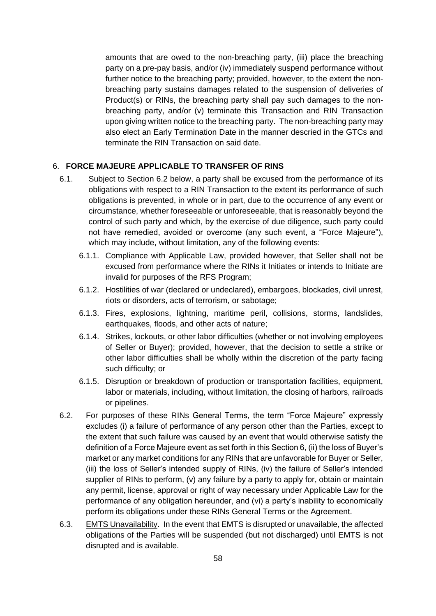amounts that are owed to the non-breaching party, (iii) place the breaching party on a pre-pay basis, and/or (iv) immediately suspend performance without further notice to the breaching party; provided, however, to the extent the nonbreaching party sustains damages related to the suspension of deliveries of Product(s) or RINs, the breaching party shall pay such damages to the nonbreaching party, and/or (v) terminate this Transaction and RIN Transaction upon giving written notice to the breaching party. The non-breaching party may also elect an Early Termination Date in the manner descried in the GTCs and terminate the RIN Transaction on said date.

# 6. **FORCE MAJEURE APPLICABLE TO TRANSFER OF RINS**

- 6.1. Subject to Section 6.2 below, a party shall be excused from the performance of its obligations with respect to a RIN Transaction to the extent its performance of such obligations is prevented, in whole or in part, due to the occurrence of any event or circumstance, whether foreseeable or unforeseeable, that is reasonably beyond the control of such party and which, by the exercise of due diligence, such party could not have remedied, avoided or overcome (any such event, a "Force Majeure"), which may include, without limitation, any of the following events:
	- 6.1.1. Compliance with Applicable Law, provided however, that Seller shall not be excused from performance where the RINs it Initiates or intends to Initiate are invalid for purposes of the RFS Program;
	- 6.1.2. Hostilities of war (declared or undeclared), embargoes, blockades, civil unrest, riots or disorders, acts of terrorism, or sabotage;
	- 6.1.3. Fires, explosions, lightning, maritime peril, collisions, storms, landslides, earthquakes, floods, and other acts of nature;
	- 6.1.4. Strikes, lockouts, or other labor difficulties (whether or not involving employees of Seller or Buyer); provided, however, that the decision to settle a strike or other labor difficulties shall be wholly within the discretion of the party facing such difficulty; or
	- 6.1.5. Disruption or breakdown of production or transportation facilities, equipment, labor or materials, including, without limitation, the closing of harbors, railroads or pipelines.
- 6.2. For purposes of these RINs General Terms, the term "Force Majeure" expressly excludes (i) a failure of performance of any person other than the Parties, except to the extent that such failure was caused by an event that would otherwise satisfy the definition of a Force Majeure event as set forth in this Section 6, (ii) the loss of Buyer's market or any market conditions for any RINs that are unfavorable for Buyer or Seller, (iii) the loss of Seller's intended supply of RINs, (iv) the failure of Seller's intended supplier of RINs to perform, (v) any failure by a party to apply for, obtain or maintain any permit, license, approval or right of way necessary under Applicable Law for the performance of any obligation hereunder, and (vi) a party's inability to economically perform its obligations under these RINs General Terms or the Agreement.
- 6.3. EMTS Unavailability. In the event that EMTS is disrupted or unavailable, the affected obligations of the Parties will be suspended (but not discharged) until EMTS is not disrupted and is available.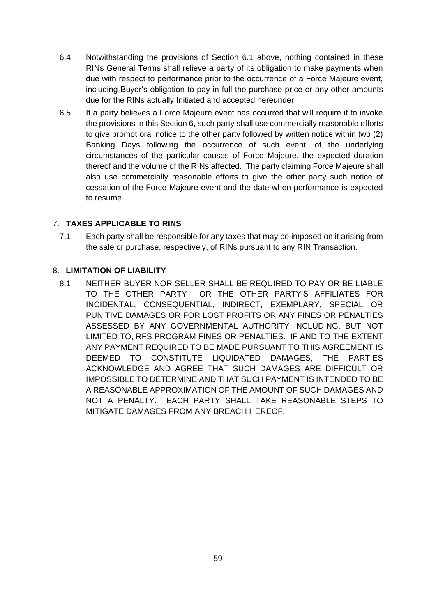- 6.4. Notwithstanding the provisions of Section 6.1 above, nothing contained in these RINs General Terms shall relieve a party of its obligation to make payments when due with respect to performance prior to the occurrence of a Force Majeure event, including Buyer's obligation to pay in full the purchase price or any other amounts due for the RINs actually Initiated and accepted hereunder.
- 6.5. If a party believes a Force Majeure event has occurred that will require it to invoke the provisions in this Section 6, such party shall use commercially reasonable efforts to give prompt oral notice to the other party followed by written notice within two (2) Banking Days following the occurrence of such event, of the underlying circumstances of the particular causes of Force Majeure, the expected duration thereof and the volume of the RINs affected. The party claiming Force Majeure shall also use commercially reasonable efforts to give the other party such notice of cessation of the Force Majeure event and the date when performance is expected to resume.

# 7. **TAXES APPLICABLE TO RINS**

7.1. Each party shall be responsible for any taxes that may be imposed on it arising from the sale or purchase, respectively, of RINs pursuant to any RIN Transaction.

# 8. **LIMITATION OF LIABILITY**

8.1. NEITHER BUYER NOR SELLER SHALL BE REQUIRED TO PAY OR BE LIABLE TO THE OTHER PARTY OR THE OTHER PARTY'S AFFILIATES FOR INCIDENTAL, CONSEQUENTIAL, INDIRECT, EXEMPLARY, SPECIAL OR PUNITIVE DAMAGES OR FOR LOST PROFITS OR ANY FINES OR PENALTIES ASSESSED BY ANY GOVERNMENTAL AUTHORITY INCLUDING, BUT NOT LIMITED TO, RFS PROGRAM FINES OR PENALTIES. IF AND TO THE EXTENT ANY PAYMENT REQUIRED TO BE MADE PURSUANT TO THIS AGREEMENT IS DEEMED TO CONSTITUTE LIQUIDATED DAMAGES, THE PARTIES ACKNOWLEDGE AND AGREE THAT SUCH DAMAGES ARE DIFFICULT OR IMPOSSIBLE TO DETERMINE AND THAT SUCH PAYMENT IS INTENDED TO BE A REASONABLE APPROXIMATION OF THE AMOUNT OF SUCH DAMAGES AND NOT A PENALTY. EACH PARTY SHALL TAKE REASONABLE STEPS TO MITIGATE DAMAGES FROM ANY BREACH HEREOF.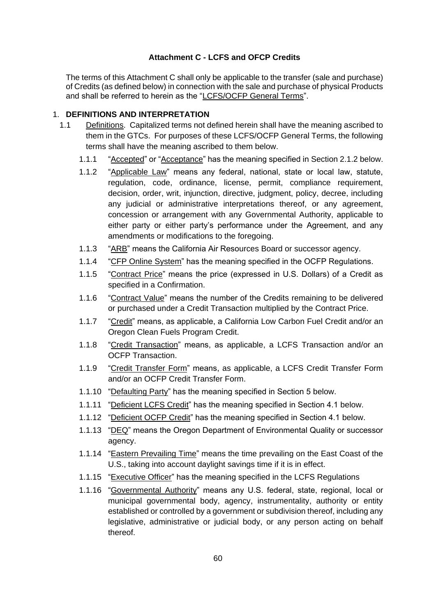# **Attachment C - LCFS and OFCP Credits**

The terms of this Attachment C shall only be applicable to the transfer (sale and purchase) of Credits (as defined below) in connection with the sale and purchase of physical Products and shall be referred to herein as the "LCFS/OCFP General Terms".

# 1. **DEFINITIONS AND INTERPRETATION**

- 1.1 Definitions. Capitalized terms not defined herein shall have the meaning ascribed to them in the GTCs. For purposes of these LCFS/OCFP General Terms, the following terms shall have the meaning ascribed to them below.
	- 1.1.1 "Accepted" or "Acceptance" has the meaning specified in Section 2.1.2 below.
	- 1.1.2 "Applicable Law" means any federal, national, state or local law, statute, regulation, code, ordinance, license, permit, compliance requirement, decision, order, writ, injunction, directive, judgment, policy, decree, including any judicial or administrative interpretations thereof, or any agreement, concession or arrangement with any Governmental Authority, applicable to either party or either party's performance under the Agreement, and any amendments or modifications to the foregoing.
	- 1.1.3 "ARB" means the California Air Resources Board or successor agency.
	- 1.1.4 "CFP Online System" has the meaning specified in the OCFP Regulations.
	- 1.1.5 "Contract Price" means the price (expressed in U.S. Dollars) of a Credit as specified in a Confirmation.
	- 1.1.6 "Contract Value" means the number of the Credits remaining to be delivered or purchased under a Credit Transaction multiplied by the Contract Price.
	- 1.1.7 "Credit" means, as applicable, a California Low Carbon Fuel Credit and/or an Oregon Clean Fuels Program Credit.
	- 1.1.8 "Credit Transaction" means, as applicable, a LCFS Transaction and/or an OCFP Transaction.
	- 1.1.9 "Credit Transfer Form" means, as applicable, a LCFS Credit Transfer Form and/or an OCFP Credit Transfer Form.
	- 1.1.10 "Defaulting Party" has the meaning specified in Section 5 below.
	- 1.1.11 "Deficient LCFS Credit" has the meaning specified in Section 4.1 below.
	- 1.1.12 "Deficient OCFP Credit" has the meaning specified in Section 4.1 below.
	- 1.1.13 "DEQ" means the Oregon Department of Environmental Quality or successor agency.
	- 1.1.14 "Eastern Prevailing Time" means the time prevailing on the East Coast of the U.S., taking into account daylight savings time if it is in effect.
	- 1.1.15 "Executive Officer" has the meaning specified in the LCFS Regulations
	- 1.1.16 "Governmental Authority" means any U.S. federal, state, regional, local or municipal governmental body, agency, instrumentality, authority or entity established or controlled by a government or subdivision thereof, including any legislative, administrative or judicial body, or any person acting on behalf thereof.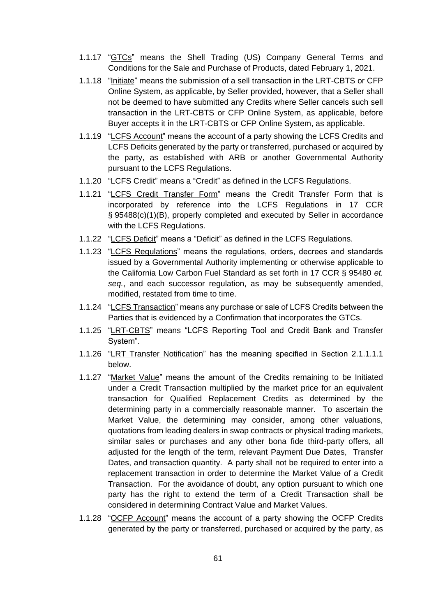- 1.1.17 "GTCs" means the Shell Trading (US) Company General Terms and Conditions for the Sale and Purchase of Products, dated February 1, 2021.
- 1.1.18 "Initiate" means the submission of a sell transaction in the LRT-CBTS or CFP Online System, as applicable, by Seller provided, however, that a Seller shall not be deemed to have submitted any Credits where Seller cancels such sell transaction in the LRT-CBTS or CFP Online System, as applicable, before Buyer accepts it in the LRT-CBTS or CFP Online System, as applicable.
- 1.1.19 "LCFS Account" means the account of a party showing the LCFS Credits and LCFS Deficits generated by the party or transferred, purchased or acquired by the party, as established with ARB or another Governmental Authority pursuant to the LCFS Regulations.
- 1.1.20 "LCFS Credit" means a "Credit" as defined in the LCFS Regulations.
- 1.1.21 "LCFS Credit Transfer Form" means the Credit Transfer Form that is incorporated by reference into the LCFS Regulations in 17 CCR § 95488(c)(1)(B), properly completed and executed by Seller in accordance with the LCFS Regulations.
- 1.1.22 "LCFS Deficit" means a "Deficit" as defined in the LCFS Regulations.
- 1.1.23 "LCFS Regulations" means the regulations, orders, decrees and standards issued by a Governmental Authority implementing or otherwise applicable to the California Low Carbon Fuel Standard as set forth in 17 CCR § 95480 *et. seq.*, and each successor regulation, as may be subsequently amended, modified, restated from time to time.
- 1.1.24 "LCFS Transaction" means any purchase or sale of LCFS Credits between the Parties that is evidenced by a Confirmation that incorporates the GTCs.
- 1.1.25 "LRT-CBTS" means "LCFS Reporting Tool and Credit Bank and Transfer System".
- 1.1.26 "LRT Transfer Notification" has the meaning specified in Section 2.1.1.1.1 below.
- 1.1.27 "Market Value" means the amount of the Credits remaining to be Initiated under a Credit Transaction multiplied by the market price for an equivalent transaction for Qualified Replacement Credits as determined by the determining party in a commercially reasonable manner. To ascertain the Market Value, the determining may consider, among other valuations, quotations from leading dealers in swap contracts or physical trading markets, similar sales or purchases and any other bona fide third-party offers, all adjusted for the length of the term, relevant Payment Due Dates, Transfer Dates, and transaction quantity. A party shall not be required to enter into a replacement transaction in order to determine the Market Value of a Credit Transaction. For the avoidance of doubt, any option pursuant to which one party has the right to extend the term of a Credit Transaction shall be considered in determining Contract Value and Market Values.
- 1.1.28 "OCFP Account" means the account of a party showing the OCFP Credits generated by the party or transferred, purchased or acquired by the party, as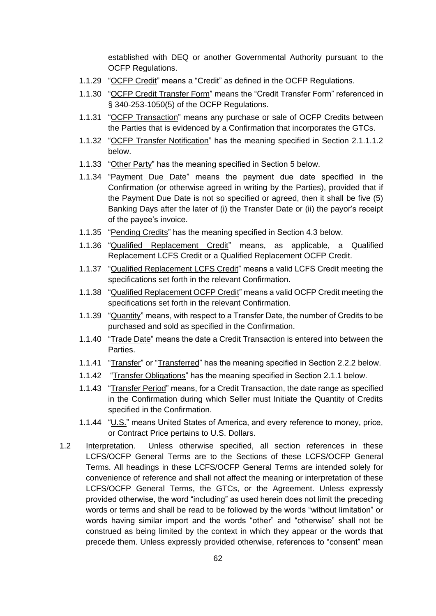established with DEQ or another Governmental Authority pursuant to the OCFP Regulations.

- 1.1.29 "OCFP Credit" means a "Credit" as defined in the OCFP Regulations.
- 1.1.30 "OCFP Credit Transfer Form" means the "Credit Transfer Form" referenced in § 340-253-1050(5) of the OCFP Regulations.
- 1.1.31 "OCFP Transaction" means any purchase or sale of OCFP Credits between the Parties that is evidenced by a Confirmation that incorporates the GTCs.
- 1.1.32 "OCFP Transfer Notification" has the meaning specified in Section 2.1.1.1.2 below.
- 1.1.33 "Other Party" has the meaning specified in Section 5 below.
- 1.1.34 "Payment Due Date" means the payment due date specified in the Confirmation (or otherwise agreed in writing by the Parties), provided that if the Payment Due Date is not so specified or agreed, then it shall be five (5) Banking Days after the later of (i) the Transfer Date or (ii) the payor's receipt of the payee's invoice.
- 1.1.35 "Pending Credits" has the meaning specified in Section 4.3 below.
- 1.1.36 "Qualified Replacement Credit" means, as applicable, a Qualified Replacement LCFS Credit or a Qualified Replacement OCFP Credit.
- 1.1.37 "Qualified Replacement LCFS Credit" means a valid LCFS Credit meeting the specifications set forth in the relevant Confirmation.
- 1.1.38 "Qualified Replacement OCFP Credit" means a valid OCFP Credit meeting the specifications set forth in the relevant Confirmation.
- 1.1.39 "Quantity" means, with respect to a Transfer Date, the number of Credits to be purchased and sold as specified in the Confirmation.
- 1.1.40 "Trade Date" means the date a Credit Transaction is entered into between the Parties.
- 1.1.41 "Transfer" or "Transferred" has the meaning specified in Section 2.2.2 below.
- 1.1.42 "Transfer Obligations" has the meaning specified in Section 2.1.1 below.
- 1.1.43 "Transfer Period" means, for a Credit Transaction, the date range as specified in the Confirmation during which Seller must Initiate the Quantity of Credits specified in the Confirmation.
- 1.1.44 "U.S." means United States of America, and every reference to money, price, or Contract Price pertains to U.S. Dollars.
- 1.2 Interpretation. Unless otherwise specified, all section references in these LCFS/OCFP General Terms are to the Sections of these LCFS/OCFP General Terms. All headings in these LCFS/OCFP General Terms are intended solely for convenience of reference and shall not affect the meaning or interpretation of these LCFS/OCFP General Terms, the GTCs, or the Agreement. Unless expressly provided otherwise, the word "including" as used herein does not limit the preceding words or terms and shall be read to be followed by the words "without limitation" or words having similar import and the words "other" and "otherwise" shall not be construed as being limited by the context in which they appear or the words that precede them. Unless expressly provided otherwise, references to "consent" mean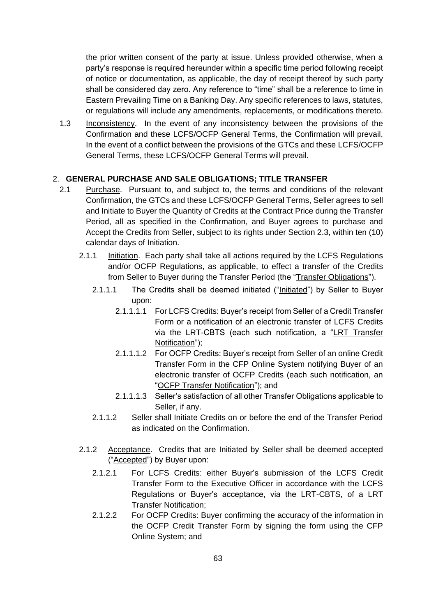the prior written consent of the party at issue. Unless provided otherwise, when a party's response is required hereunder within a specific time period following receipt of notice or documentation, as applicable, the day of receipt thereof by such party shall be considered day zero. Any reference to "time" shall be a reference to time in Eastern Prevailing Time on a Banking Day. Any specific references to laws, statutes, or regulations will include any amendments, replacements, or modifications thereto.

1.3 Inconsistency. In the event of any inconsistency between the provisions of the Confirmation and these LCFS/OCFP General Terms, the Confirmation will prevail. In the event of a conflict between the provisions of the GTCs and these LCFS/OCFP General Terms, these LCFS/OCFP General Terms will prevail.

# 2. **GENERAL PURCHASE AND SALE OBLIGATIONS; TITLE TRANSFER**

- 2.1 Purchase. Pursuant to, and subject to, the terms and conditions of the relevant Confirmation, the GTCs and these LCFS/OCFP General Terms, Seller agrees to sell and Initiate to Buyer the Quantity of Credits at the Contract Price during the Transfer Period, all as specified in the Confirmation, and Buyer agrees to purchase and Accept the Credits from Seller, subject to its rights under Section 2.3, within ten (10) calendar days of Initiation.
	- 2.1.1 Initiation. Each party shall take all actions required by the LCFS Regulations and/or OCFP Regulations, as applicable, to effect a transfer of the Credits from Seller to Buyer during the Transfer Period (the "Transfer Obligations").
		- 2.1.1.1 The Credits shall be deemed initiated ("Initiated") by Seller to Buyer upon:
			- 2.1.1.1.1 For LCFS Credits: Buyer's receipt from Seller of a Credit Transfer Form or a notification of an electronic transfer of LCFS Credits via the LRT-CBTS (each such notification, a "LRT Transfer Notification");
			- 2.1.1.1.2 For OCFP Credits: Buyer's receipt from Seller of an online Credit Transfer Form in the CFP Online System notifying Buyer of an electronic transfer of OCFP Credits (each such notification, an "OCFP Transfer Notification"); and
			- 2.1.1.1.3 Seller's satisfaction of all other Transfer Obligations applicable to Seller, if any.
		- 2.1.1.2 Seller shall Initiate Credits on or before the end of the Transfer Period as indicated on the Confirmation.
	- 2.1.2 Acceptance. Credits that are Initiated by Seller shall be deemed accepted ("Accepted") by Buyer upon:
		- 2.1.2.1 For LCFS Credits: either Buyer's submission of the LCFS Credit Transfer Form to the Executive Officer in accordance with the LCFS Regulations or Buyer's acceptance, via the LRT-CBTS, of a LRT Transfer Notification;
		- 2.1.2.2 For OCFP Credits: Buyer confirming the accuracy of the information in the OCFP Credit Transfer Form by signing the form using the CFP Online System; and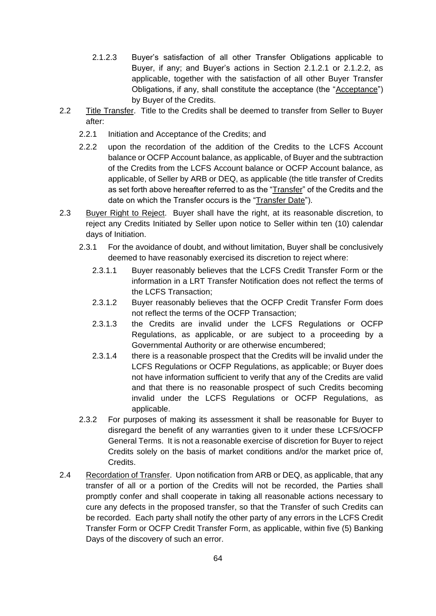- 2.1.2.3 Buyer's satisfaction of all other Transfer Obligations applicable to Buyer, if any; and Buyer's actions in Section 2.1.2.1 or 2.1.2.2, as applicable, together with the satisfaction of all other Buyer Transfer Obligations, if any, shall constitute the acceptance (the "Acceptance") by Buyer of the Credits.
- 2.2 Title Transfer. Title to the Credits shall be deemed to transfer from Seller to Buyer after:
	- 2.2.1 Initiation and Acceptance of the Credits; and
	- 2.2.2 upon the recordation of the addition of the Credits to the LCFS Account balance or OCFP Account balance, as applicable, of Buyer and the subtraction of the Credits from the LCFS Account balance or OCFP Account balance, as applicable, of Seller by ARB or DEQ, as applicable (the title transfer of Credits as set forth above hereafter referred to as the "Transfer" of the Credits and the date on which the Transfer occurs is the "Transfer Date").
- 2.3 Buyer Right to Reject. Buyer shall have the right, at its reasonable discretion, to reject any Credits Initiated by Seller upon notice to Seller within ten (10) calendar days of Initiation.
	- 2.3.1 For the avoidance of doubt, and without limitation, Buyer shall be conclusively deemed to have reasonably exercised its discretion to reject where:
		- 2.3.1.1 Buyer reasonably believes that the LCFS Credit Transfer Form or the information in a LRT Transfer Notification does not reflect the terms of the LCFS Transaction;
		- 2.3.1.2 Buyer reasonably believes that the OCFP Credit Transfer Form does not reflect the terms of the OCFP Transaction;
		- 2.3.1.3 the Credits are invalid under the LCFS Regulations or OCFP Regulations, as applicable, or are subject to a proceeding by a Governmental Authority or are otherwise encumbered;
		- 2.3.1.4 there is a reasonable prospect that the Credits will be invalid under the LCFS Regulations or OCFP Regulations, as applicable; or Buyer does not have information sufficient to verify that any of the Credits are valid and that there is no reasonable prospect of such Credits becoming invalid under the LCFS Regulations or OCFP Regulations, as applicable.
	- 2.3.2 For purposes of making its assessment it shall be reasonable for Buyer to disregard the benefit of any warranties given to it under these LCFS/OCFP General Terms. It is not a reasonable exercise of discretion for Buyer to reject Credits solely on the basis of market conditions and/or the market price of, Credits.
- 2.4 Recordation of Transfer. Upon notification from ARB or DEQ, as applicable, that any transfer of all or a portion of the Credits will not be recorded, the Parties shall promptly confer and shall cooperate in taking all reasonable actions necessary to cure any defects in the proposed transfer, so that the Transfer of such Credits can be recorded. Each party shall notify the other party of any errors in the LCFS Credit Transfer Form or OCFP Credit Transfer Form, as applicable, within five (5) Banking Days of the discovery of such an error.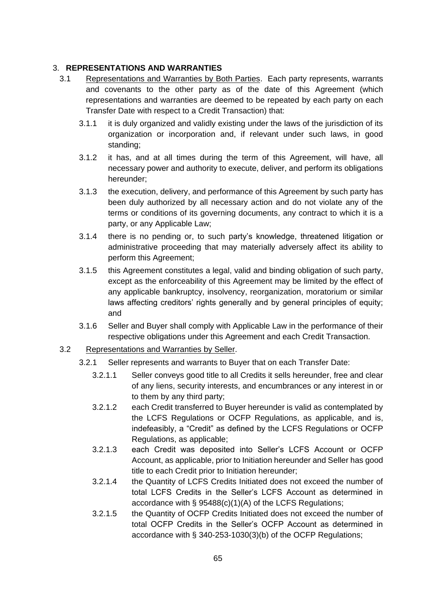# 3. **REPRESENTATIONS AND WARRANTIES**

- 3.1 Representations and Warranties by Both Parties. Each party represents, warrants and covenants to the other party as of the date of this Agreement (which representations and warranties are deemed to be repeated by each party on each Transfer Date with respect to a Credit Transaction) that:
	- 3.1.1 it is duly organized and validly existing under the laws of the jurisdiction of its organization or incorporation and, if relevant under such laws, in good standing;
	- 3.1.2 it has, and at all times during the term of this Agreement, will have, all necessary power and authority to execute, deliver, and perform its obligations hereunder;
	- 3.1.3 the execution, delivery, and performance of this Agreement by such party has been duly authorized by all necessary action and do not violate any of the terms or conditions of its governing documents, any contract to which it is a party, or any Applicable Law;
	- 3.1.4 there is no pending or, to such party's knowledge, threatened litigation or administrative proceeding that may materially adversely affect its ability to perform this Agreement;
	- 3.1.5 this Agreement constitutes a legal, valid and binding obligation of such party, except as the enforceability of this Agreement may be limited by the effect of any applicable bankruptcy, insolvency, reorganization, moratorium or similar laws affecting creditors' rights generally and by general principles of equity; and
	- 3.1.6 Seller and Buyer shall comply with Applicable Law in the performance of their respective obligations under this Agreement and each Credit Transaction.
- 3.2 Representations and Warranties by Seller.
	- 3.2.1 Seller represents and warrants to Buyer that on each Transfer Date:
		- 3.2.1.1 Seller conveys good title to all Credits it sells hereunder, free and clear of any liens, security interests, and encumbrances or any interest in or to them by any third party;
		- 3.2.1.2 each Credit transferred to Buyer hereunder is valid as contemplated by the LCFS Regulations or OCFP Regulations, as applicable, and is, indefeasibly, a "Credit" as defined by the LCFS Regulations or OCFP Regulations, as applicable;
		- 3.2.1.3 each Credit was deposited into Seller's LCFS Account or OCFP Account, as applicable, prior to Initiation hereunder and Seller has good title to each Credit prior to Initiation hereunder;
		- 3.2.1.4 the Quantity of LCFS Credits Initiated does not exceed the number of total LCFS Credits in the Seller's LCFS Account as determined in accordance with § 95488(c)(1)(A) of the LCFS Regulations;
		- 3.2.1.5 the Quantity of OCFP Credits Initiated does not exceed the number of total OCFP Credits in the Seller's OCFP Account as determined in accordance with § 340-253-1030(3)(b) of the OCFP Regulations;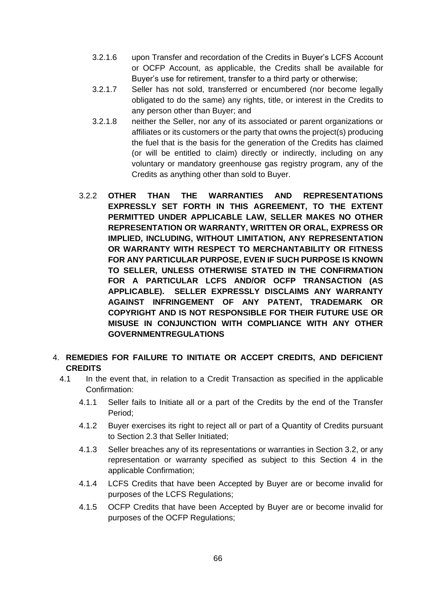- 3.2.1.6 upon Transfer and recordation of the Credits in Buyer's LCFS Account or OCFP Account, as applicable, the Credits shall be available for Buyer's use for retirement, transfer to a third party or otherwise;
- 3.2.1.7 Seller has not sold, transferred or encumbered (nor become legally obligated to do the same) any rights, title, or interest in the Credits to any person other than Buyer; and
- 3.2.1.8 neither the Seller, nor any of its associated or parent organizations or affiliates or its customers or the party that owns the project(s) producing the fuel that is the basis for the generation of the Credits has claimed (or will be entitled to claim) directly or indirectly, including on any voluntary or mandatory greenhouse gas registry program, any of the Credits as anything other than sold to Buyer.
- 3.2.2 **OTHER THAN THE WARRANTIES AND REPRESENTATIONS EXPRESSLY SET FORTH IN THIS AGREEMENT, TO THE EXTENT PERMITTED UNDER APPLICABLE LAW, SELLER MAKES NO OTHER REPRESENTATION OR WARRANTY, WRITTEN OR ORAL, EXPRESS OR IMPLIED, INCLUDING, WITHOUT LIMITATION, ANY REPRESENTATION OR WARRANTY WITH RESPECT TO MERCHANTABILITY OR FITNESS FOR ANY PARTICULAR PURPOSE, EVEN IF SUCH PURPOSE IS KNOWN TO SELLER, UNLESS OTHERWISE STATED IN THE CONFIRMATION FOR A PARTICULAR LCFS AND/OR OCFP TRANSACTION (AS APPLICABLE). SELLER EXPRESSLY DISCLAIMS ANY WARRANTY AGAINST INFRINGEMENT OF ANY PATENT, TRADEMARK OR COPYRIGHT AND IS NOT RESPONSIBLE FOR THEIR FUTURE USE OR MISUSE IN CONJUNCTION WITH COMPLIANCE WITH ANY OTHER GOVERNMENTREGULATIONS**
- 4. **REMEDIES FOR FAILURE TO INITIATE OR ACCEPT CREDITS, AND DEFICIENT CREDITS**
	- 4.1 In the event that, in relation to a Credit Transaction as specified in the applicable Confirmation:
		- 4.1.1 Seller fails to Initiate all or a part of the Credits by the end of the Transfer Period;
		- 4.1.2 Buyer exercises its right to reject all or part of a Quantity of Credits pursuant to Section 2.3 that Seller Initiated;
		- 4.1.3 Seller breaches any of its representations or warranties in Section 3.2, or any representation or warranty specified as subject to this Section 4 in the applicable Confirmation;
		- 4.1.4 LCFS Credits that have been Accepted by Buyer are or become invalid for purposes of the LCFS Regulations;
		- 4.1.5 OCFP Credits that have been Accepted by Buyer are or become invalid for purposes of the OCFP Regulations;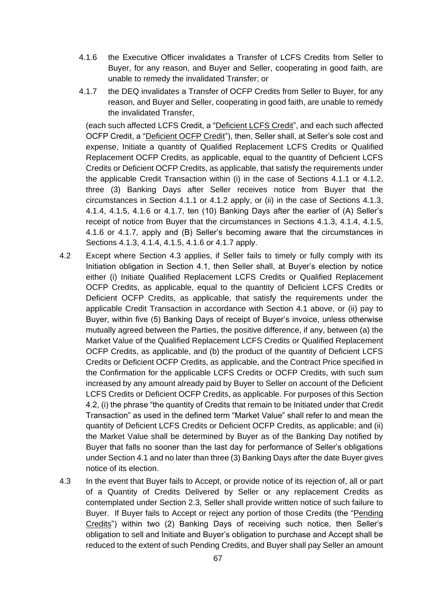- 4.1.6 the Executive Officer invalidates a Transfer of LCFS Credits from Seller to Buyer, for any reason, and Buyer and Seller, cooperating in good faith, are unable to remedy the invalidated Transfer; or
- 4.1.7 the DEQ invalidates a Transfer of OCFP Credits from Seller to Buyer, for any reason, and Buyer and Seller, cooperating in good faith, are unable to remedy the invalidated Transfer,

 (each such affected LCFS Credit, a "Deficient LCFS Credit", and each such affected OCFP Credit, a "Deficient OCFP Credit"), then, Seller shall, at Seller's sole cost and expense, Initiate a quantity of Qualified Replacement LCFS Credits or Qualified Replacement OCFP Credits, as applicable, equal to the quantity of Deficient LCFS Credits or Deficient OCFP Credits, as applicable, that satisfy the requirements under the applicable Credit Transaction within (i) in the case of Sections 4.1.1 or 4.1.2, three (3) Banking Days after Seller receives notice from Buyer that the circumstances in Section 4.1.1 or 4.1.2 apply, or (ii) in the case of Sections 4.1.3, 4.1.4, 4.1.5, 4.1.6 or 4.1.7, ten (10) Banking Days after the earlier of (A) Seller's receipt of notice from Buyer that the circumstances in Sections 4.1.3, 4.1.4, 4.1.5, 4.1.6 or 4.1.7, apply and (B) Seller's becoming aware that the circumstances in Sections 4.1.3, 4.1.4, 4.1.5, 4.1.6 or 4.1.7 apply.

- 4.2 Except where Section 4.3 applies, if Seller fails to timely or fully comply with its Initiation obligation in Section 4.1, then Seller shall, at Buyer's election by notice either (i) Initiate Qualified Replacement LCFS Credits or Qualified Replacement OCFP Credits, as applicable, equal to the quantity of Deficient LCFS Credits or Deficient OCFP Credits, as applicable, that satisfy the requirements under the applicable Credit Transaction in accordance with Section 4.1 above, or (ii) pay to Buyer, within five (5) Banking Days of receipt of Buyer's invoice, unless otherwise mutually agreed between the Parties, the positive difference, if any, between (a) the Market Value of the Qualified Replacement LCFS Credits or Qualified Replacement OCFP Credits, as applicable, and (b) the product of the quantity of Deficient LCFS Credits or Deficient OCFP Credits, as applicable, and the Contract Price specified in the Confirmation for the applicable LCFS Credits or OCFP Credits, with such sum increased by any amount already paid by Buyer to Seller on account of the Deficient LCFS Credits or Deficient OCFP Credits, as applicable. For purposes of this Section 4.2, (i) the phrase "the quantity of Credits that remain to be Initiated under that Credit Transaction" as used in the defined term "Market Value" shall refer to and mean the quantity of Deficient LCFS Credits or Deficient OCFP Credits, as applicable; and (ii) the Market Value shall be determined by Buyer as of the Banking Day notified by Buyer that falls no sooner than the last day for performance of Seller's obligations under Section 4.1 and no later than three (3) Banking Days after the date Buyer gives notice of its election.
- 4.3 In the event that Buyer fails to Accept, or provide notice of its rejection of, all or part of a Quantity of Credits Delivered by Seller or any replacement Credits as contemplated under Section 2.3, Seller shall provide written notice of such failure to Buyer. If Buyer fails to Accept or reject any portion of those Credits (the "Pending Credits") within two (2) Banking Days of receiving such notice, then Seller's obligation to sell and Initiate and Buyer's obligation to purchase and Accept shall be reduced to the extent of such Pending Credits, and Buyer shall pay Seller an amount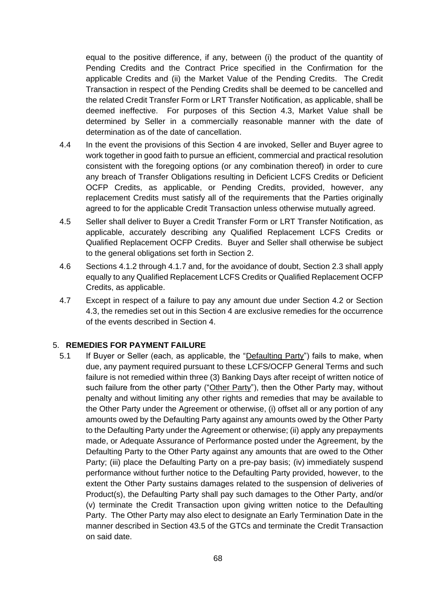equal to the positive difference, if any, between (i) the product of the quantity of Pending Credits and the Contract Price specified in the Confirmation for the applicable Credits and (ii) the Market Value of the Pending Credits. The Credit Transaction in respect of the Pending Credits shall be deemed to be cancelled and the related Credit Transfer Form or LRT Transfer Notification, as applicable, shall be deemed ineffective. For purposes of this Section 4.3, Market Value shall be determined by Seller in a commercially reasonable manner with the date of determination as of the date of cancellation.

- 4.4 In the event the provisions of this Section 4 are invoked, Seller and Buyer agree to work together in good faith to pursue an efficient, commercial and practical resolution consistent with the foregoing options (or any combination thereof) in order to cure any breach of Transfer Obligations resulting in Deficient LCFS Credits or Deficient OCFP Credits, as applicable, or Pending Credits, provided, however, any replacement Credits must satisfy all of the requirements that the Parties originally agreed to for the applicable Credit Transaction unless otherwise mutually agreed.
- 4.5 Seller shall deliver to Buyer a Credit Transfer Form or LRT Transfer Notification, as applicable, accurately describing any Qualified Replacement LCFS Credits or Qualified Replacement OCFP Credits. Buyer and Seller shall otherwise be subject to the general obligations set forth in Section 2.
- 4.6 Sections 4.1.2 through 4.1.7 and, for the avoidance of doubt, Section 2.3 shall apply equally to any Qualified Replacement LCFS Credits or Qualified Replacement OCFP Credits, as applicable.
- 4.7 Except in respect of a failure to pay any amount due under Section 4.2 or Section 4.3, the remedies set out in this Section 4 are exclusive remedies for the occurrence of the events described in Section 4.

#### 5. **REMEDIES FOR PAYMENT FAILURE**

5.1 If Buyer or Seller (each, as applicable, the "Defaulting Party") fails to make, when due, any payment required pursuant to these LCFS/OCFP General Terms and such failure is not remedied within three (3) Banking Days after receipt of written notice of such failure from the other party ("Other Party"), then the Other Party may, without penalty and without limiting any other rights and remedies that may be available to the Other Party under the Agreement or otherwise, (i) offset all or any portion of any amounts owed by the Defaulting Party against any amounts owed by the Other Party to the Defaulting Party under the Agreement or otherwise; (ii) apply any prepayments made, or Adequate Assurance of Performance posted under the Agreement, by the Defaulting Party to the Other Party against any amounts that are owed to the Other Party; (iii) place the Defaulting Party on a pre-pay basis; (iv) immediately suspend performance without further notice to the Defaulting Party provided, however, to the extent the Other Party sustains damages related to the suspension of deliveries of Product(s), the Defaulting Party shall pay such damages to the Other Party, and/or (v) terminate the Credit Transaction upon giving written notice to the Defaulting Party. The Other Party may also elect to designate an Early Termination Date in the manner described in Section 43.5 of the GTCs and terminate the Credit Transaction on said date.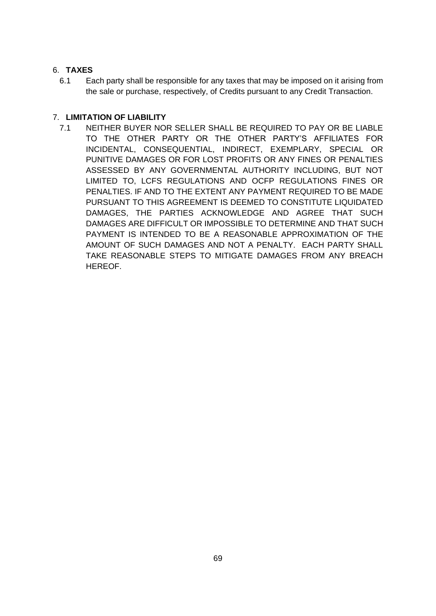# 6. **TAXES**

6.1 Each party shall be responsible for any taxes that may be imposed on it arising from the sale or purchase, respectively, of Credits pursuant to any Credit Transaction.

# 7. **LIMITATION OF LIABILITY**

7.1 NEITHER BUYER NOR SELLER SHALL BE REQUIRED TO PAY OR BE LIABLE TO THE OTHER PARTY OR THE OTHER PARTY'S AFFILIATES FOR INCIDENTAL, CONSEQUENTIAL, INDIRECT, EXEMPLARY, SPECIAL OR PUNITIVE DAMAGES OR FOR LOST PROFITS OR ANY FINES OR PENALTIES ASSESSED BY ANY GOVERNMENTAL AUTHORITY INCLUDING, BUT NOT LIMITED TO, LCFS REGULATIONS AND OCFP REGULATIONS FINES OR PENALTIES. IF AND TO THE EXTENT ANY PAYMENT REQUIRED TO BE MADE PURSUANT TO THIS AGREEMENT IS DEEMED TO CONSTITUTE LIQUIDATED DAMAGES, THE PARTIES ACKNOWLEDGE AND AGREE THAT SUCH DAMAGES ARE DIFFICULT OR IMPOSSIBLE TO DETERMINE AND THAT SUCH PAYMENT IS INTENDED TO BE A REASONABLE APPROXIMATION OF THE AMOUNT OF SUCH DAMAGES AND NOT A PENALTY. EACH PARTY SHALL TAKE REASONABLE STEPS TO MITIGATE DAMAGES FROM ANY BREACH HEREOF.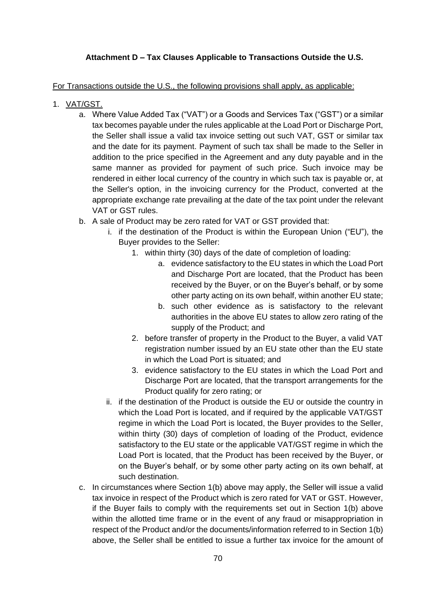# **Attachment D – Tax Clauses Applicable to Transactions Outside the U.S.**

## For Transactions outside the U.S., the following provisions shall apply, as applicable:

- 1. VAT/GST.
	- a. Where Value Added Tax ("VAT") or a Goods and Services Tax ("GST") or a similar tax becomes payable under the rules applicable at the Load Port or Discharge Port, the Seller shall issue a valid tax invoice setting out such VAT, GST or similar tax and the date for its payment. Payment of such tax shall be made to the Seller in addition to the price specified in the Agreement and any duty payable and in the same manner as provided for payment of such price. Such invoice may be rendered in either local currency of the country in which such tax is payable or, at the Seller's option, in the invoicing currency for the Product, converted at the appropriate exchange rate prevailing at the date of the tax point under the relevant VAT or GST rules.
	- b. A sale of Product may be zero rated for VAT or GST provided that:
		- i. if the destination of the Product is within the European Union ("EU"), the Buyer provides to the Seller:
			- 1. within thirty (30) days of the date of completion of loading:
				- a. evidence satisfactory to the EU states in which the Load Port and Discharge Port are located, that the Product has been received by the Buyer, or on the Buyer's behalf, or by some other party acting on its own behalf, within another EU state;
				- b. such other evidence as is satisfactory to the relevant authorities in the above EU states to allow zero rating of the supply of the Product; and
			- 2. before transfer of property in the Product to the Buyer, a valid VAT registration number issued by an EU state other than the EU state in which the Load Port is situated; and
			- 3. evidence satisfactory to the EU states in which the Load Port and Discharge Port are located, that the transport arrangements for the Product qualify for zero rating; or
		- ii. if the destination of the Product is outside the EU or outside the country in which the Load Port is located, and if required by the applicable VAT/GST regime in which the Load Port is located, the Buyer provides to the Seller, within thirty (30) days of completion of loading of the Product, evidence satisfactory to the EU state or the applicable VAT/GST regime in which the Load Port is located, that the Product has been received by the Buyer, or on the Buyer's behalf, or by some other party acting on its own behalf, at such destination.
	- c. In circumstances where Section 1(b) above may apply, the Seller will issue a valid tax invoice in respect of the Product which is zero rated for VAT or GST. However, if the Buyer fails to comply with the requirements set out in Section 1(b) above within the allotted time frame or in the event of any fraud or misappropriation in respect of the Product and/or the documents/information referred to in Section 1(b) above, the Seller shall be entitled to issue a further tax invoice for the amount of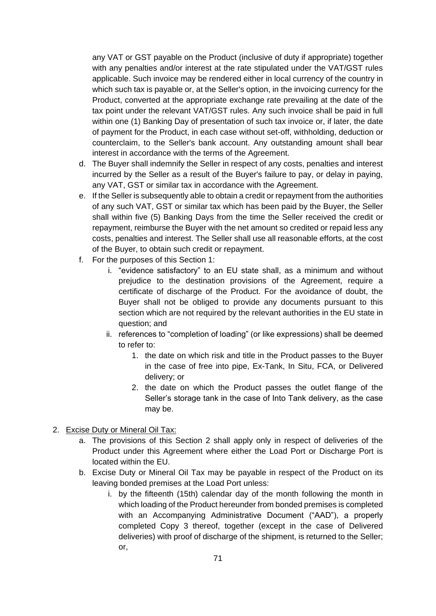any VAT or GST payable on the Product (inclusive of duty if appropriate) together with any penalties and/or interest at the rate stipulated under the VAT/GST rules applicable. Such invoice may be rendered either in local currency of the country in which such tax is payable or, at the Seller's option, in the invoicing currency for the Product, converted at the appropriate exchange rate prevailing at the date of the tax point under the relevant VAT/GST rules. Any such invoice shall be paid in full within one (1) Banking Day of presentation of such tax invoice or, if later, the date of payment for the Product, in each case without set-off, withholding, deduction or counterclaim, to the Seller's bank account. Any outstanding amount shall bear interest in accordance with the terms of the Agreement.

- d. The Buyer shall indemnify the Seller in respect of any costs, penalties and interest incurred by the Seller as a result of the Buyer's failure to pay, or delay in paying, any VAT, GST or similar tax in accordance with the Agreement.
- e. If the Seller is subsequently able to obtain a credit or repayment from the authorities of any such VAT, GST or similar tax which has been paid by the Buyer, the Seller shall within five (5) Banking Days from the time the Seller received the credit or repayment, reimburse the Buyer with the net amount so credited or repaid less any costs, penalties and interest. The Seller shall use all reasonable efforts, at the cost of the Buyer, to obtain such credit or repayment.
- f. For the purposes of this Section 1:
	- i. "evidence satisfactory" to an EU state shall, as a minimum and without prejudice to the destination provisions of the Agreement, require a certificate of discharge of the Product. For the avoidance of doubt, the Buyer shall not be obliged to provide any documents pursuant to this section which are not required by the relevant authorities in the EU state in question; and
	- ii. references to "completion of loading" (or like expressions) shall be deemed to refer to:
		- 1. the date on which risk and title in the Product passes to the Buyer in the case of free into pipe, Ex-Tank, In Situ, FCA, or Delivered delivery; or
		- 2. the date on which the Product passes the outlet flange of the Seller's storage tank in the case of Into Tank delivery, as the case may be.
- 2. Excise Duty or Mineral Oil Tax:
	- a. The provisions of this Section 2 shall apply only in respect of deliveries of the Product under this Agreement where either the Load Port or Discharge Port is located within the EU.
	- b. Excise Duty or Mineral Oil Tax may be payable in respect of the Product on its leaving bonded premises at the Load Port unless:
		- i. by the fifteenth (15th) calendar day of the month following the month in which loading of the Product hereunder from bonded premises is completed with an Accompanying Administrative Document ("AAD"), a properly completed Copy 3 thereof, together (except in the case of Delivered deliveries) with proof of discharge of the shipment, is returned to the Seller; or,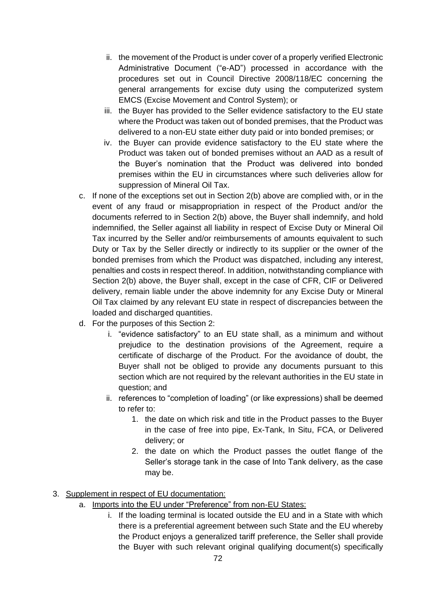- ii. the movement of the Product is under cover of a properly verified Electronic Administrative Document ("e-AD") processed in accordance with the procedures set out in Council Directive 2008/118/EC concerning the general arrangements for excise duty using the computerized system EMCS (Excise Movement and Control System); or
- iii. the Buyer has provided to the Seller evidence satisfactory to the EU state where the Product was taken out of bonded premises, that the Product was delivered to a non-EU state either duty paid or into bonded premises; or
- iv. the Buyer can provide evidence satisfactory to the EU state where the Product was taken out of bonded premises without an AAD as a result of the Buyer's nomination that the Product was delivered into bonded premises within the EU in circumstances where such deliveries allow for suppression of Mineral Oil Tax.
- c. If none of the exceptions set out in Section 2(b) above are complied with, or in the event of any fraud or misappropriation in respect of the Product and/or the documents referred to in Section 2(b) above, the Buyer shall indemnify, and hold indemnified, the Seller against all liability in respect of Excise Duty or Mineral Oil Tax incurred by the Seller and/or reimbursements of amounts equivalent to such Duty or Tax by the Seller directly or indirectly to its supplier or the owner of the bonded premises from which the Product was dispatched, including any interest, penalties and costs in respect thereof. In addition, notwithstanding compliance with Section 2(b) above, the Buyer shall, except in the case of CFR, CIF or Delivered delivery, remain liable under the above indemnity for any Excise Duty or Mineral Oil Tax claimed by any relevant EU state in respect of discrepancies between the loaded and discharged quantities.
- d. For the purposes of this Section 2:
	- i. "evidence satisfactory" to an EU state shall, as a minimum and without prejudice to the destination provisions of the Agreement, require a certificate of discharge of the Product. For the avoidance of doubt, the Buyer shall not be obliged to provide any documents pursuant to this section which are not required by the relevant authorities in the EU state in question; and
	- ii. references to "completion of loading" (or like expressions) shall be deemed to refer to:
		- 1. the date on which risk and title in the Product passes to the Buyer in the case of free into pipe, Ex-Tank, In Situ, FCA, or Delivered delivery; or
		- 2. the date on which the Product passes the outlet flange of the Seller's storage tank in the case of Into Tank delivery, as the case may be.

# 3. Supplement in respect of EU documentation:

- a. Imports into the EU under "Preference" from non-EU States:
	- i. If the loading terminal is located outside the EU and in a State with which there is a preferential agreement between such State and the EU whereby the Product enjoys a generalized tariff preference, the Seller shall provide the Buyer with such relevant original qualifying document(s) specifically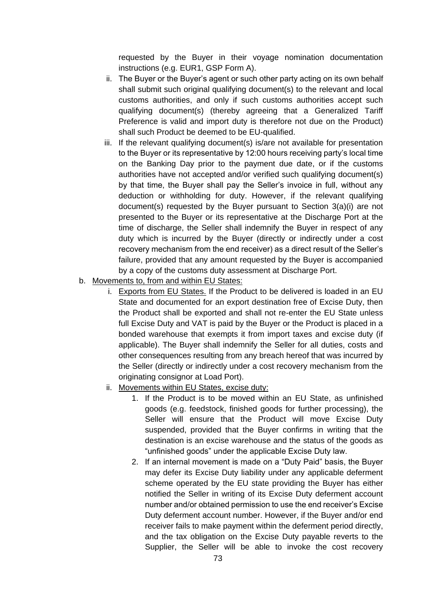requested by the Buyer in their voyage nomination documentation instructions (e.g. EUR1, GSP Form A).

- ii. The Buyer or the Buyer's agent or such other party acting on its own behalf shall submit such original qualifying document(s) to the relevant and local customs authorities, and only if such customs authorities accept such qualifying document(s) (thereby agreeing that a Generalized Tariff Preference is valid and import duty is therefore not due on the Product) shall such Product be deemed to be EU-qualified.
- iii. If the relevant qualifying document(s) is/are not available for presentation to the Buyer or its representative by 12:00 hours receiving party's local time on the Banking Day prior to the payment due date, or if the customs authorities have not accepted and/or verified such qualifying document(s) by that time, the Buyer shall pay the Seller's invoice in full, without any deduction or withholding for duty. However, if the relevant qualifying document(s) requested by the Buyer pursuant to Section 3(a)(i) are not presented to the Buyer or its representative at the Discharge Port at the time of discharge, the Seller shall indemnify the Buyer in respect of any duty which is incurred by the Buyer (directly or indirectly under a cost recovery mechanism from the end receiver) as a direct result of the Seller's failure, provided that any amount requested by the Buyer is accompanied by a copy of the customs duty assessment at Discharge Port.
- b. Movements to, from and within EU States:
	- i. Exports from EU States. If the Product to be delivered is loaded in an EU State and documented for an export destination free of Excise Duty, then the Product shall be exported and shall not re-enter the EU State unless full Excise Duty and VAT is paid by the Buyer or the Product is placed in a bonded warehouse that exempts it from import taxes and excise duty (if applicable). The Buyer shall indemnify the Seller for all duties, costs and other consequences resulting from any breach hereof that was incurred by the Seller (directly or indirectly under a cost recovery mechanism from the originating consignor at Load Port).
	- ii. Movements within EU States, excise duty:
		- 1. If the Product is to be moved within an EU State, as unfinished goods (e.g. feedstock, finished goods for further processing), the Seller will ensure that the Product will move Excise Duty suspended, provided that the Buyer confirms in writing that the destination is an excise warehouse and the status of the goods as "unfinished goods" under the applicable Excise Duty law.
		- 2. If an internal movement is made on a "Duty Paid" basis, the Buyer may defer its Excise Duty liability under any applicable deferment scheme operated by the EU state providing the Buyer has either notified the Seller in writing of its Excise Duty deferment account number and/or obtained permission to use the end receiver's Excise Duty deferment account number. However, if the Buyer and/or end receiver fails to make payment within the deferment period directly, and the tax obligation on the Excise Duty payable reverts to the Supplier, the Seller will be able to invoke the cost recovery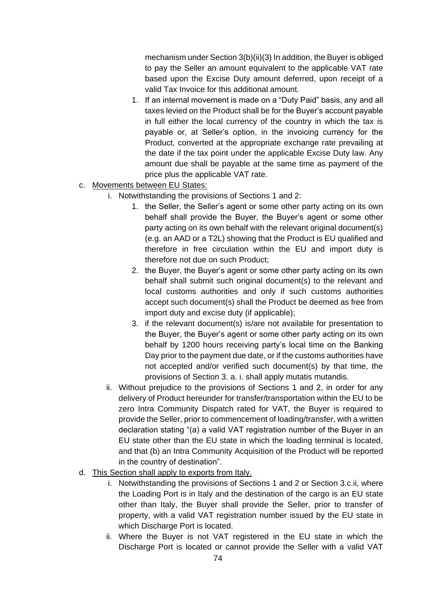mechanism under Section 3(b)(ii)(3) In addition, the Buyer is obliged to pay the Seller an amount equivalent to the applicable VAT rate based upon the Excise Duty amount deferred, upon receipt of a valid Tax Invoice for this additional amount.

- 1. If an internal movement is made on a "Duty Paid" basis, any and all taxes levied on the Product shall be for the Buyer's account payable in full either the local currency of the country in which the tax is payable or, at Seller's option, in the invoicing currency for the Product, converted at the appropriate exchange rate prevailing at the date if the tax point under the applicable Excise Duty law. Any amount due shall be payable at the same time as payment of the price plus the applicable VAT rate.
- c. Movements between EU States:
	- i. Notwithstanding the provisions of Sections 1 and 2:
		- 1. the Seller, the Seller's agent or some other party acting on its own behalf shall provide the Buyer, the Buyer's agent or some other party acting on its own behalf with the relevant original document(s) (e.g. an AAD or a T2L) showing that the Product is EU qualified and therefore in free circulation within the EU and import duty is therefore not due on such Product;
		- 2. the Buyer, the Buyer's agent or some other party acting on its own behalf shall submit such original document(s) to the relevant and local customs authorities and only if such customs authorities accept such document(s) shall the Product be deemed as free from import duty and excise duty (if applicable);
		- 3. if the relevant document(s) is/are not available for presentation to the Buyer, the Buyer's agent or some other party acting on its own behalf by 1200 hours receiving party's local time on the Banking Day prior to the payment due date, or if the customs authorities have not accepted and/or verified such document(s) by that time, the provisions of Section 3. a. i. shall apply mutatis mutandis.
	- ii. Without prejudice to the provisions of Sections 1 and 2, in order for any delivery of Product hereunder for transfer/transportation within the EU to be zero Intra Community Dispatch rated for VAT, the Buyer is required to provide the Seller, prior to commencement of loading/transfer, with a written declaration stating "(a) a valid VAT registration number of the Buyer in an EU state other than the EU state in which the loading terminal is located, and that (b) an Intra Community Acquisition of the Product will be reported in the country of destination".
- d. This Section shall apply to exports from Italy.
	- i. Notwithstanding the provisions of Sections 1 and 2 or Section 3.c.ii, where the Loading Port is in Italy and the destination of the cargo is an EU state other than Italy, the Buyer shall provide the Seller, prior to transfer of property, with a valid VAT registration number issued by the EU state in which Discharge Port is located.
	- ii. Where the Buyer is not VAT registered in the EU state in which the Discharge Port is located or cannot provide the Seller with a valid VAT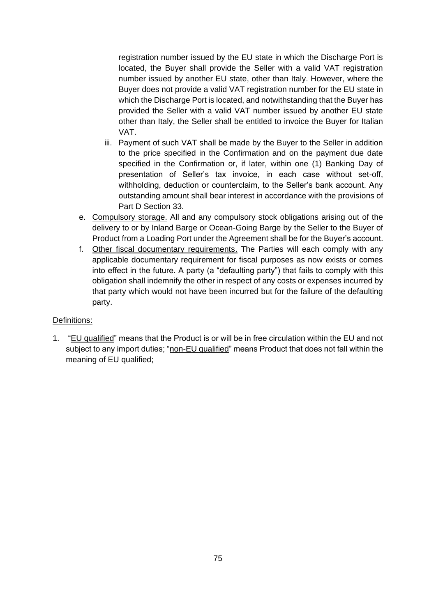registration number issued by the EU state in which the Discharge Port is located, the Buyer shall provide the Seller with a valid VAT registration number issued by another EU state, other than Italy. However, where the Buyer does not provide a valid VAT registration number for the EU state in which the Discharge Port is located, and notwithstanding that the Buyer has provided the Seller with a valid VAT number issued by another EU state other than Italy, the Seller shall be entitled to invoice the Buyer for Italian VAT.

- iii. Payment of such VAT shall be made by the Buyer to the Seller in addition to the price specified in the Confirmation and on the payment due date specified in the Confirmation or, if later, within one (1) Banking Day of presentation of Seller's tax invoice, in each case without set-off, withholding, deduction or counterclaim, to the Seller's bank account. Any outstanding amount shall bear interest in accordance with the provisions of Part D Section 33.
- e. Compulsory storage. All and any compulsory stock obligations arising out of the delivery to or by Inland Barge or Ocean-Going Barge by the Seller to the Buyer of Product from a Loading Port under the Agreement shall be for the Buyer's account.
- f. Other fiscal documentary requirements. The Parties will each comply with any applicable documentary requirement for fiscal purposes as now exists or comes into effect in the future. A party (a "defaulting party") that fails to comply with this obligation shall indemnify the other in respect of any costs or expenses incurred by that party which would not have been incurred but for the failure of the defaulting party.

## Definitions:

1. "EU qualified" means that the Product is or will be in free circulation within the EU and not subject to any import duties; "non-EU qualified" means Product that does not fall within the meaning of EU qualified;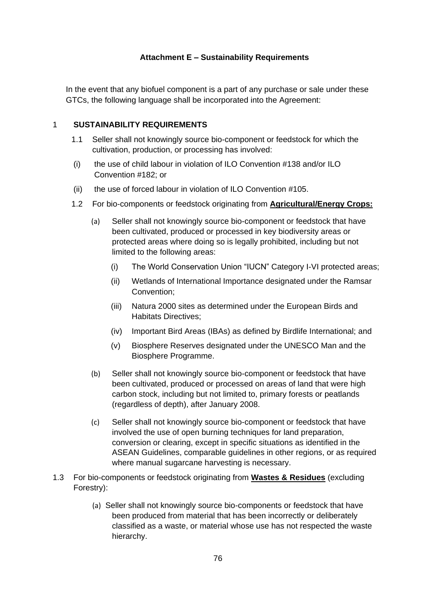#### **Attachment E – Sustainability Requirements**

In the event that any biofuel component is a part of any purchase or sale under these GTCs, the following language shall be incorporated into the Agreement:

### 1 **SUSTAINABILITY REQUIREMENTS**

- 1.1 Seller shall not knowingly source bio-component or feedstock for which the cultivation, production, or processing has involved:
- (i) the use of child labour in violation of ILO Convention #138 and/or ILO Convention #182; or
- (ii) the use of forced labour in violation of ILO Convention #105.
- 1.2 For bio-components or feedstock originating from **Agricultural/Energy Crops:** 
	- (a) Seller shall not knowingly source bio-component or feedstock that have been cultivated, produced or processed in key biodiversity areas or protected areas where doing so is legally prohibited, including but not limited to the following areas:
		- (i) The World Conservation Union "IUCN" Category I-VI protected areas;
		- (ii) Wetlands of International Importance designated under the Ramsar Convention;
		- (iii) Natura 2000 sites as determined under the European Birds and Habitats Directives;
		- (iv) Important Bird Areas (IBAs) as defined by Birdlife International; and
		- (v) Biosphere Reserves designated under the UNESCO Man and the Biosphere Programme.
	- (b) Seller shall not knowingly source bio-component or feedstock that have been cultivated, produced or processed on areas of land that were high carbon stock, including but not limited to, primary forests or peatlands (regardless of depth), after January 2008.
	- (c) Seller shall not knowingly source bio-component or feedstock that have involved the use of open burning techniques for land preparation, conversion or clearing, except in specific situations as identified in the ASEAN Guidelines, comparable guidelines in other regions, or as required where manual sugarcane harvesting is necessary.
- 1.3 For bio-components or feedstock originating from **Wastes & Residues** (excluding Forestry):
	- (a) Seller shall not knowingly source bio-components or feedstock that have been produced from material that has been incorrectly or deliberately classified as a waste, or material whose use has not respected the waste hierarchy.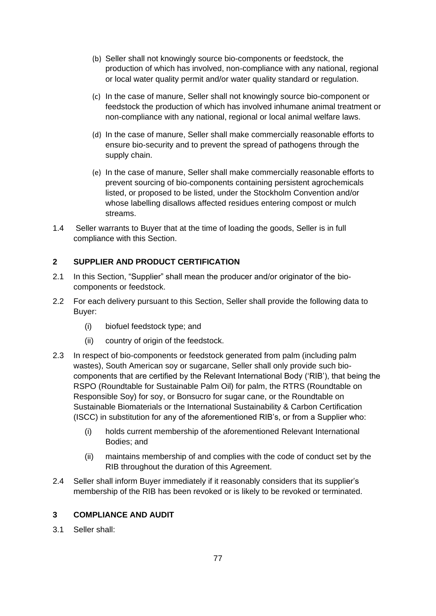- (b) Seller shall not knowingly source bio-components or feedstock, the production of which has involved, non-compliance with any national, regional or local water quality permit and/or water quality standard or regulation.
- (c) In the case of manure, Seller shall not knowingly source bio-component or feedstock the production of which has involved inhumane animal treatment or non-compliance with any national, regional or local animal welfare laws.
- (d) In the case of manure, Seller shall make commercially reasonable efforts to ensure bio-security and to prevent the spread of pathogens through the supply chain.
- (e) In the case of manure, Seller shall make commercially reasonable efforts to prevent sourcing of bio-components containing persistent agrochemicals listed, or proposed to be listed, under the Stockholm Convention and/or whose labelling disallows affected residues entering compost or mulch streams.
- 1.4 Seller warrants to Buyer that at the time of loading the goods, Seller is in full compliance with this Section.

# **2 SUPPLIER AND PRODUCT CERTIFICATION**

- 2.1 In this Section, "Supplier" shall mean the producer and/or originator of the biocomponents or feedstock.
- 2.2 For each delivery pursuant to this Section, Seller shall provide the following data to Buyer:
	- (i) biofuel feedstock type; and
	- (ii) country of origin of the feedstock.
- 2.3 In respect of bio-components or feedstock generated from palm (including palm wastes), South American soy or sugarcane, Seller shall only provide such biocomponents that are certified by the Relevant International Body ('RIB'), that being the RSPO (Roundtable for Sustainable Palm Oil) for palm, the RTRS (Roundtable on Responsible Soy) for soy, or Bonsucro for sugar cane, or the Roundtable on Sustainable Biomaterials or the International Sustainability & Carbon Certification (ISCC) in substitution for any of the aforementioned RIB's, or from a Supplier who:
	- (i) holds current membership of the aforementioned Relevant International Bodies; and
	- (ii) maintains membership of and complies with the code of conduct set by the RIB throughout the duration of this Agreement.
- 2.4 Seller shall inform Buyer immediately if it reasonably considers that its supplier's membership of the RIB has been revoked or is likely to be revoked or terminated.

### **3 COMPLIANCE AND AUDIT**

3.1 Seller shall: